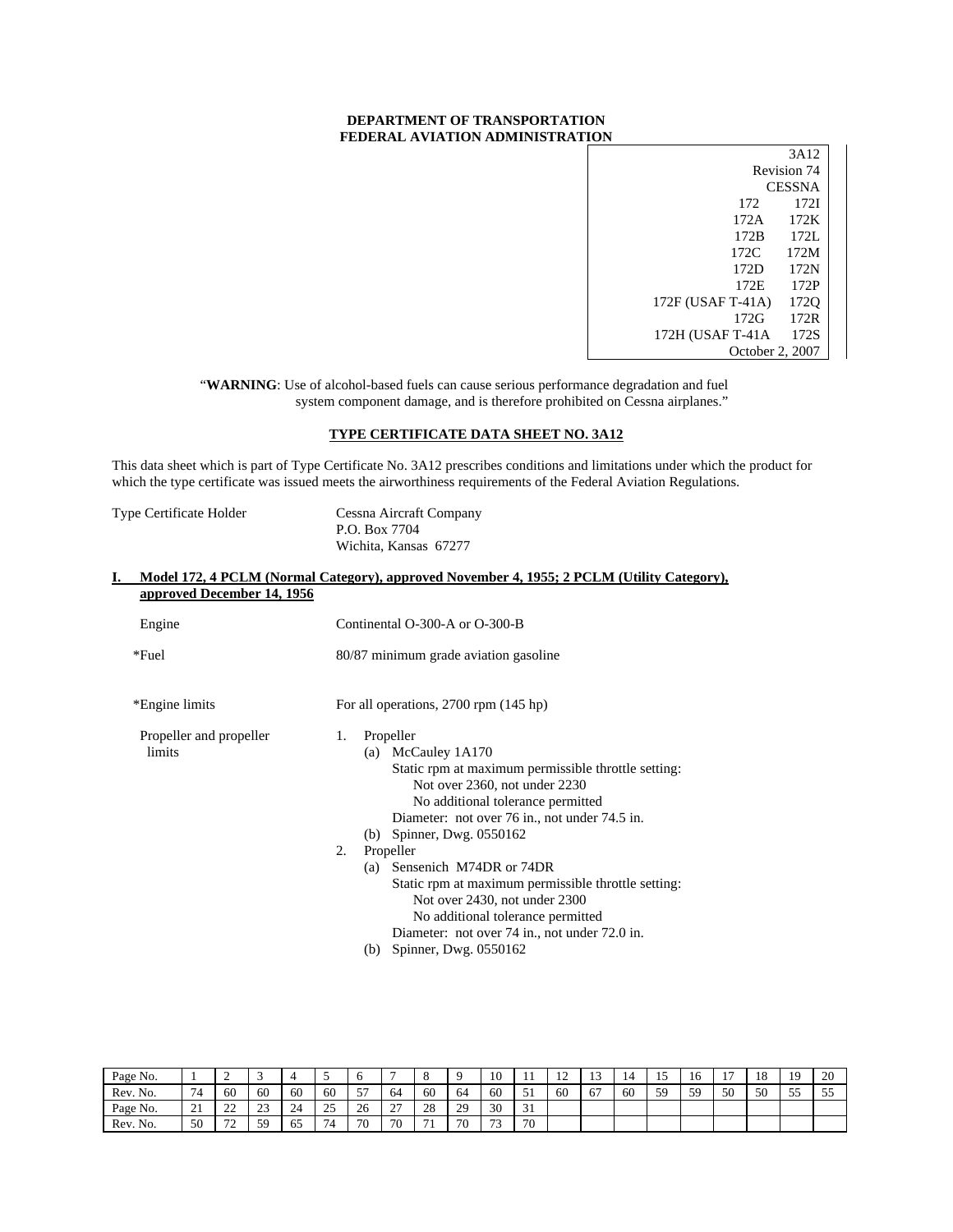## **DEPARTMENT OF TRANSPORTATION FEDERAL AVIATION ADMINISTRATION**

|                   | 3A12          |
|-------------------|---------------|
|                   | Revision 74   |
|                   | <b>CESSNA</b> |
| 172               | 1721          |
| 172A              | 172K          |
| 172B              | 172L          |
| 172C.             | 172M          |
| 172D              | 172N          |
| 172E              | 172P          |
| 172F (USAF T-41A) | 1720          |
| 172G              | 172R          |
| 172H (USAF T-41A  | 172S          |
| October 2, 2007   |               |

"WARNING: Use of alcohol-based fuels can cause serious performance degradation and fuel system component damage, and is therefore prohibited on Cessna airplanes."

## **TYPE CERTIFICATE DATA SHEET NO. 3A12**

This data sheet which is part of Type Certificate No. 3A12 prescribes conditions and limitations under which the product for which the type certificate was issued meets the airworthiness requirements of the Federal Aviation Regulations.

| Type Certificate Holder | Cessna Aircraft Company |
|-------------------------|-------------------------|
|                         | P.O. Box 7704           |
|                         | Wichita, Kansas 67277   |

|                                   | Model 172, 4 PCLM (Normal Category), approved November 4, 1955; 2 PCLM (Utility Category),                                                                                                                                                                   |  |  |  |  |  |
|-----------------------------------|--------------------------------------------------------------------------------------------------------------------------------------------------------------------------------------------------------------------------------------------------------------|--|--|--|--|--|
| approved December 14, 1956        |                                                                                                                                                                                                                                                              |  |  |  |  |  |
| Engine                            | Continental O-300-A or O-300-B                                                                                                                                                                                                                               |  |  |  |  |  |
| *Fuel                             | 80/87 minimum grade aviation gasoline                                                                                                                                                                                                                        |  |  |  |  |  |
| *Engine limits                    | For all operations, 2700 rpm (145 hp)                                                                                                                                                                                                                        |  |  |  |  |  |
| Propeller and propeller<br>limits | Propeller<br>1.<br>(a) McCauley 1A170<br>Static rpm at maximum permissible throttle setting:<br>Not over 2360, not under 2230<br>No additional tolerance permitted<br>Diameter: not over 76 in., not under 74.5 in.<br>(b) Spinner, Dwg. $0550162$           |  |  |  |  |  |
|                                   | 2.<br>Propeller<br>(a) Sensenich M74DR or 74DR<br>Static rpm at maximum permissible throttle setting:<br>Not over 2430, not under 2300<br>No additional tolerance permitted<br>Diameter: not over 74 in., not under 72.0 in.<br>Spinner, Dwg. 0550162<br>(b) |  |  |  |  |  |

| Page No. |                       | ∼              |              |    | ۰                          |    |                    |    |    | $\overline{10}$<br>10 | . .                | $\sim$<br>∸ | $\sim$ |    |    | 10 | -  | 18 | 19      | 20               |
|----------|-----------------------|----------------|--------------|----|----------------------------|----|--------------------|----|----|-----------------------|--------------------|-------------|--------|----|----|----|----|----|---------|------------------|
| Rev. No. | 74                    | 60             | 60           | 60 | 60                         | 57 | 64                 | 60 | 64 | 60                    | $-1$<br>ັ້         | 60          | 67     | 60 | 59 | 59 | 50 | 50 | 55<br>ັ | $\epsilon$<br>ັບ |
| Page No. | $^{\sim}$<br>$\sim$ 1 | $\sim$<br>--   | $\sim$<br>رے | 24 | $\Delta$ $\epsilon$<br>ر ب | 26 | $\sim$<br><u>.</u> | 28 | 29 | 30                    | $\mathbf{A}$<br>JI |             |        |    |    |    |    |    |         |                  |
| Rev. No. | 50                    | 70<br><b>_</b> | 59           | 65 | 74                         | 70 | 70                 | 71 | 70 | $\mathbf{a}$          | 70                 |             |        |    |    |    |    |    |         |                  |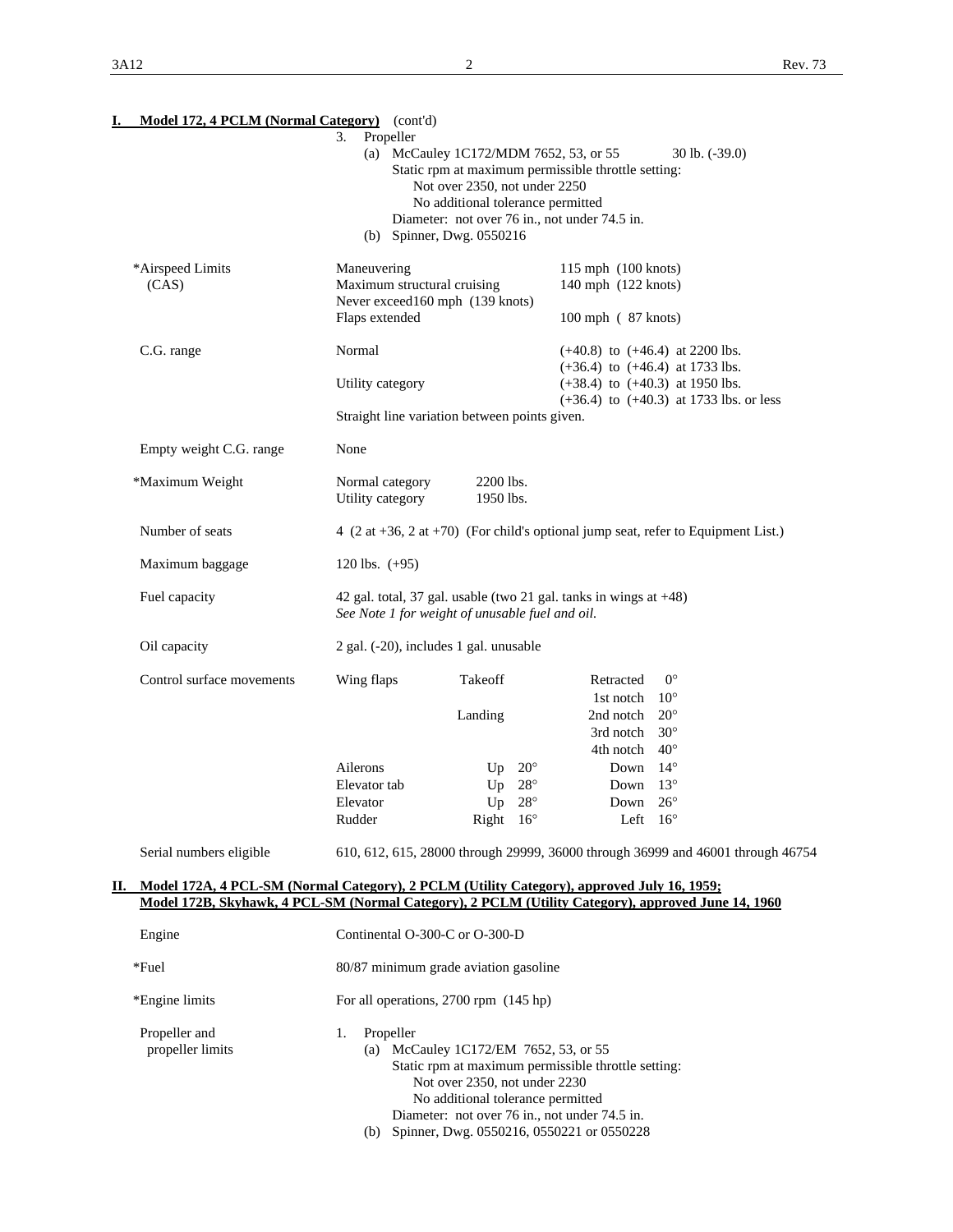| Model 172, 4 PCLM (Normal Category) (cont'd)<br>I.                                                 |                                                                                      |                                                                    |              |                                                                   |                                                                                                       |  |
|----------------------------------------------------------------------------------------------------|--------------------------------------------------------------------------------------|--------------------------------------------------------------------|--------------|-------------------------------------------------------------------|-------------------------------------------------------------------------------------------------------|--|
|                                                                                                    | Propeller<br>3.                                                                      |                                                                    |              |                                                                   |                                                                                                       |  |
|                                                                                                    |                                                                                      | (a) McCauley 1C172/MDM 7652, 53, or 55                             |              |                                                                   | $30$ lb. $(-39.0)$                                                                                    |  |
|                                                                                                    | Static rpm at maximum permissible throttle setting:<br>Not over 2350, not under 2250 |                                                                    |              |                                                                   |                                                                                                       |  |
|                                                                                                    | No additional tolerance permitted                                                    |                                                                    |              |                                                                   |                                                                                                       |  |
|                                                                                                    | Diameter: not over 76 in., not under 74.5 in.                                        |                                                                    |              |                                                                   |                                                                                                       |  |
|                                                                                                    |                                                                                      | (b) Spinner, Dwg. 0550216                                          |              |                                                                   |                                                                                                       |  |
| *Airspeed Limits                                                                                   | Maneuvering                                                                          |                                                                    |              | 115 mph (100 knots)                                               |                                                                                                       |  |
| (CAS)                                                                                              | Maximum structural cruising                                                          |                                                                    |              | 140 mph (122 knots)                                               |                                                                                                       |  |
|                                                                                                    | Never exceed160 mph (139 knots)                                                      |                                                                    |              |                                                                   |                                                                                                       |  |
|                                                                                                    | Flaps extended                                                                       |                                                                    |              | 100 mph (87 knots)                                                |                                                                                                       |  |
| C.G. range                                                                                         | Normal                                                                               |                                                                    |              | $(+40.8)$ to $(+46.4)$ at 2200 lbs.                               |                                                                                                       |  |
|                                                                                                    |                                                                                      |                                                                    |              | $(+36.4)$ to $(+46.4)$ at 1733 lbs.                               |                                                                                                       |  |
|                                                                                                    | Utility category                                                                     |                                                                    |              | $(+38.4)$ to $(+40.3)$ at 1950 lbs.                               | $(+36.4)$ to $(+40.3)$ at 1733 lbs. or less                                                           |  |
|                                                                                                    | Straight line variation between points given.                                        |                                                                    |              |                                                                   |                                                                                                       |  |
|                                                                                                    |                                                                                      |                                                                    |              |                                                                   |                                                                                                       |  |
| Empty weight C.G. range                                                                            | None                                                                                 |                                                                    |              |                                                                   |                                                                                                       |  |
| *Maximum Weight                                                                                    | Normal category                                                                      | 2200 lbs.                                                          |              |                                                                   |                                                                                                       |  |
|                                                                                                    | Utility category                                                                     | 1950 lbs.                                                          |              |                                                                   |                                                                                                       |  |
| Number of seats                                                                                    |                                                                                      |                                                                    |              |                                                                   | 4 $(2 \text{ at } +36, 2 \text{ at } +70)$ (For child's optional jump seat, refer to Equipment List.) |  |
| Maximum baggage                                                                                    | 120 lbs. $(+95)$                                                                     |                                                                    |              |                                                                   |                                                                                                       |  |
|                                                                                                    |                                                                                      |                                                                    |              |                                                                   |                                                                                                       |  |
| Fuel capacity                                                                                      | See Note 1 for weight of unusable fuel and oil.                                      |                                                                    |              | 42 gal. total, 37 gal. usable (two 21 gal. tanks in wings at +48) |                                                                                                       |  |
| Oil capacity                                                                                       | 2 gal. (-20), includes 1 gal. unusable                                               |                                                                    |              |                                                                   |                                                                                                       |  |
| Control surface movements                                                                          | Wing flaps                                                                           | Takeoff                                                            |              | Retracted                                                         | $0^{\circ}$                                                                                           |  |
|                                                                                                    |                                                                                      |                                                                    |              | 1st notch                                                         | $10^{\circ}$                                                                                          |  |
|                                                                                                    |                                                                                      | Landing                                                            |              | 2nd notch                                                         | $20^{\circ}$                                                                                          |  |
|                                                                                                    |                                                                                      |                                                                    |              | 3rd notch<br>4th notch                                            | $30^\circ$<br>$40^{\circ}$                                                                            |  |
|                                                                                                    | Ailerons                                                                             | Up                                                                 | $20^{\circ}$ | Down                                                              | $14^{\circ}$                                                                                          |  |
|                                                                                                    | Elevator tab                                                                         | Up                                                                 | $28^{\circ}$ | Down                                                              | $13^{\circ}$                                                                                          |  |
|                                                                                                    | Elevator                                                                             | Up                                                                 | $28^{\circ}$ | Down                                                              | $26^{\circ}$                                                                                          |  |
|                                                                                                    | Rudder                                                                               | Right $16^\circ$                                                   |              | Left $16^{\circ}$                                                 |                                                                                                       |  |
| Serial numbers eligible                                                                            |                                                                                      |                                                                    |              |                                                                   | 610, 612, 615, 28000 through 29999, 36000 through 36999 and 46001 through 46754                       |  |
| Model 172A, 4 PCL-SM (Normal Category), 2 PCLM (Utility Category), approved July 16, 1959;<br>П.   |                                                                                      |                                                                    |              |                                                                   |                                                                                                       |  |
| Model 172B, Skyhawk, 4 PCL-SM (Normal Category), 2 PCLM (Utility Category), approved June 14, 1960 |                                                                                      |                                                                    |              |                                                                   |                                                                                                       |  |
| Engine                                                                                             | Continental O-300-C or O-300-D                                                       |                                                                    |              |                                                                   |                                                                                                       |  |
| *Fuel                                                                                              | 80/87 minimum grade aviation gasoline                                                |                                                                    |              |                                                                   |                                                                                                       |  |
| *Engine limits                                                                                     | For all operations, 2700 rpm (145 hp)                                                |                                                                    |              |                                                                   |                                                                                                       |  |
| Propeller and                                                                                      | Propeller<br>1.                                                                      |                                                                    |              |                                                                   |                                                                                                       |  |
| propeller limits                                                                                   |                                                                                      | (a) McCauley 1C172/EM 7652, 53, or 55                              |              |                                                                   |                                                                                                       |  |
|                                                                                                    |                                                                                      |                                                                    |              | Static rpm at maximum permissible throttle setting:               |                                                                                                       |  |
|                                                                                                    |                                                                                      | Not over 2350, not under 2230<br>No additional tolerance permitted |              |                                                                   |                                                                                                       |  |
|                                                                                                    |                                                                                      |                                                                    |              | Diameter: not over 76 in., not under 74.5 in.                     |                                                                                                       |  |

(b) Spinner, Dwg. 0550216, 0550221 or 0550228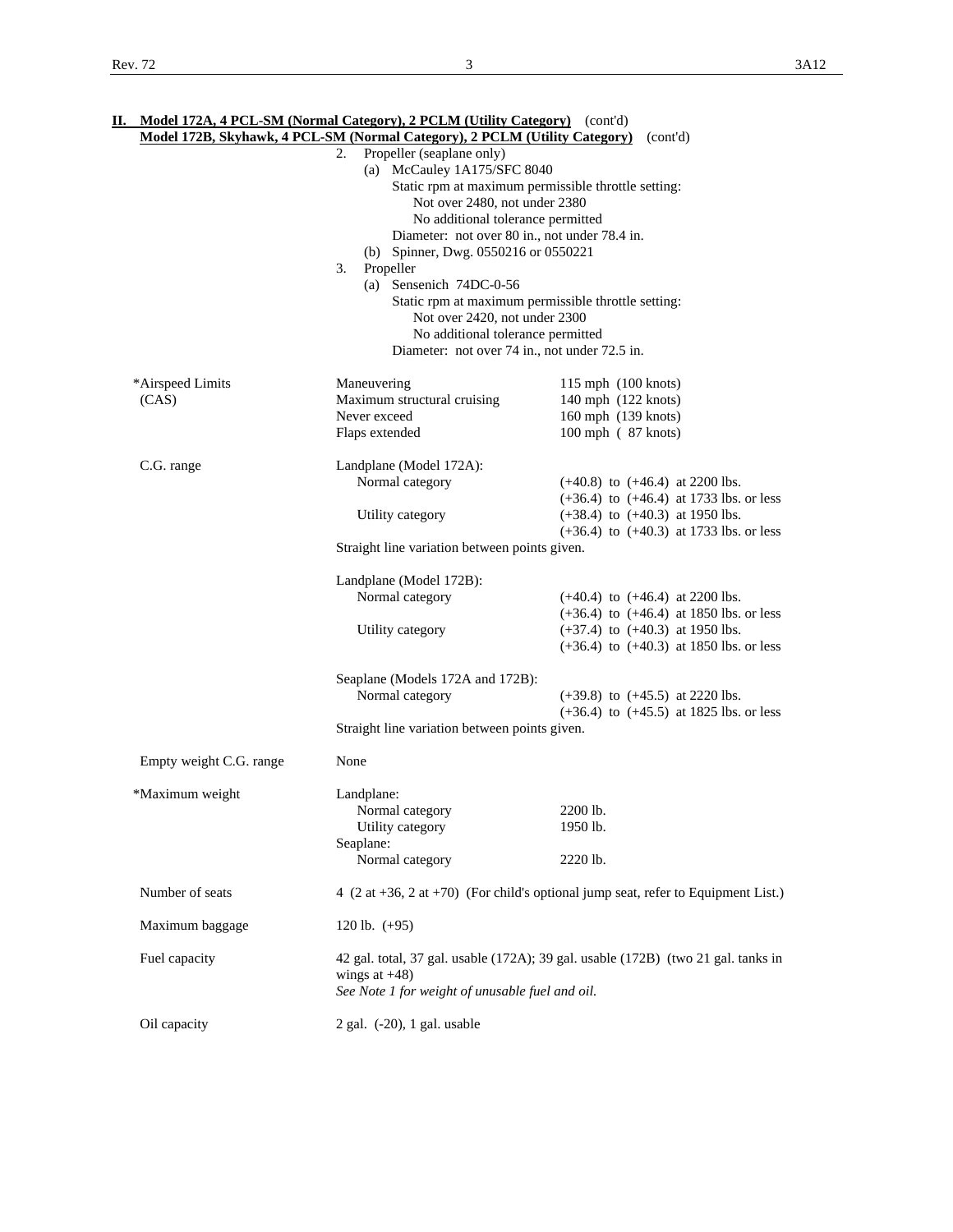|                           | Model 172B, Skyhawk, 4 PCL-SM (Normal Category), 2 PCLM (Utility Category)                                                                                                                                                                                                                                                                                                                         | (cont'd)                                                                                                                                                                 |
|---------------------------|----------------------------------------------------------------------------------------------------------------------------------------------------------------------------------------------------------------------------------------------------------------------------------------------------------------------------------------------------------------------------------------------------|--------------------------------------------------------------------------------------------------------------------------------------------------------------------------|
|                           | Propeller (seaplane only)<br>2.<br>(a) McCauley 1A175/SFC 8040<br>Not over 2480, not under 2380<br>No additional tolerance permitted<br>Diameter: not over 80 in., not under 78.4 in.<br>(b) Spinner, Dwg. 0550216 or 0550221<br>Propeller<br>3.<br>(a) Sensenich 74DC-0-56<br>Not over 2420, not under 2300<br>No additional tolerance permitted<br>Diameter: not over 74 in., not under 72.5 in. | Static rpm at maximum permissible throttle setting:<br>Static rpm at maximum permissible throttle setting:                                                               |
| *Airspeed Limits<br>(CAS) | Maneuvering<br>Maximum structural cruising<br>Never exceed<br>Flaps extended                                                                                                                                                                                                                                                                                                                       | 115 mph (100 knots)<br>140 mph (122 knots)<br>160 mph (139 knots)<br>100 mph (87 knots)                                                                                  |
| C.G. range                | Landplane (Model 172A):<br>Normal category<br>Utility category<br>Straight line variation between points given.                                                                                                                                                                                                                                                                                    | $(+40.8)$ to $(+46.4)$ at 2200 lbs.<br>$(+36.4)$ to $(+46.4)$ at 1733 lbs. or less<br>$(+38.4)$ to $(+40.3)$ at 1950 lbs.<br>$(+36.4)$ to $(+40.3)$ at 1733 lbs. or less |
|                           | Landplane (Model 172B):<br>Normal category<br>Utility category                                                                                                                                                                                                                                                                                                                                     | $(+40.4)$ to $(+46.4)$ at 2200 lbs.<br>$(+36.4)$ to $(+46.4)$ at 1850 lbs. or less<br>$(+37.4)$ to $(+40.3)$ at 1950 lbs.<br>$(+36.4)$ to $(+40.3)$ at 1850 lbs. or less |
|                           | Seaplane (Models 172A and 172B):<br>Normal category<br>Straight line variation between points given.                                                                                                                                                                                                                                                                                               | $(+39.8)$ to $(+45.5)$ at 2220 lbs.<br>$(+36.4)$ to $(+45.5)$ at 1825 lbs. or less                                                                                       |
| Empty weight C.G. range   | None                                                                                                                                                                                                                                                                                                                                                                                               |                                                                                                                                                                          |
| *Maximum weight           | Landplane:<br>Normal category<br>Utility category<br>Seaplane:<br>Normal category                                                                                                                                                                                                                                                                                                                  | 2200 lb.<br>1950 lb.<br>2220 lb.                                                                                                                                         |
| Number of seats           |                                                                                                                                                                                                                                                                                                                                                                                                    | 4 $(2 \text{ at } +36, 2 \text{ at } +70)$ (For child's optional jump seat, refer to Equipment List.)                                                                    |
| Maximum baggage           | 120 lb. $(+95)$                                                                                                                                                                                                                                                                                                                                                                                    |                                                                                                                                                                          |
| Fuel capacity             | wings at $+48$ )<br>See Note 1 for weight of unusable fuel and oil.                                                                                                                                                                                                                                                                                                                                | 42 gal. total, 37 gal. usable (172A); 39 gal. usable (172B) (two 21 gal. tanks in                                                                                        |
| Oil capacity              | 2 gal. (-20), 1 gal. usable                                                                                                                                                                                                                                                                                                                                                                        |                                                                                                                                                                          |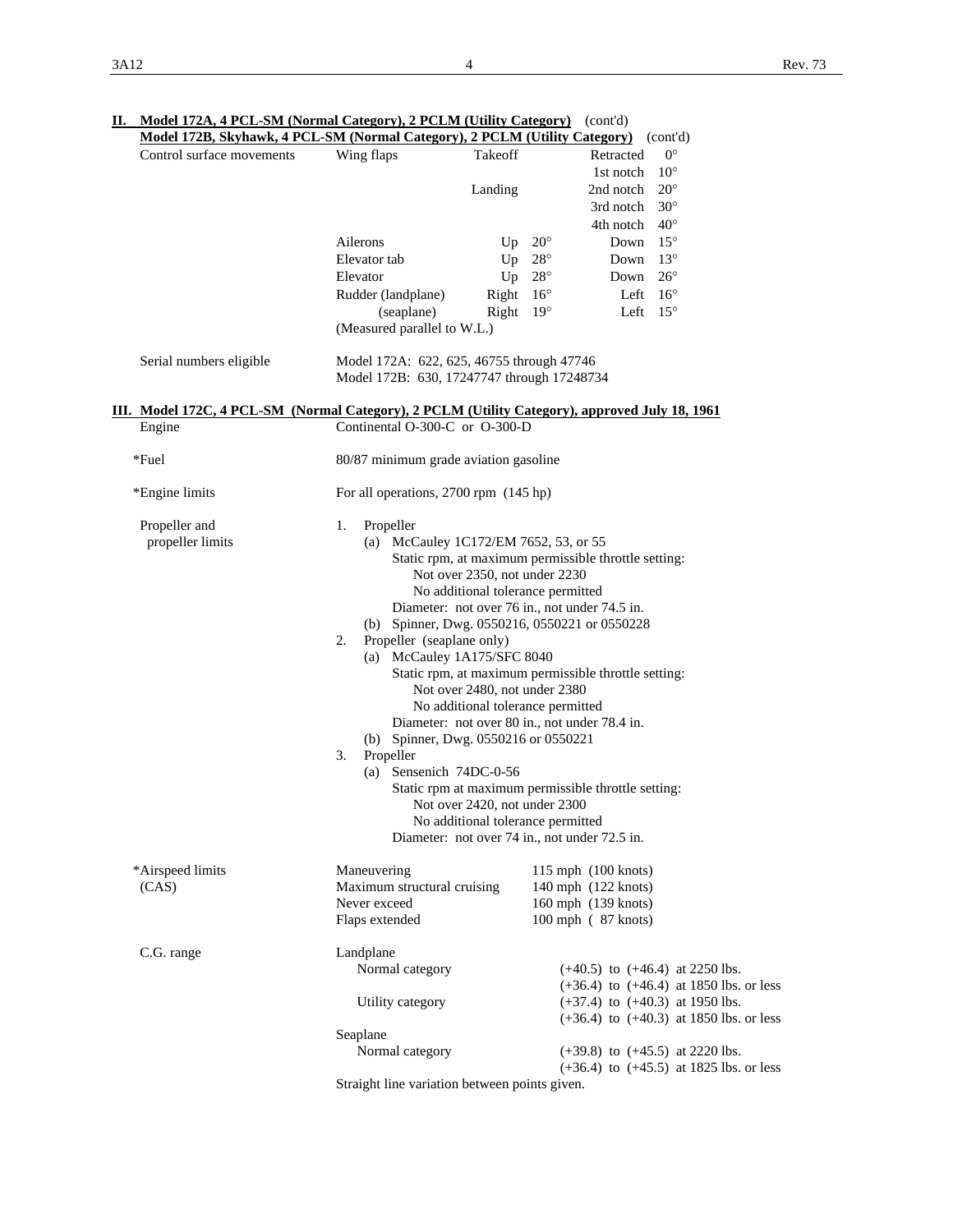| Control surface movements                                                                      | Wing flaps                                                                              | Takeoff                                              | Retracted                                            | $0^{\circ}$                                 |  |  |  |  |  |  |
|------------------------------------------------------------------------------------------------|-----------------------------------------------------------------------------------------|------------------------------------------------------|------------------------------------------------------|---------------------------------------------|--|--|--|--|--|--|
|                                                                                                |                                                                                         |                                                      | $10^{\circ}$<br>1st notch                            |                                             |  |  |  |  |  |  |
|                                                                                                |                                                                                         | Landing                                              | $20^{\circ}$<br>2nd notch                            |                                             |  |  |  |  |  |  |
|                                                                                                |                                                                                         |                                                      | $30^{\circ}$<br>3rd notch                            |                                             |  |  |  |  |  |  |
|                                                                                                |                                                                                         |                                                      | $40^{\circ}$<br>4th notch                            |                                             |  |  |  |  |  |  |
|                                                                                                | Ailerons                                                                                | Up $20^{\circ}$                                      | Down $15^{\circ}$                                    |                                             |  |  |  |  |  |  |
|                                                                                                | Elevator tab                                                                            | Up $28^\circ$                                        | Down $13^\circ$                                      |                                             |  |  |  |  |  |  |
|                                                                                                | Elevator                                                                                | Up $28^\circ$                                        | $26^{\circ}$<br>Down                                 |                                             |  |  |  |  |  |  |
|                                                                                                | Rudder (landplane)                                                                      | Right $16^{\circ}$                                   | Left $16^{\circ}$                                    |                                             |  |  |  |  |  |  |
|                                                                                                | (seaplane)<br>(Measured parallel to W.L.)                                               | Right $19^\circ$                                     | Left $15^{\circ}$                                    |                                             |  |  |  |  |  |  |
| Serial numbers eligible                                                                        | Model 172A: 622, 625, 46755 through 47746<br>Model 172B: 630, 17247747 through 17248734 |                                                      |                                                      |                                             |  |  |  |  |  |  |
| III. Model 172C, 4 PCL-SM (Normal Category), 2 PCLM (Utility Category), approved July 18, 1961 |                                                                                         |                                                      |                                                      |                                             |  |  |  |  |  |  |
| Engine                                                                                         | Continental O-300-C or O-300-D                                                          |                                                      |                                                      |                                             |  |  |  |  |  |  |
| *Fuel                                                                                          | 80/87 minimum grade aviation gasoline                                                   |                                                      |                                                      |                                             |  |  |  |  |  |  |
| *Engine limits                                                                                 | For all operations, 2700 rpm (145 hp)                                                   |                                                      |                                                      |                                             |  |  |  |  |  |  |
| Propeller and                                                                                  | 1.<br>Propeller                                                                         |                                                      |                                                      |                                             |  |  |  |  |  |  |
| propeller limits                                                                               | (a) McCauley 1C172/EM 7652, 53, or 55                                                   |                                                      |                                                      |                                             |  |  |  |  |  |  |
|                                                                                                |                                                                                         | Static rpm, at maximum permissible throttle setting: |                                                      |                                             |  |  |  |  |  |  |
|                                                                                                | Not over 2350, not under 2230                                                           |                                                      |                                                      |                                             |  |  |  |  |  |  |
|                                                                                                | No additional tolerance permitted<br>Diameter: not over 76 in., not under 74.5 in.      |                                                      |                                                      |                                             |  |  |  |  |  |  |
|                                                                                                | (b) Spinner, Dwg. 0550216, 0550221 or 0550228                                           |                                                      |                                                      |                                             |  |  |  |  |  |  |
|                                                                                                | Propeller (seaplane only)<br>2.                                                         |                                                      |                                                      |                                             |  |  |  |  |  |  |
|                                                                                                | (a) McCauley 1A175/SFC 8040                                                             |                                                      |                                                      |                                             |  |  |  |  |  |  |
|                                                                                                |                                                                                         |                                                      | Static rpm, at maximum permissible throttle setting: |                                             |  |  |  |  |  |  |
|                                                                                                | Not over 2480, not under 2380                                                           |                                                      |                                                      |                                             |  |  |  |  |  |  |
|                                                                                                | No additional tolerance permitted                                                       |                                                      |                                                      |                                             |  |  |  |  |  |  |
|                                                                                                | Diameter: not over 80 in., not under 78.4 in.                                           |                                                      |                                                      |                                             |  |  |  |  |  |  |
|                                                                                                |                                                                                         | (b) Spinner, Dwg. 0550216 or 0550221                 |                                                      |                                             |  |  |  |  |  |  |
|                                                                                                | Propeller<br>3.                                                                         |                                                      |                                                      |                                             |  |  |  |  |  |  |
|                                                                                                | (a) Sensenich 74DC-0-56                                                                 |                                                      |                                                      |                                             |  |  |  |  |  |  |
|                                                                                                |                                                                                         |                                                      | Static rpm at maximum permissible throttle setting:  |                                             |  |  |  |  |  |  |
|                                                                                                | Not over 2420, not under 2300<br>No additional tolerance permitted                      |                                                      |                                                      |                                             |  |  |  |  |  |  |
|                                                                                                | Diameter: not over 74 in., not under 72.5 in.                                           |                                                      |                                                      |                                             |  |  |  |  |  |  |
| *Airspeed limits                                                                               | Maneuvering                                                                             |                                                      | 115 mph (100 knots)                                  |                                             |  |  |  |  |  |  |
| (CAS)                                                                                          | Maximum structural cruising                                                             |                                                      | 140 mph (122 knots)                                  |                                             |  |  |  |  |  |  |
|                                                                                                | Never exceed                                                                            |                                                      | 160 mph (139 knots)                                  |                                             |  |  |  |  |  |  |
|                                                                                                | Flaps extended                                                                          |                                                      | 100 mph (87 knots)                                   |                                             |  |  |  |  |  |  |
| C.G. range                                                                                     | Landplane                                                                               |                                                      |                                                      |                                             |  |  |  |  |  |  |
|                                                                                                | Normal category                                                                         |                                                      | $(+40.5)$ to $(+46.4)$ at 2250 lbs.                  |                                             |  |  |  |  |  |  |
|                                                                                                |                                                                                         |                                                      | $(+37.4)$ to $(+40.3)$ at 1950 lbs.                  | $(+36.4)$ to $(+46.4)$ at 1850 lbs. or less |  |  |  |  |  |  |
|                                                                                                | Utility category                                                                        |                                                      |                                                      | $(+36.4)$ to $(+40.3)$ at 1850 lbs. or less |  |  |  |  |  |  |
|                                                                                                | Seaplane                                                                                |                                                      |                                                      |                                             |  |  |  |  |  |  |
|                                                                                                | Normal category                                                                         |                                                      | $(+39.8)$ to $(+45.5)$ at 2220 lbs.                  |                                             |  |  |  |  |  |  |
|                                                                                                |                                                                                         |                                                      |                                                      | $(+36.4)$ to $(+45.5)$ at 1825 lbs. or less |  |  |  |  |  |  |
|                                                                                                |                                                                                         |                                                      |                                                      |                                             |  |  |  |  |  |  |

**II. Model 172A, 4 PCL-SM (Normal Category), 2 PCLM (Utility Category)** (cont'd)

Straight line variation between points given.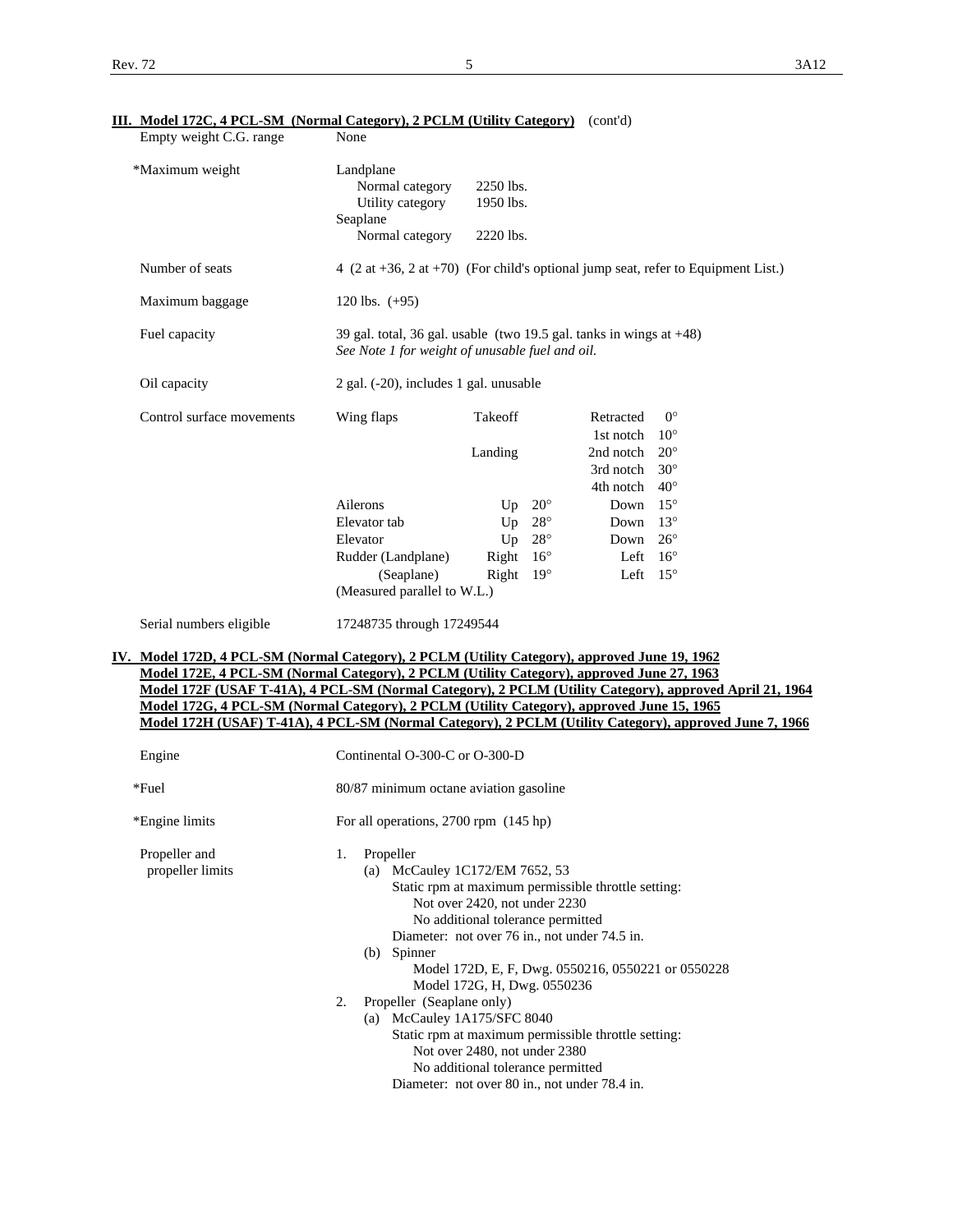| <u>Model 172C, <math>\pm 1</math> CL-SM (Normal Category), 21 CLM (Clinty Category)</u><br>Empty weight C.G. range                                                                                                                                                                                                                                                                                          | None                                                                                                                      |                                                                                                   |                                                                                                                                                            |                                                             |  |
|-------------------------------------------------------------------------------------------------------------------------------------------------------------------------------------------------------------------------------------------------------------------------------------------------------------------------------------------------------------------------------------------------------------|---------------------------------------------------------------------------------------------------------------------------|---------------------------------------------------------------------------------------------------|------------------------------------------------------------------------------------------------------------------------------------------------------------|-------------------------------------------------------------|--|
| *Maximum weight                                                                                                                                                                                                                                                                                                                                                                                             | Landplane<br>Normal category<br>Utility category<br>Seaplane<br>Normal category                                           | 2250 lbs.<br>1950 lbs.<br>2220 lbs.                                                               |                                                                                                                                                            |                                                             |  |
| Number of seats                                                                                                                                                                                                                                                                                                                                                                                             | $4$ (2 at +36, 2 at +70) (For child's optional jump seat, refer to Equipment List.)                                       |                                                                                                   |                                                                                                                                                            |                                                             |  |
| Maximum baggage                                                                                                                                                                                                                                                                                                                                                                                             | 120 lbs. $(+95)$                                                                                                          |                                                                                                   |                                                                                                                                                            |                                                             |  |
|                                                                                                                                                                                                                                                                                                                                                                                                             |                                                                                                                           |                                                                                                   |                                                                                                                                                            |                                                             |  |
| Fuel capacity                                                                                                                                                                                                                                                                                                                                                                                               | 39 gal. total, 36 gal. usable (two 19.5 gal. tanks in wings at $+48$ )<br>See Note 1 for weight of unusable fuel and oil. |                                                                                                   |                                                                                                                                                            |                                                             |  |
| Oil capacity                                                                                                                                                                                                                                                                                                                                                                                                | 2 gal. (-20), includes 1 gal. unusable                                                                                    |                                                                                                   |                                                                                                                                                            |                                                             |  |
| Control surface movements                                                                                                                                                                                                                                                                                                                                                                                   | Wing flaps                                                                                                                | Takeoff<br>Landing                                                                                | Retracted<br>1st notch $10^{\circ}$<br>2nd notch<br>3rd notch<br>4th notch                                                                                 | $0^{\circ}$<br>$20^{\circ}$<br>$30^{\circ}$<br>$40^{\circ}$ |  |
|                                                                                                                                                                                                                                                                                                                                                                                                             | Ailerons                                                                                                                  | Up $20^{\circ}$                                                                                   | Down                                                                                                                                                       | $15^{\circ}$                                                |  |
|                                                                                                                                                                                                                                                                                                                                                                                                             | Elevator tab                                                                                                              | Up $28^\circ$                                                                                     | Down $13^\circ$                                                                                                                                            |                                                             |  |
|                                                                                                                                                                                                                                                                                                                                                                                                             | Elevator                                                                                                                  | Up $28^\circ$                                                                                     | Down 26°                                                                                                                                                   |                                                             |  |
|                                                                                                                                                                                                                                                                                                                                                                                                             | Rudder (Landplane)                                                                                                        | Right $16^{\circ}$                                                                                |                                                                                                                                                            | Left $16^{\circ}$                                           |  |
|                                                                                                                                                                                                                                                                                                                                                                                                             | (Seaplane)<br>(Measured parallel to W.L.)                                                                                 | Right $19^\circ$                                                                                  |                                                                                                                                                            | Left $15^{\circ}$                                           |  |
| Serial numbers eligible                                                                                                                                                                                                                                                                                                                                                                                     | 17248735 through 17249544                                                                                                 |                                                                                                   |                                                                                                                                                            |                                                             |  |
| IV. Model 172D, 4 PCL-SM (Normal Category), 2 PCLM (Utility Category), approved June 19, 1962                                                                                                                                                                                                                                                                                                               |                                                                                                                           |                                                                                                   |                                                                                                                                                            |                                                             |  |
| Model 172E, 4 PCL-SM (Normal Category), 2 PCLM (Utility Category), approved June 27, 1963<br>Model 172F (USAF T-41A), 4 PCL-SM (Normal Category), 2 PCLM (Utility Category), approved April 21, 1964<br>Model 172G, 4 PCL-SM (Normal Category), 2 PCLM (Utility Category), approved June 15, 1965<br>Model 172H (USAF) T-41A), 4 PCL-SM (Normal Category), 2 PCLM (Utility Category), approved June 7, 1966 |                                                                                                                           |                                                                                                   |                                                                                                                                                            |                                                             |  |
| Engine                                                                                                                                                                                                                                                                                                                                                                                                      | Continental O-300-C or O-300-D                                                                                            |                                                                                                   |                                                                                                                                                            |                                                             |  |
| *Fuel                                                                                                                                                                                                                                                                                                                                                                                                       | 80/87 minimum octane aviation gasoline                                                                                    |                                                                                                   |                                                                                                                                                            |                                                             |  |
| *Engine limits                                                                                                                                                                                                                                                                                                                                                                                              | For all operations, 2700 rpm (145 hp)                                                                                     |                                                                                                   |                                                                                                                                                            |                                                             |  |
| Propeller and<br>propeller limits                                                                                                                                                                                                                                                                                                                                                                           | 1.<br>Propeller<br>(a) McCauley 1C172/EM 7652, 53<br>(b) Spinner                                                          | Not over 2420, not under 2230<br>No additional tolerance permitted<br>Model 172G, H, Dwg. 0550236 | Static rpm at maximum permissible throttle setting:<br>Diameter: not over 76 in., not under 74.5 in.<br>Model 172D, E, F, Dwg. 0550216, 0550221 or 0550228 |                                                             |  |
|                                                                                                                                                                                                                                                                                                                                                                                                             | Propeller (Seaplane only)<br>2.<br>(a) McCauley 1A175/SFC 8040                                                            |                                                                                                   |                                                                                                                                                            |                                                             |  |
|                                                                                                                                                                                                                                                                                                                                                                                                             |                                                                                                                           |                                                                                                   | Static rpm at maximum permissible throttle setting:                                                                                                        |                                                             |  |
|                                                                                                                                                                                                                                                                                                                                                                                                             |                                                                                                                           |                                                                                                   |                                                                                                                                                            |                                                             |  |

# **III. Model 172C, 4 PCL-SM (Normal Category), 2 PCLM (Utility Category)** (cont'd)

 Not over 2480, not under 2380 No additional tolerance permitted

Diameter: not over 80 in., not under 78.4 in.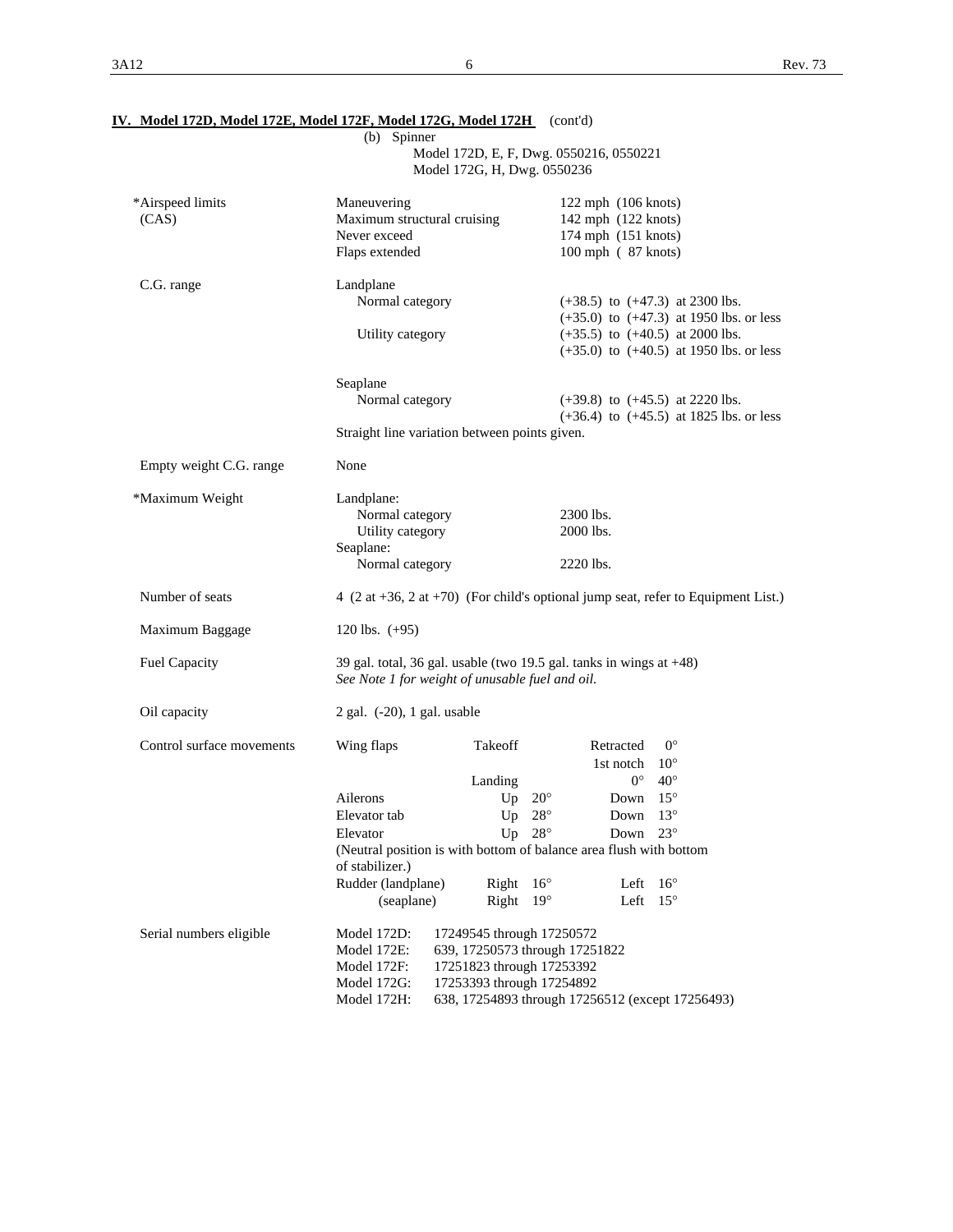|                           | (b) Spinner<br>Model 172D, E, F, Dwg. 0550216, 0550221<br>Model 172G, H, Dwg. 0550236                                         |                                                                                                                       |                                              |                                                                                                                                                                          |                                                                                     |  |  |
|---------------------------|-------------------------------------------------------------------------------------------------------------------------------|-----------------------------------------------------------------------------------------------------------------------|----------------------------------------------|--------------------------------------------------------------------------------------------------------------------------------------------------------------------------|-------------------------------------------------------------------------------------|--|--|
| *Airspeed limits<br>(CAS) | Maneuvering<br>Maximum structural cruising<br>Never exceed<br>Flaps extended                                                  |                                                                                                                       |                                              | 122 mph (106 knots)<br>142 mph (122 knots)<br>174 mph (151 knots)<br>100 mph (87 knots)                                                                                  |                                                                                     |  |  |
| C.G. range                | Landplane<br>Normal category<br>Utility category                                                                              |                                                                                                                       |                                              | $(+38.5)$ to $(+47.3)$ at 2300 lbs.<br>$(+35.0)$ to $(+47.3)$ at 1950 lbs. or less<br>$(+35.5)$ to $(+40.5)$ at 2000 lbs.<br>$(+35.0)$ to $(+40.5)$ at 1950 lbs. or less |                                                                                     |  |  |
|                           | Seaplane<br>Normal category<br>Straight line variation between points given.                                                  |                                                                                                                       |                                              |                                                                                                                                                                          | $(+39.8)$ to $(+45.5)$ at 2220 lbs.<br>$(+36.4)$ to $(+45.5)$ at 1825 lbs. or less  |  |  |
| Empty weight C.G. range   | None                                                                                                                          |                                                                                                                       |                                              |                                                                                                                                                                          |                                                                                     |  |  |
| *Maximum Weight           | Landplane:<br>Normal category<br>Utility category<br>Seaplane:<br>Normal category                                             |                                                                                                                       |                                              | 2300 lbs.<br>2000 lbs.<br>2220 lbs.                                                                                                                                      |                                                                                     |  |  |
| Number of seats           |                                                                                                                               |                                                                                                                       |                                              |                                                                                                                                                                          | $4$ (2 at +36, 2 at +70) (For child's optional jump seat, refer to Equipment List.) |  |  |
| Maximum Baggage           | 120 lbs. $(+95)$                                                                                                              |                                                                                                                       |                                              |                                                                                                                                                                          |                                                                                     |  |  |
| Fuel Capacity             | 39 gal. total, 36 gal. usable (two 19.5 gal. tanks in wings at $+48$ )<br>See Note 1 for weight of unusable fuel and oil.     |                                                                                                                       |                                              |                                                                                                                                                                          |                                                                                     |  |  |
| Oil capacity              | $2$ gal. $(-20)$ , 1 gal. usable                                                                                              |                                                                                                                       |                                              |                                                                                                                                                                          |                                                                                     |  |  |
| Control surface movements | Wing flaps                                                                                                                    | Takeoff<br>Landing                                                                                                    |                                              | Retracted<br>1st notch<br>$0^{\circ}$                                                                                                                                    | $0^{\circ}$<br>$10^{\circ}$<br>$40^{\circ}$                                         |  |  |
|                           | Ailerons<br>Elevator tab<br>Elevator<br>(Neutral position is with bottom of balance area flush with bottom<br>of stabilizer.) | Up<br>Up<br>Up                                                                                                        | $20^{\circ}$<br>$28^{\circ}$<br>$28^{\circ}$ | Down<br>Down<br>Down                                                                                                                                                     | $15^{\circ}$<br>$13^{\circ}$<br>$23^{\circ}$                                        |  |  |
|                           | Rudder (landplane)<br>(seaplane)                                                                                              | Right<br>Right                                                                                                        | $16^{\circ}$<br>$19^\circ$                   | Left<br>Left                                                                                                                                                             | $16^{\circ}$<br>$15^{\circ}$                                                        |  |  |
| Serial numbers eligible   | Model 172D:<br>Model 172E:<br>Model 172F:<br>Model 172G:<br>Model 172H:                                                       | 17249545 through 17250572<br>639, 17250573 through 17251822<br>17251823 through 17253392<br>17253393 through 17254892 |                                              |                                                                                                                                                                          | 638, 17254893 through 17256512 (except 17256493)                                    |  |  |

# **IV. Model 172D, Model 172E, Model 172F, Model 172G, Model 172H** (cont'd)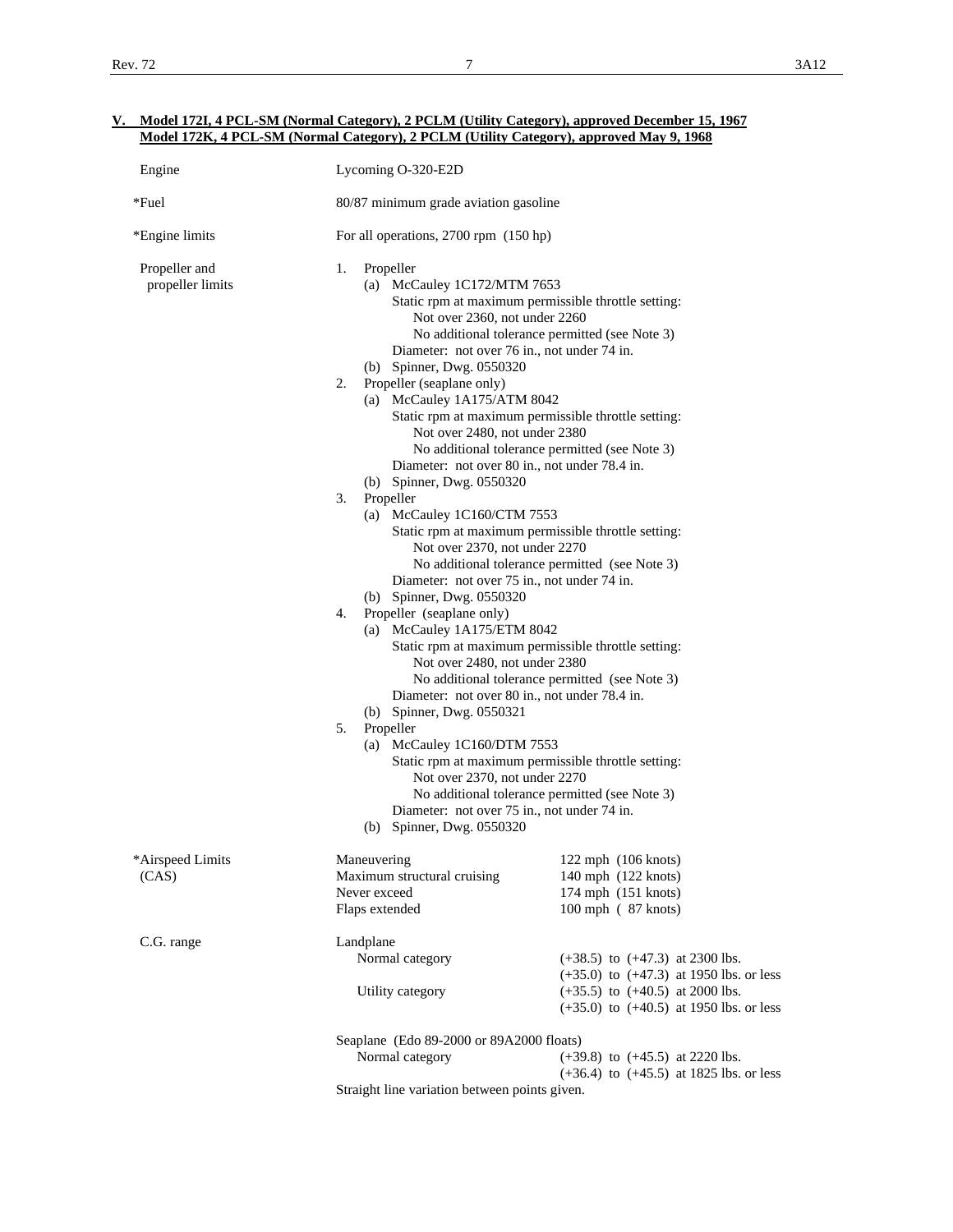| Engine                            | Lycoming O-320-E2D                                                                                                                                                                                                                                  |                                                                                                                                                                                                                      |  |  |  |  |  |
|-----------------------------------|-----------------------------------------------------------------------------------------------------------------------------------------------------------------------------------------------------------------------------------------------------|----------------------------------------------------------------------------------------------------------------------------------------------------------------------------------------------------------------------|--|--|--|--|--|
| *Fuel                             |                                                                                                                                                                                                                                                     | 80/87 minimum grade aviation gasoline                                                                                                                                                                                |  |  |  |  |  |
| *Engine limits                    | For all operations, 2700 rpm (150 hp)                                                                                                                                                                                                               |                                                                                                                                                                                                                      |  |  |  |  |  |
| Propeller and<br>propeller limits | Propeller<br>1.<br>(b) Spinner, Dwg. 0550320<br>2.<br>Propeller (seaplane only)                                                                                                                                                                     | (a) McCauley 1C172/MTM 7653<br>Static rpm at maximum permissible throttle setting:<br>Not over 2360, not under 2260<br>No additional tolerance permitted (see Note 3)<br>Diameter: not over 76 in., not under 74 in. |  |  |  |  |  |
|                                   | (a) McCauley $1A175/ATM8042$<br>Not over 2480, not under 2380<br>Diameter: not over 80 in., not under 78.4 in.                                                                                                                                      | Static rpm at maximum permissible throttle setting:<br>No additional tolerance permitted (see Note 3)                                                                                                                |  |  |  |  |  |
|                                   | (b) Spinner, Dwg. 0550320<br>3.<br>Propeller<br>(a) McCauley $1C160/CTM$ 7553<br>Static rpm at maximum permissible throttle setting:<br>Not over 2370, not under 2270                                                                               |                                                                                                                                                                                                                      |  |  |  |  |  |
|                                   | No additional tolerance permitted (see Note 3)<br>Diameter: not over 75 in., not under 74 in.<br>(b) Spinner, Dwg. 0550320<br>Propeller (seaplane only)<br>4.<br>(a) McCauley 1A175/ETM 8042<br>Static rpm at maximum permissible throttle setting: |                                                                                                                                                                                                                      |  |  |  |  |  |
|                                   | Not over 2480, not under 2380<br>No additional tolerance permitted (see Note 3)<br>Diameter: not over 80 in., not under 78.4 in.<br>(b) Spinner, Dwg. 0550321<br>5.<br>Propeller<br>(a) McCauley $1C160/DTM$ 7553                                   |                                                                                                                                                                                                                      |  |  |  |  |  |
|                                   | Not over 2370, not under 2270<br>Diameter: not over 75 in., not under 74 in.<br>(b) Spinner, Dwg. 0550320                                                                                                                                           | Static rpm at maximum permissible throttle setting:<br>No additional tolerance permitted (see Note 3)                                                                                                                |  |  |  |  |  |
| *Airspeed Limits<br>(CAS)         | Maneuvering<br>Maximum structural cruising<br>Never exceed<br>Flaps extended                                                                                                                                                                        | 122 mph (106 knots)<br>140 mph (122 knots)<br>174 mph (151 knots)<br>100 mph (87 knots)                                                                                                                              |  |  |  |  |  |
| C.G. range                        | Landplane<br>Normal category                                                                                                                                                                                                                        | $(+38.5)$ to $(+47.3)$ at 2300 lbs.<br>$(+35.0)$ to $(+47.3)$ at 1950 lbs. or less                                                                                                                                   |  |  |  |  |  |
|                                   | Utility category                                                                                                                                                                                                                                    | $(+35.5)$ to $(+40.5)$ at 2000 lbs.<br>$(+35.0)$ to $(+40.5)$ at 1950 lbs. or less                                                                                                                                   |  |  |  |  |  |
|                                   | Seaplane (Edo 89-2000 or 89A2000 floats)<br>Normal category                                                                                                                                                                                         | $(+39.8)$ to $(+45.5)$ at 2220 lbs.<br>$(+36.4)$ to $(+45.5)$ at 1825 lbs. or less                                                                                                                                   |  |  |  |  |  |
|                                   | Straight line variation between points given.                                                                                                                                                                                                       |                                                                                                                                                                                                                      |  |  |  |  |  |

### **V. Model 172I, 4 PCL-SM (Normal Category), 2 PCLM (Utility Category), approved December 15, 1967 Model 172K, 4 PCL-SM (Normal Category), 2 PCLM (Utility Category), approved May 9, 1968**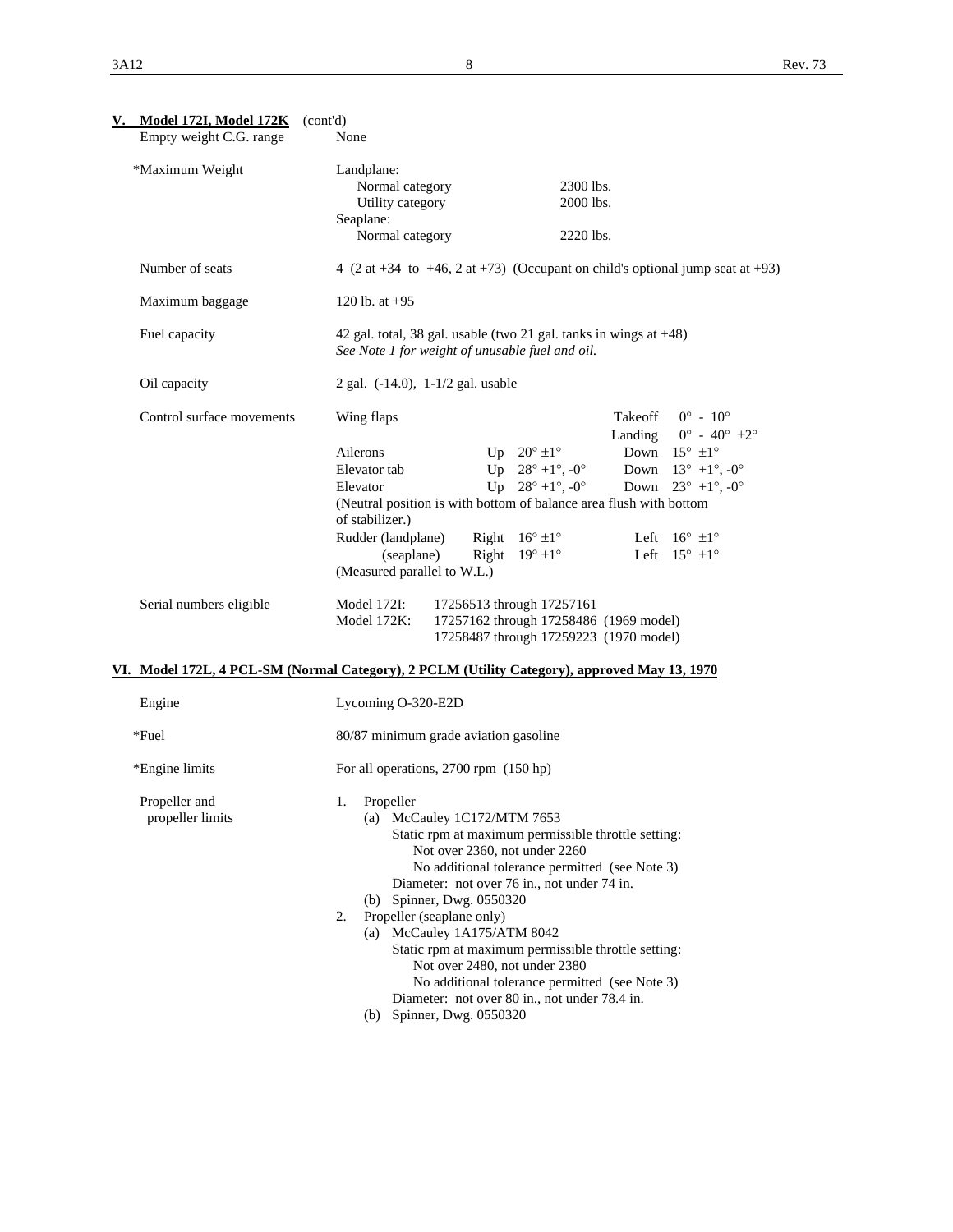| <u>V. Model 172I, Model 172K</u><br>Empty weight C.G. range | (cont'd)<br>None                                                                                                                                                                                                                                                                                                                                                                                                                                                                                                                                               |                                                                                                                                                                                                                                                                                                                                                                                                                                                                                                                                          |  |  |  |
|-------------------------------------------------------------|----------------------------------------------------------------------------------------------------------------------------------------------------------------------------------------------------------------------------------------------------------------------------------------------------------------------------------------------------------------------------------------------------------------------------------------------------------------------------------------------------------------------------------------------------------------|------------------------------------------------------------------------------------------------------------------------------------------------------------------------------------------------------------------------------------------------------------------------------------------------------------------------------------------------------------------------------------------------------------------------------------------------------------------------------------------------------------------------------------------|--|--|--|
| *Maximum Weight                                             | Landplane:<br>Normal category<br>Utility category<br>Seaplane:<br>Normal category                                                                                                                                                                                                                                                                                                                                                                                                                                                                              | 2300 lbs.<br>2000 lbs.<br>2220 lbs.                                                                                                                                                                                                                                                                                                                                                                                                                                                                                                      |  |  |  |
| Number of seats                                             |                                                                                                                                                                                                                                                                                                                                                                                                                                                                                                                                                                | 4 (2 at +34 to +46, 2 at +73) (Occupant on child's optional jump seat at +93)                                                                                                                                                                                                                                                                                                                                                                                                                                                            |  |  |  |
| Maximum baggage                                             | 120 lb. at $+95$                                                                                                                                                                                                                                                                                                                                                                                                                                                                                                                                               |                                                                                                                                                                                                                                                                                                                                                                                                                                                                                                                                          |  |  |  |
| Fuel capacity                                               | See Note 1 for weight of unusable fuel and oil.                                                                                                                                                                                                                                                                                                                                                                                                                                                                                                                | 42 gal. total, 38 gal. usable (two 21 gal. tanks in wings at $+48$ )                                                                                                                                                                                                                                                                                                                                                                                                                                                                     |  |  |  |
| Oil capacity                                                | 2 gal. (-14.0), 1-1/2 gal. usable                                                                                                                                                                                                                                                                                                                                                                                                                                                                                                                              |                                                                                                                                                                                                                                                                                                                                                                                                                                                                                                                                          |  |  |  |
| Control surface movements                                   | Wing flaps<br>Ailerons<br>Elevator tab<br>Elevator<br>of stabilizer.)<br>Rudder (landplane)<br>(seaplane)                                                                                                                                                                                                                                                                                                                                                                                                                                                      | Takeoff<br>$0^{\circ}$ - 10 <sup>o</sup><br>Landing $0^\circ$ - $40^\circ \pm 2^\circ$<br>Up $20^\circ \pm 1^\circ$<br>Down $15^{\circ}$ $\pm 1^{\circ}$<br>Up $28^{\circ} + 1^{\circ}$ , $-0^{\circ}$<br>Down $13^{\circ}$ +1°, -0°<br>Up $28^{\circ} + 1^{\circ}$ , $-0^{\circ}$<br>Down $23^{\circ}$ +1°, -0°<br>(Neutral position is with bottom of balance area flush with bottom<br>Right $16^{\circ} \pm 1^{\circ}$<br>Left $16^{\circ}$ $\pm 1^{\circ}$<br>Right $19^{\circ} \pm 1^{\circ}$<br>Left $15^{\circ}$ $\pm 1^{\circ}$ |  |  |  |
|                                                             | (Measured parallel to W.L.)                                                                                                                                                                                                                                                                                                                                                                                                                                                                                                                                    |                                                                                                                                                                                                                                                                                                                                                                                                                                                                                                                                          |  |  |  |
| Serial numbers eligible                                     | 17256513 through 17257161<br>Model 172I:<br>17257162 through 17258486 (1969 model)<br>Model 172K:<br>17258487 through 17259223 (1970 model)                                                                                                                                                                                                                                                                                                                                                                                                                    |                                                                                                                                                                                                                                                                                                                                                                                                                                                                                                                                          |  |  |  |
|                                                             |                                                                                                                                                                                                                                                                                                                                                                                                                                                                                                                                                                | VI. Model 172L, 4 PCL-SM (Normal Category), 2 PCLM (Utility Category), approved May 13, 1970                                                                                                                                                                                                                                                                                                                                                                                                                                             |  |  |  |
| Engine                                                      | Lycoming O-320-E2D                                                                                                                                                                                                                                                                                                                                                                                                                                                                                                                                             |                                                                                                                                                                                                                                                                                                                                                                                                                                                                                                                                          |  |  |  |
| *Fuel                                                       | 80/87 minimum grade aviation gasoline                                                                                                                                                                                                                                                                                                                                                                                                                                                                                                                          |                                                                                                                                                                                                                                                                                                                                                                                                                                                                                                                                          |  |  |  |
| *Engine limits                                              | For all operations, 2700 rpm (150 hp)                                                                                                                                                                                                                                                                                                                                                                                                                                                                                                                          |                                                                                                                                                                                                                                                                                                                                                                                                                                                                                                                                          |  |  |  |
| Propeller and<br>propeller limits                           | Propeller<br>1.<br>(a) McCauley 1C172/MTM 7653<br>Static rpm at maximum permissible throttle setting:<br>Not over 2360, not under 2260<br>No additional tolerance permitted (see Note 3)<br>Diameter: not over 76 in., not under 74 in.<br>(b) Spinner, Dwg. 0550320<br>Propeller (seaplane only)<br>2.<br>(a) McCauley 1A175/ATM 8042<br>Static rpm at maximum permissible throttle setting:<br>Not over 2480, not under 2380<br>No additional tolerance permitted (see Note 3)<br>Diameter: not over 80 in., not under 78.4 in.<br>(b) Spinner, Dwg. 0550320 |                                                                                                                                                                                                                                                                                                                                                                                                                                                                                                                                          |  |  |  |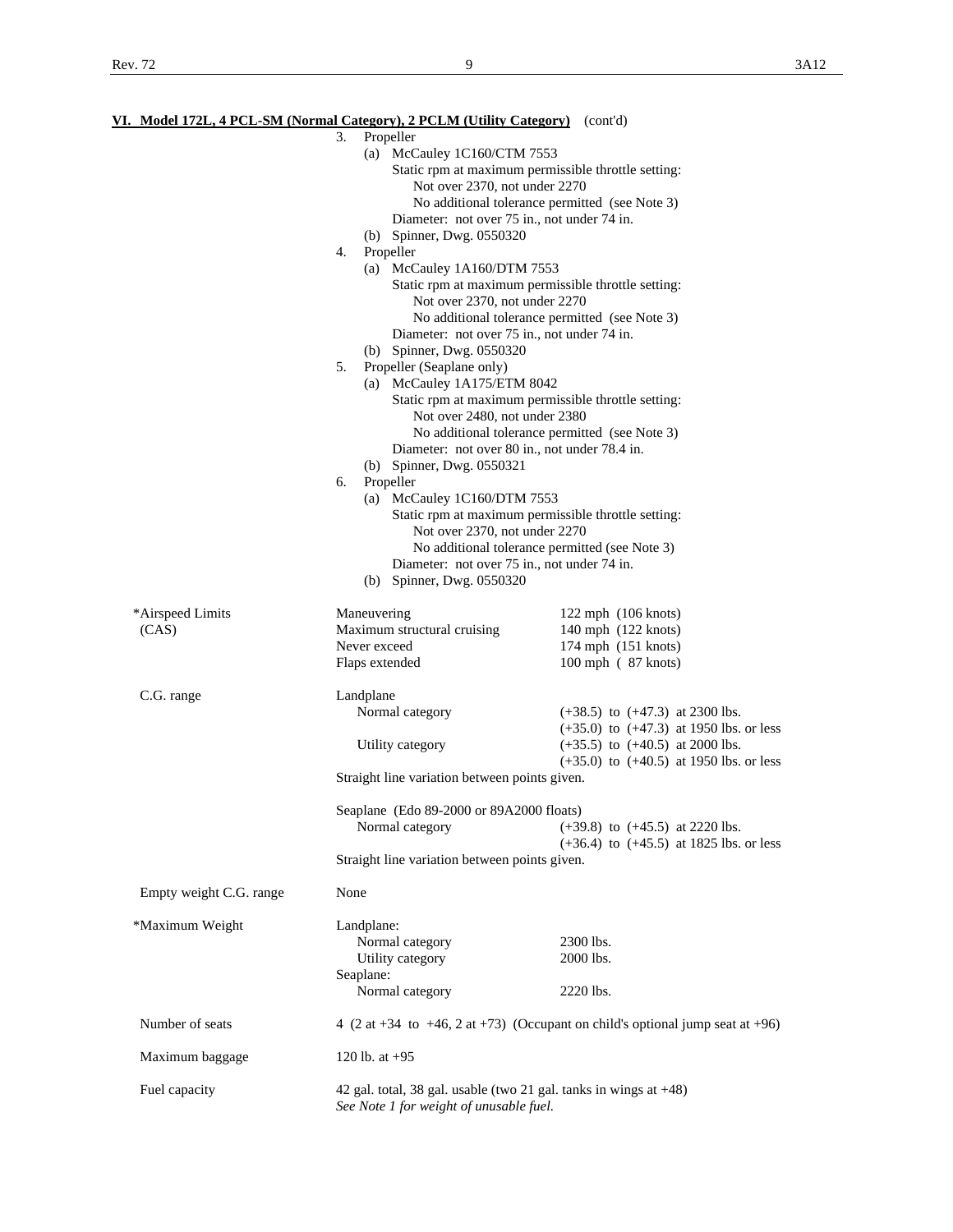|                         | VI. Model 172L, 4 PCL-SM (Normal Category), 2 PCLM (Utility Category) (cont'd) |                                                                                               |
|-------------------------|--------------------------------------------------------------------------------|-----------------------------------------------------------------------------------------------|
|                         | 3.<br>Propeller                                                                |                                                                                               |
|                         | (a) McCauley $1C160/CTM$ 7553                                                  |                                                                                               |
|                         | Not over 2370, not under 2270                                                  | Static rpm at maximum permissible throttle setting:                                           |
|                         |                                                                                | No additional tolerance permitted (see Note 3)                                                |
|                         |                                                                                | Diameter: not over 75 in., not under 74 in.                                                   |
|                         | (b) Spinner, Dwg. 0550320                                                      |                                                                                               |
|                         | Propeller<br>4.                                                                |                                                                                               |
|                         | (a) McCauley $1A160/DTM$ 7553                                                  |                                                                                               |
|                         |                                                                                | Static rpm at maximum permissible throttle setting:                                           |
|                         | Not over 2370, not under 2270                                                  |                                                                                               |
|                         |                                                                                | No additional tolerance permitted (see Note 3)                                                |
|                         |                                                                                | Diameter: not over 75 in., not under 74 in.                                                   |
|                         | (b) Spinner, Dwg. 0550320                                                      |                                                                                               |
|                         | Propeller (Seaplane only)<br>5.                                                |                                                                                               |
|                         | (a) McCauley 1A175/ETM 8042                                                    |                                                                                               |
|                         |                                                                                | Static rpm at maximum permissible throttle setting:                                           |
|                         | Not over 2480, not under 2380                                                  |                                                                                               |
|                         |                                                                                | No additional tolerance permitted (see Note 3)                                                |
|                         |                                                                                | Diameter: not over 80 in., not under 78.4 in.                                                 |
|                         | (b) Spinner, Dwg. 0550321                                                      |                                                                                               |
|                         | Propeller<br>6.                                                                |                                                                                               |
|                         | McCauley 1C160/DTM 7553<br>(a)                                                 |                                                                                               |
|                         |                                                                                | Static rpm at maximum permissible throttle setting:                                           |
|                         | Not over 2370, not under 2270                                                  |                                                                                               |
|                         |                                                                                | No additional tolerance permitted (see Note 3)<br>Diameter: not over 75 in., not under 74 in. |
|                         | (b) Spinner, Dwg. 0550320                                                      |                                                                                               |
|                         |                                                                                |                                                                                               |
| *Airspeed Limits        | Maneuvering                                                                    | $122$ mph $(106$ knots)                                                                       |
| (CAS)                   | Maximum structural cruising                                                    | 140 mph (122 knots)                                                                           |
|                         | Never exceed                                                                   | 174 mph (151 knots)                                                                           |
|                         | Flaps extended                                                                 | 100 mph (87 knots)                                                                            |
|                         |                                                                                |                                                                                               |
| C.G. range              | Landplane                                                                      |                                                                                               |
|                         | Normal category                                                                | $(+38.5)$ to $(+47.3)$ at 2300 lbs.                                                           |
|                         |                                                                                | $(+35.0)$ to $(+47.3)$ at 1950 lbs. or less                                                   |
|                         | Utility category                                                               | $(+35.5)$ to $(+40.5)$ at 2000 lbs.                                                           |
|                         |                                                                                | $(+35.0)$ to $(+40.5)$ at 1950 lbs. or less                                                   |
|                         | Straight line variation between points given.                                  |                                                                                               |
|                         | Seaplane (Edo 89-2000 or 89A2000 floats)                                       |                                                                                               |
|                         | Normal category                                                                | $(+39.8)$ to $(+45.5)$ at 2220 lbs.                                                           |
|                         |                                                                                | $(+36.4)$ to $(+45.5)$ at 1825 lbs. or less                                                   |
|                         | Straight line variation between points given.                                  |                                                                                               |
|                         |                                                                                |                                                                                               |
| Empty weight C.G. range | None                                                                           |                                                                                               |
|                         |                                                                                |                                                                                               |
| *Maximum Weight         | Landplane:                                                                     |                                                                                               |
|                         | Normal category                                                                | 2300 lbs.                                                                                     |
|                         | Utility category                                                               | 2000 lbs.                                                                                     |
|                         | Seaplane:                                                                      |                                                                                               |
|                         | Normal category                                                                | 2220 lbs.                                                                                     |
| Number of seats         |                                                                                | 4 (2 at +34 to +46, 2 at +73) (Occupant on child's optional jump seat at +96)                 |
|                         |                                                                                |                                                                                               |
| Maximum baggage         | 120 lb. at $+95$                                                               |                                                                                               |
|                         |                                                                                |                                                                                               |
| Fuel capacity           |                                                                                | 42 gal. total, 38 gal. usable (two 21 gal. tanks in wings at $+48$ )                          |
|                         | See Note 1 for weight of unusable fuel.                                        |                                                                                               |
|                         |                                                                                |                                                                                               |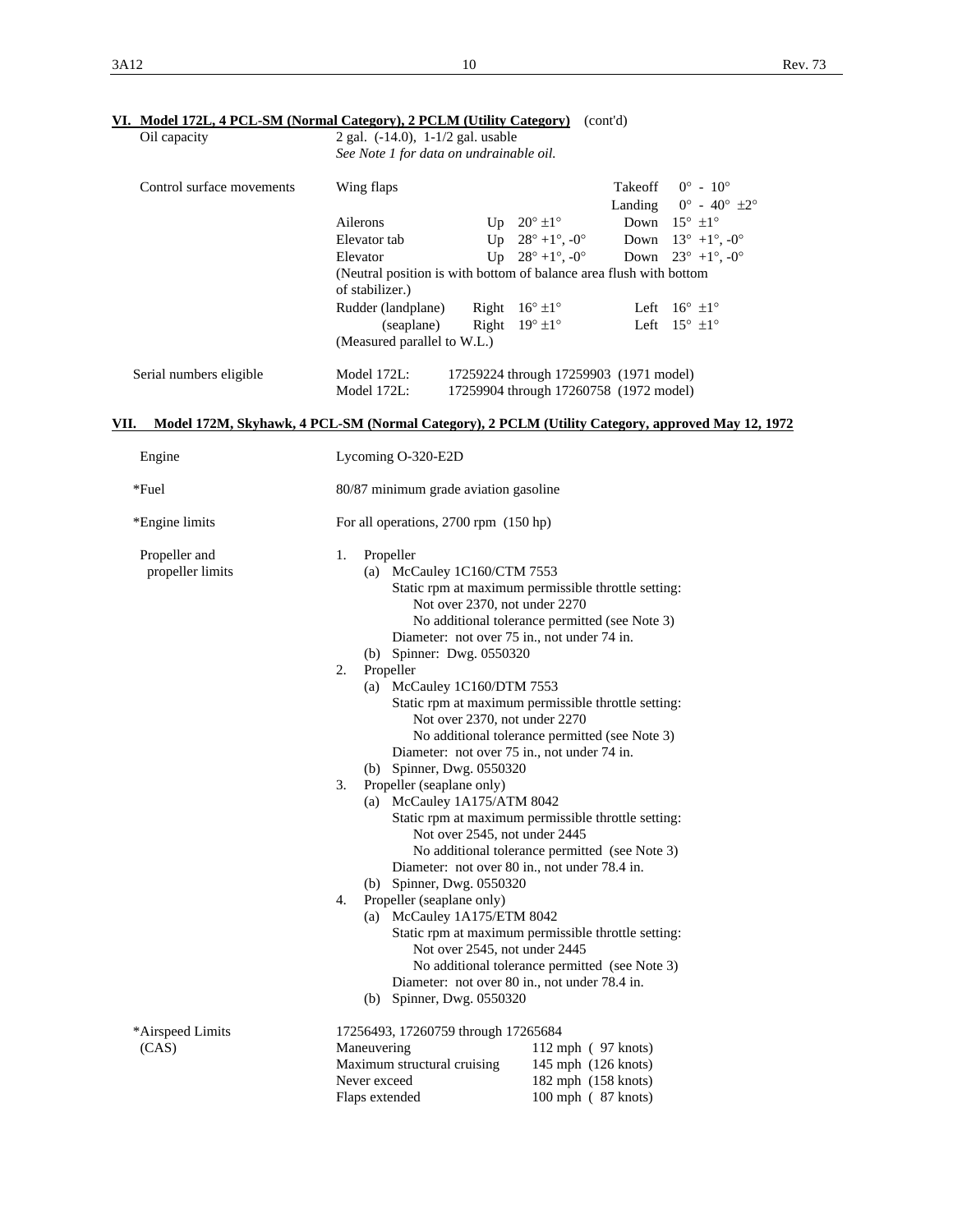# **VI. Model 172L, 4 PCL-SM (Normal Category), 2 PCLM (Utility Category)** (cont'd)

| Oil capacity              | <u>VI. MOdel 172L, 4 PCL-SM (Normal Category), 2 PCLM (Utility Category)</u><br>2 gal. (-14.0), 1-1/2 gal. usable |                                                                                  | (cont a) |                                                                                 |  |
|---------------------------|-------------------------------------------------------------------------------------------------------------------|----------------------------------------------------------------------------------|----------|---------------------------------------------------------------------------------|--|
|                           | See Note 1 for data on undrainable oil.                                                                           |                                                                                  |          |                                                                                 |  |
| Control surface movements | Wing flaps                                                                                                        |                                                                                  | Takeoff  | $0^{\circ} - 10^{\circ}$                                                        |  |
|                           | Ailerons                                                                                                          | Up $20^{\circ}$ ±1°                                                              | Landing  | $0^{\circ}$ - $40^{\circ}$ $\pm 2^{\circ}$<br>Down $15^{\circ}$ $\pm 1^{\circ}$ |  |
|                           | Elevator tab                                                                                                      | Up $28^{\circ} + 1^{\circ}$ , -0°                                                |          | Down $13^{\circ}$ +1°, -0°                                                      |  |
|                           | Elevator                                                                                                          | Up $28^{\circ} + 1^{\circ}$ , $-0^{\circ}$                                       | Down     | $23^{\circ}$ +1°, -0°                                                           |  |
|                           | (Neutral position is with bottom of balance area flush with bottom<br>of stabilizer.)                             |                                                                                  |          |                                                                                 |  |
|                           | Rudder (landplane)                                                                                                | Right $16^{\circ} \pm 1^{\circ}$                                                 |          | Left $16^{\circ}$ $\pm 1^{\circ}$                                               |  |
|                           | (seaplane)<br>(Measured parallel to W.L.)                                                                         | Right $19^{\circ} \pm 1^{\circ}$                                                 |          | Left $15^{\circ}$ $\pm 1^{\circ}$                                               |  |
| Serial numbers eligible   | Model 172L:<br>Model 172L:                                                                                        | 17259224 through 17259903 (1971 model)<br>17259904 through 17260758 (1972 model) |          |                                                                                 |  |
| VII.                      | Model 172M, Skyhawk, 4 PCL-SM (Normal Category), 2 PCLM (Utility Category, approved May 12, 1972                  |                                                                                  |          |                                                                                 |  |
| Engine                    | Lycoming O-320-E2D                                                                                                |                                                                                  |          |                                                                                 |  |
| *Fuel                     | 80/87 minimum grade aviation gasoline                                                                             |                                                                                  |          |                                                                                 |  |
| *Engine limits            | For all operations, 2700 rpm (150 hp)                                                                             |                                                                                  |          |                                                                                 |  |
| Propeller and             | Propeller<br>1.                                                                                                   |                                                                                  |          |                                                                                 |  |
| propeller limits          | (a) McCauley $1C160/CTM$ 7553                                                                                     |                                                                                  |          |                                                                                 |  |
|                           | Static rpm at maximum permissible throttle setting:                                                               |                                                                                  |          |                                                                                 |  |
|                           | Not over 2370, not under 2270                                                                                     |                                                                                  |          |                                                                                 |  |
|                           | No additional tolerance permitted (see Note 3)<br>Diameter: not over 75 in., not under 74 in.                     |                                                                                  |          |                                                                                 |  |
|                           |                                                                                                                   |                                                                                  |          |                                                                                 |  |
|                           | (b) Spinner: Dwg. 0550320<br>Propeller<br>2.                                                                      |                                                                                  |          |                                                                                 |  |
|                           | (a) McCauley 1C160/DTM 7553                                                                                       |                                                                                  |          |                                                                                 |  |
|                           | Static rpm at maximum permissible throttle setting:                                                               |                                                                                  |          |                                                                                 |  |
|                           | Not over 2370, not under 2270                                                                                     |                                                                                  |          |                                                                                 |  |
|                           | No additional tolerance permitted (see Note 3)                                                                    |                                                                                  |          |                                                                                 |  |
|                           | Diameter: not over 75 in., not under 74 in.                                                                       |                                                                                  |          |                                                                                 |  |
|                           | (b) Spinner, Dwg. 0550320                                                                                         |                                                                                  |          |                                                                                 |  |
|                           | Propeller (seaplane only)<br>3.                                                                                   |                                                                                  |          |                                                                                 |  |
|                           | (a) McCauley 1A175/ATM 8042                                                                                       |                                                                                  |          |                                                                                 |  |
|                           | Static rpm at maximum permissible throttle setting:                                                               |                                                                                  |          |                                                                                 |  |
|                           | Not over 2545, not under 2445                                                                                     |                                                                                  |          |                                                                                 |  |
|                           | Diameter: not over 80 in., not under 78.4 in.                                                                     | No additional tolerance permitted (see Note 3)                                   |          |                                                                                 |  |
|                           | (b) Spinner, Dwg. 0550320                                                                                         |                                                                                  |          |                                                                                 |  |
|                           | Propeller (seaplane only)<br>4.                                                                                   |                                                                                  |          |                                                                                 |  |
|                           | (a) McCauley 1A175/ETM 8042                                                                                       |                                                                                  |          |                                                                                 |  |
|                           | Static rpm at maximum permissible throttle setting:                                                               |                                                                                  |          |                                                                                 |  |
|                           | Not over 2545, not under 2445                                                                                     |                                                                                  |          |                                                                                 |  |
|                           | No additional tolerance permitted (see Note 3)                                                                    |                                                                                  |          |                                                                                 |  |
|                           | Diameter: not over 80 in., not under 78.4 in.                                                                     |                                                                                  |          |                                                                                 |  |
|                           | (b) Spinner, Dwg. 0550320                                                                                         |                                                                                  |          |                                                                                 |  |
| *Airspeed Limits          | 17256493, 17260759 through 17265684                                                                               |                                                                                  |          |                                                                                 |  |
| (CAS)                     | Maneuvering<br>Maximum structural cruising                                                                        | $112$ mph $(97$ knots)<br>145 mph (126 knots)                                    |          |                                                                                 |  |
|                           | Never exceed                                                                                                      | 182 mph (158 knots)                                                              |          |                                                                                 |  |
|                           | Flaps extended                                                                                                    | 100 mph (87 knots)                                                               |          |                                                                                 |  |
|                           |                                                                                                                   |                                                                                  |          |                                                                                 |  |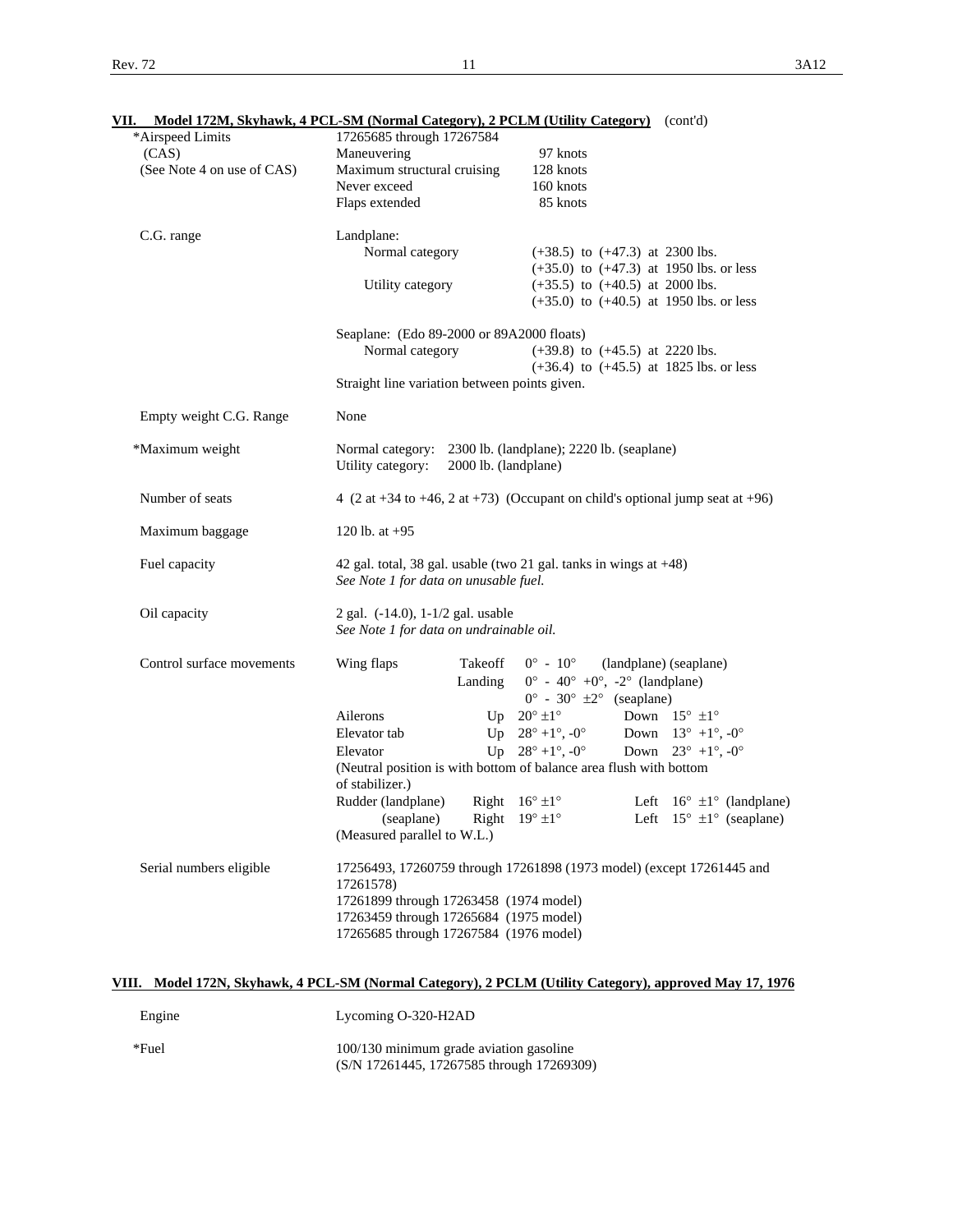| ٠ |  |  |  |
|---|--|--|--|

| VII.                                |                                                                              | Model 172M, Skyhawk, 4 PCL-SM (Normal Category), 2 PCLM (Utility Category) (cont'd) |
|-------------------------------------|------------------------------------------------------------------------------|-------------------------------------------------------------------------------------|
| *Airspeed Limits                    | 17265685 through 17267584                                                    |                                                                                     |
| (CAS)<br>(See Note 4 on use of CAS) | Maneuvering<br>Maximum structural cruising                                   | 97 knots<br>128 knots                                                               |
|                                     | Never exceed                                                                 | 160 knots                                                                           |
|                                     |                                                                              | 85 knots                                                                            |
|                                     | Flaps extended                                                               |                                                                                     |
| C.G. range                          | Landplane:                                                                   |                                                                                     |
|                                     | Normal category                                                              | $(+38.5)$ to $(+47.3)$ at 2300 lbs.                                                 |
|                                     |                                                                              | $(+35.0)$ to $(+47.3)$ at 1950 lbs. or less                                         |
|                                     | Utility category                                                             | $(+35.5)$ to $(+40.5)$ at 2000 lbs.                                                 |
|                                     |                                                                              | $(+35.0)$ to $(+40.5)$ at 1950 lbs. or less                                         |
|                                     | Seaplane: (Edo 89-2000 or 89A2000 floats)                                    |                                                                                     |
|                                     | Normal category                                                              | $(+39.8)$ to $(+45.5)$ at 2220 lbs.                                                 |
|                                     |                                                                              | $(+36.4)$ to $(+45.5)$ at 1825 lbs. or less                                         |
|                                     | Straight line variation between points given.                                |                                                                                     |
| Empty weight C.G. Range             | None                                                                         |                                                                                     |
|                                     |                                                                              |                                                                                     |
| *Maximum weight                     |                                                                              | Normal category: 2300 lb. (landplane); 2220 lb. (seaplane)                          |
|                                     | Utility category:                                                            | 2000 lb. (landplane)                                                                |
| Number of seats                     |                                                                              | 4 (2 at +34 to +46, 2 at +73) (Occupant on child's optional jump seat at +96)       |
| Maximum baggage                     | 120 lb. at $+95$                                                             |                                                                                     |
| Fuel capacity                       | See Note 1 for data on unusable fuel.                                        | 42 gal. total, 38 gal. usable (two 21 gal. tanks in wings at $+48$ )                |
| Oil capacity                        | 2 gal. (-14.0), 1-1/2 gal. usable<br>See Note 1 for data on undrainable oil. |                                                                                     |
| Control surface movements           | Wing flaps<br>Takeoff                                                        | $0^{\circ}$ - $10^{\circ}$<br>(landplane) (seaplane)                                |
|                                     |                                                                              | $0^{\circ}$ - 40° +0°, -2° (landplane)                                              |
|                                     | Landing                                                                      |                                                                                     |
|                                     |                                                                              | $0^{\circ}$ - 30° $\pm 2^{\circ}$ (seaplane)                                        |
|                                     | Ailerons                                                                     | Up $20^\circ \pm 1^\circ$<br>Down $15^{\circ}$ $\pm 1^{\circ}$                      |
|                                     | Elevator tab                                                                 | Up $28^{\circ} + 1^{\circ}$ , $-0^{\circ}$<br>Down $13^{\circ}$ +1°, -0°            |
|                                     | Elevator                                                                     | Up $28^{\circ} + 1^{\circ}$ , $-0^{\circ}$<br>Down $23^{\circ}$ +1°, -0°            |
|                                     | of stabilizer.)                                                              | (Neutral position is with bottom of balance area flush with bottom                  |
|                                     | Rudder (landplane)<br>Right                                                  | $16^\circ \pm 1^\circ$<br>Left $16^{\circ} \pm 1^{\circ}$ (landplane)               |
|                                     | (seaplane)                                                                   | Left $15^{\circ} \pm 1^{\circ}$ (seaplane)<br>Right $19^{\circ} \pm 1^{\circ}$      |
|                                     | (Measured parallel to W.L.)                                                  |                                                                                     |
| Serial numbers eligible             |                                                                              | 17256493, 17260759 through 17261898 (1973 model) (except 17261445 and               |
|                                     | 17261578)                                                                    |                                                                                     |
|                                     | 17261899 through 17263458 (1974 model)                                       |                                                                                     |
|                                     | 17263459 through 17265684 (1975 model)                                       |                                                                                     |
|                                     | 17265685 through 17267584 (1976 model)                                       |                                                                                     |
|                                     |                                                                              |                                                                                     |
|                                     |                                                                              |                                                                                     |

# **VIII. Model 172N, Skyhawk, 4 PCL-SM (Normal Category), 2 PCLM (Utility Category), approved May 17, 1976**

| Engine | Lycoming O-320-H2AD                                                                  |
|--------|--------------------------------------------------------------------------------------|
| *Fuel  | 100/130 minimum grade aviation gasoline<br>(S/N 17261445, 17267585 through 17269309) |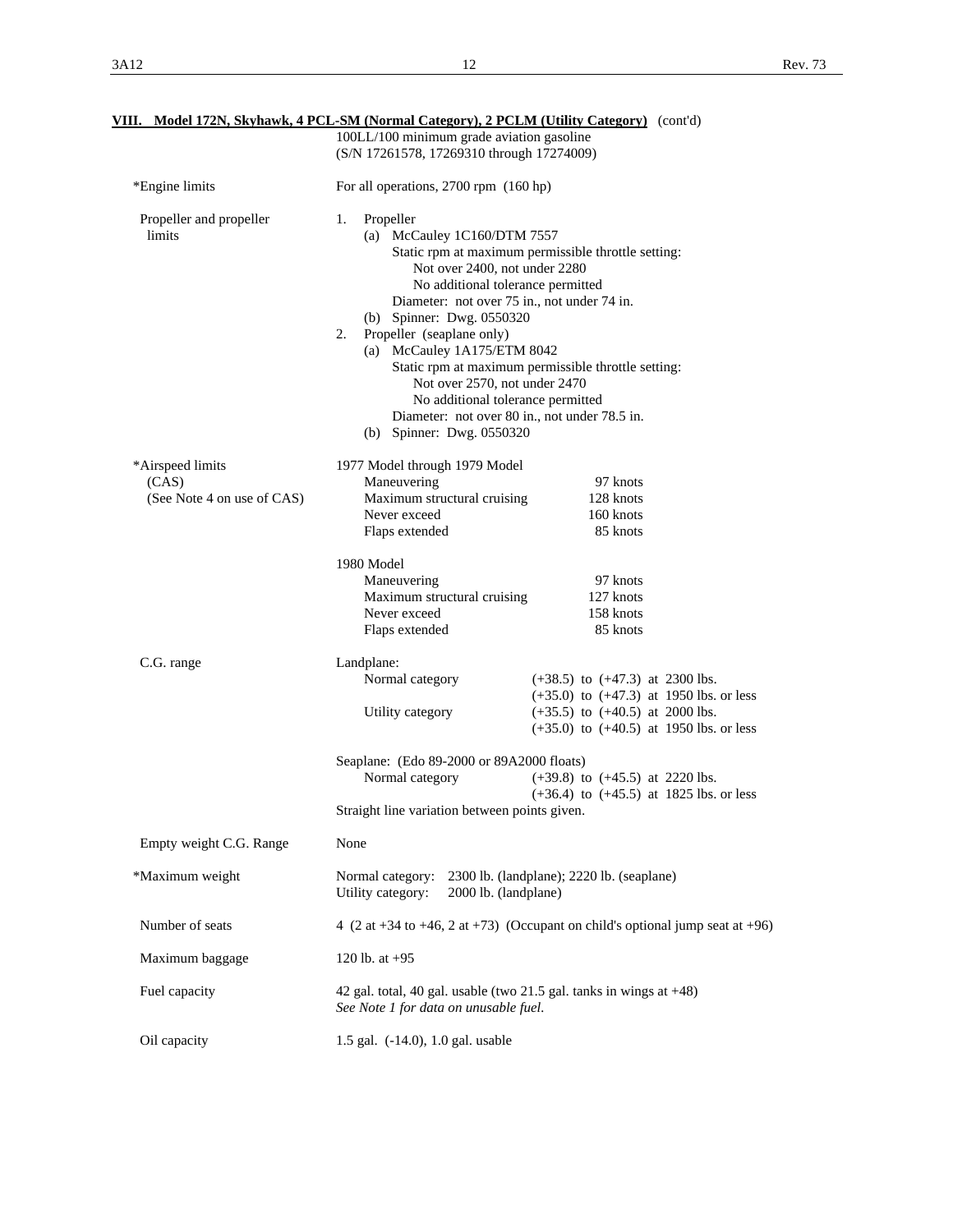| VIII. Model 172N, Skyhawk, 4 PCL-SM (Normal Category), 2 PCLM (Utility Category) (cont'd) |                                                                                                                                                                                                                                                                                                                        |                                                                                                                                                                                                                 |  |  |
|-------------------------------------------------------------------------------------------|------------------------------------------------------------------------------------------------------------------------------------------------------------------------------------------------------------------------------------------------------------------------------------------------------------------------|-----------------------------------------------------------------------------------------------------------------------------------------------------------------------------------------------------------------|--|--|
|                                                                                           | 100LL/100 minimum grade aviation gasoline                                                                                                                                                                                                                                                                              |                                                                                                                                                                                                                 |  |  |
|                                                                                           | (S/N 17261578, 17269310 through 17274009)                                                                                                                                                                                                                                                                              |                                                                                                                                                                                                                 |  |  |
| *Engine limits                                                                            | For all operations, 2700 rpm (160 hp)                                                                                                                                                                                                                                                                                  |                                                                                                                                                                                                                 |  |  |
| Propeller and propeller<br>limits                                                         | Propeller<br>1.<br>(a) McCauley 1C160/DTM 7557<br>Not over 2400, not under 2280<br>No additional tolerance permitted<br>(b) Spinner: Dwg. 0550320<br>Propeller (seaplane only)<br>2.<br>(a) McCauley 1A175/ETM 8042<br>Not over 2570, not under 2470<br>No additional tolerance permitted<br>(b) Spinner: Dwg. 0550320 | Static rpm at maximum permissible throttle setting:<br>Diameter: not over 75 in., not under 74 in.<br>Static rpm at maximum permissible throttle setting:<br>Diameter: not over 80 in., not under 78.5 in.      |  |  |
| *Airspeed limits<br>(CAS)<br>(See Note 4 on use of CAS)                                   | 1977 Model through 1979 Model<br>Maneuvering<br>Maximum structural cruising<br>Never exceed<br>Flaps extended                                                                                                                                                                                                          | 97 knots<br>128 knots<br>160 knots<br>85 knots                                                                                                                                                                  |  |  |
|                                                                                           | 1980 Model<br>Maneuvering<br>Maximum structural cruising<br>Never exceed<br>Flaps extended                                                                                                                                                                                                                             | 97 knots<br>127 knots<br>158 knots<br>85 knots                                                                                                                                                                  |  |  |
| C.G. range                                                                                | Landplane:<br>Normal category<br>Utility category<br>Seaplane: (Edo 89-2000 or 89A2000 floats)<br>Normal category                                                                                                                                                                                                      | $(+38.5)$ to $(+47.3)$ at 2300 lbs.<br>$(+35.0)$ to $(+47.3)$ at 1950 lbs. or less<br>$(+35.5)$ to $(+40.5)$ at 2000 lbs.<br>$(+35.0)$ to $(+40.5)$ at 1950 lbs. or less<br>$(+39.8)$ to $(+45.5)$ at 2220 lbs. |  |  |
|                                                                                           |                                                                                                                                                                                                                                                                                                                        | $(+36.4)$ to $(+45.5)$ at 1825 lbs. or less                                                                                                                                                                     |  |  |
|                                                                                           | Straight line variation between points given.                                                                                                                                                                                                                                                                          |                                                                                                                                                                                                                 |  |  |
| Empty weight C.G. Range                                                                   | None                                                                                                                                                                                                                                                                                                                   |                                                                                                                                                                                                                 |  |  |
| *Maximum weight                                                                           | Normal category:<br>Utility category:<br>2000 lb. (landplane)                                                                                                                                                                                                                                                          | 2300 lb. (landplane); 2220 lb. (seaplane)                                                                                                                                                                       |  |  |
| Number of seats                                                                           | 4 (2 at +34 to +46, 2 at +73) (Occupant on child's optional jump seat at +96)                                                                                                                                                                                                                                          |                                                                                                                                                                                                                 |  |  |
| Maximum baggage                                                                           | 120 lb. at $+95$                                                                                                                                                                                                                                                                                                       |                                                                                                                                                                                                                 |  |  |
| Fuel capacity                                                                             | See Note 1 for data on unusable fuel.                                                                                                                                                                                                                                                                                  | 42 gal. total, 40 gal. usable (two 21.5 gal. tanks in wings at $+48$ )                                                                                                                                          |  |  |
| Oil capacity                                                                              | 1.5 gal. (-14.0), 1.0 gal. usable                                                                                                                                                                                                                                                                                      |                                                                                                                                                                                                                 |  |  |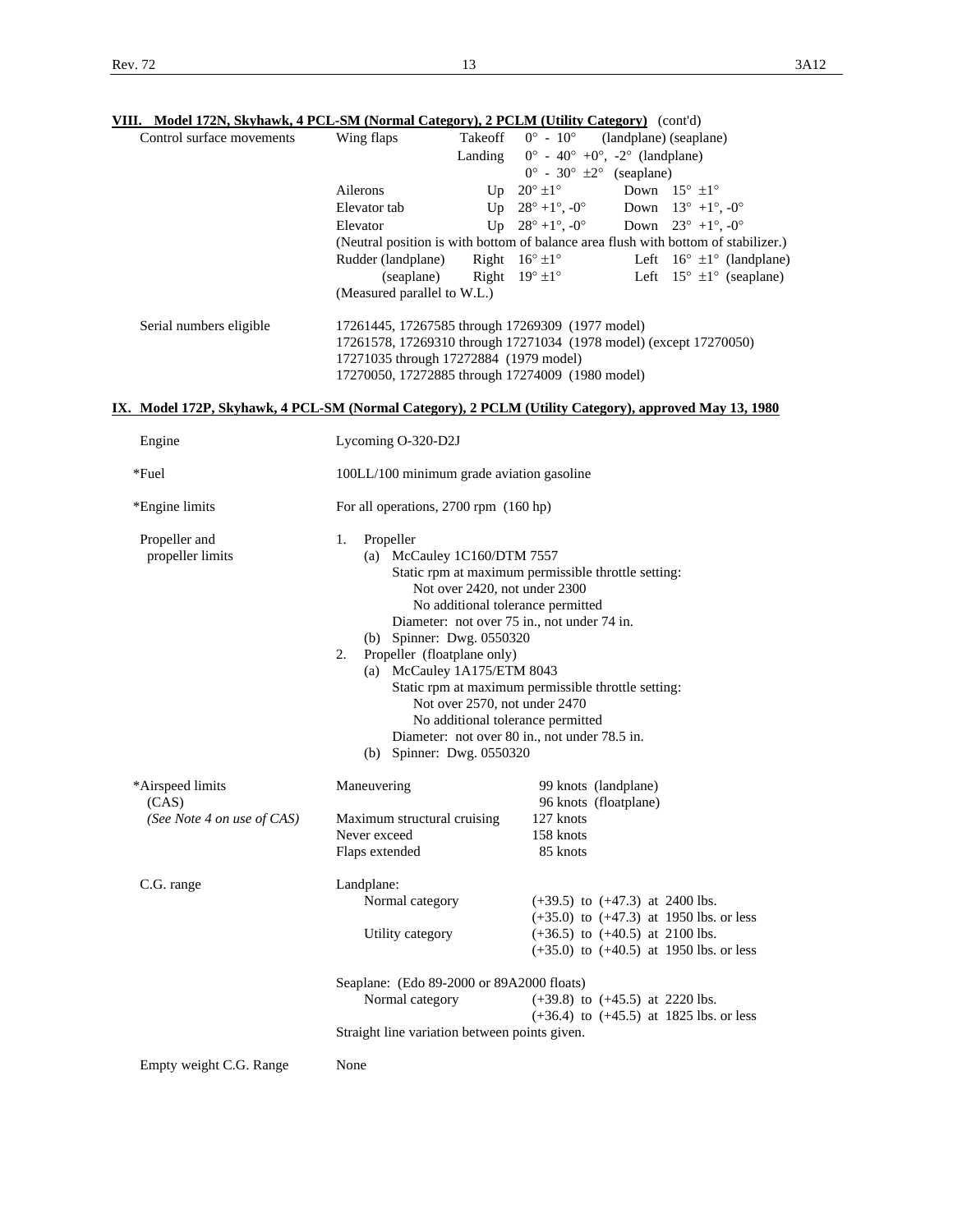| Control surface movements         | Wing flaps<br>Takeoff                                                                                                                          | $0^{\circ}$ - $10^{\circ}$<br>(landplane) (seaplane)                                                  |
|-----------------------------------|------------------------------------------------------------------------------------------------------------------------------------------------|-------------------------------------------------------------------------------------------------------|
|                                   | Landing                                                                                                                                        | $0^{\circ}$ - 40° +0°, -2° (landplane)<br>$0^{\circ}$ - 30° $\pm 2^{\circ}$ (seaplane)                |
|                                   | Ailerons                                                                                                                                       | Down $15^{\circ}$ $\pm 1^{\circ}$<br>Up $20^\circ \pm 1^\circ$                                        |
|                                   | Elevator tab                                                                                                                                   | Up $28^{\circ} + 1^{\circ}$ , $-0^{\circ}$<br>Down $13^{\circ}$ +1°, -0°                              |
|                                   | Elevator                                                                                                                                       | Up $28^{\circ} + 1^{\circ}$ , $-0^{\circ}$<br>Down $23^{\circ}$ +1°, -0°                              |
|                                   |                                                                                                                                                | (Neutral position is with bottom of balance area flush with bottom of stabilizer.)                    |
|                                   | Rudder (landplane)                                                                                                                             | Right $16^{\circ} \pm 1^{\circ}$<br>Left $16^{\circ} \pm 1^{\circ}$ (landplane)                       |
|                                   | (seaplane)                                                                                                                                     | Right $19^{\circ} \pm 1^{\circ}$<br>Left $15^{\circ} \pm 1^{\circ}$ (seaplane)                        |
|                                   | (Measured parallel to W.L.)                                                                                                                    |                                                                                                       |
| Serial numbers eligible           | 17261445, 17267585 through 17269309 (1977 model)<br>17271035 through 17272884 (1979 model)<br>17270050, 17272885 through 17274009 (1980 model) | 17261578, 17269310 through 17271034 (1978 model) (except 17270050)                                    |
|                                   |                                                                                                                                                | IX. Model 172P, Skyhawk, 4 PCL-SM (Normal Category), 2 PCLM (Utility Category), approved May 13, 1980 |
| Engine                            | Lycoming O-320-D2J                                                                                                                             |                                                                                                       |
| *Fuel                             | 100LL/100 minimum grade aviation gasoline                                                                                                      |                                                                                                       |
| *Engine limits                    | For all operations, 2700 rpm (160 hp)                                                                                                          |                                                                                                       |
| Propeller and<br>propeller limits | Propeller<br>1.<br>(a) McCauley 1C160/DTM 7557                                                                                                 |                                                                                                       |
|                                   |                                                                                                                                                | Static rpm at maximum permissible throttle setting:                                                   |
|                                   | Not over 2420, not under 2300                                                                                                                  |                                                                                                       |
|                                   | No additional tolerance permitted                                                                                                              |                                                                                                       |
|                                   | Diameter: not over 75 in., not under 74 in.                                                                                                    |                                                                                                       |
|                                   | (b) Spinner: Dwg. 0550320                                                                                                                      |                                                                                                       |
|                                   | Propeller (floatplane only)<br>2.                                                                                                              |                                                                                                       |
|                                   | (a) McCauley 1A175/ETM 8043                                                                                                                    | Static rpm at maximum permissible throttle setting:                                                   |
|                                   | Not over 2570, not under 2470                                                                                                                  |                                                                                                       |
|                                   | No additional tolerance permitted                                                                                                              |                                                                                                       |
|                                   |                                                                                                                                                | Diameter: not over 80 in., not under 78.5 in.                                                         |
|                                   | (b) Spinner: Dwg. 0550320                                                                                                                      |                                                                                                       |
| *Airspeed limits                  | Maneuvering                                                                                                                                    | 99 knots (landplane)                                                                                  |
| (CAS)                             |                                                                                                                                                | 96 knots (floatplane)                                                                                 |
| (See Note 4 on use of CAS)        | Maximum structural cruising<br>Never exceed                                                                                                    | 127 knots<br>158 knots                                                                                |
|                                   | Flaps extended                                                                                                                                 | 85 knots                                                                                              |
| C.G. range                        | Landplane:                                                                                                                                     |                                                                                                       |
|                                   | Normal category                                                                                                                                | $(+39.5)$ to $(+47.3)$ at 2400 lbs.                                                                   |
|                                   | Utility category                                                                                                                               | $(+35.0)$ to $(+47.3)$ at 1950 lbs. or less<br>$(+36.5)$ to $(+40.5)$ at 2100 lbs.                    |
|                                   |                                                                                                                                                | $(+35.0)$ to $(+40.5)$ at 1950 lbs. or less                                                           |
|                                   | Seaplane: (Edo 89-2000 or 89A2000 floats)                                                                                                      |                                                                                                       |
|                                   | Normal category                                                                                                                                | $(+39.8)$ to $(+45.5)$ at 2220 lbs.                                                                   |
|                                   | Straight line variation between points given.                                                                                                  | $(+36.4)$ to $(+45.5)$ at 1825 lbs. or less                                                           |
| Empty weight C.G. Range           | None                                                                                                                                           |                                                                                                       |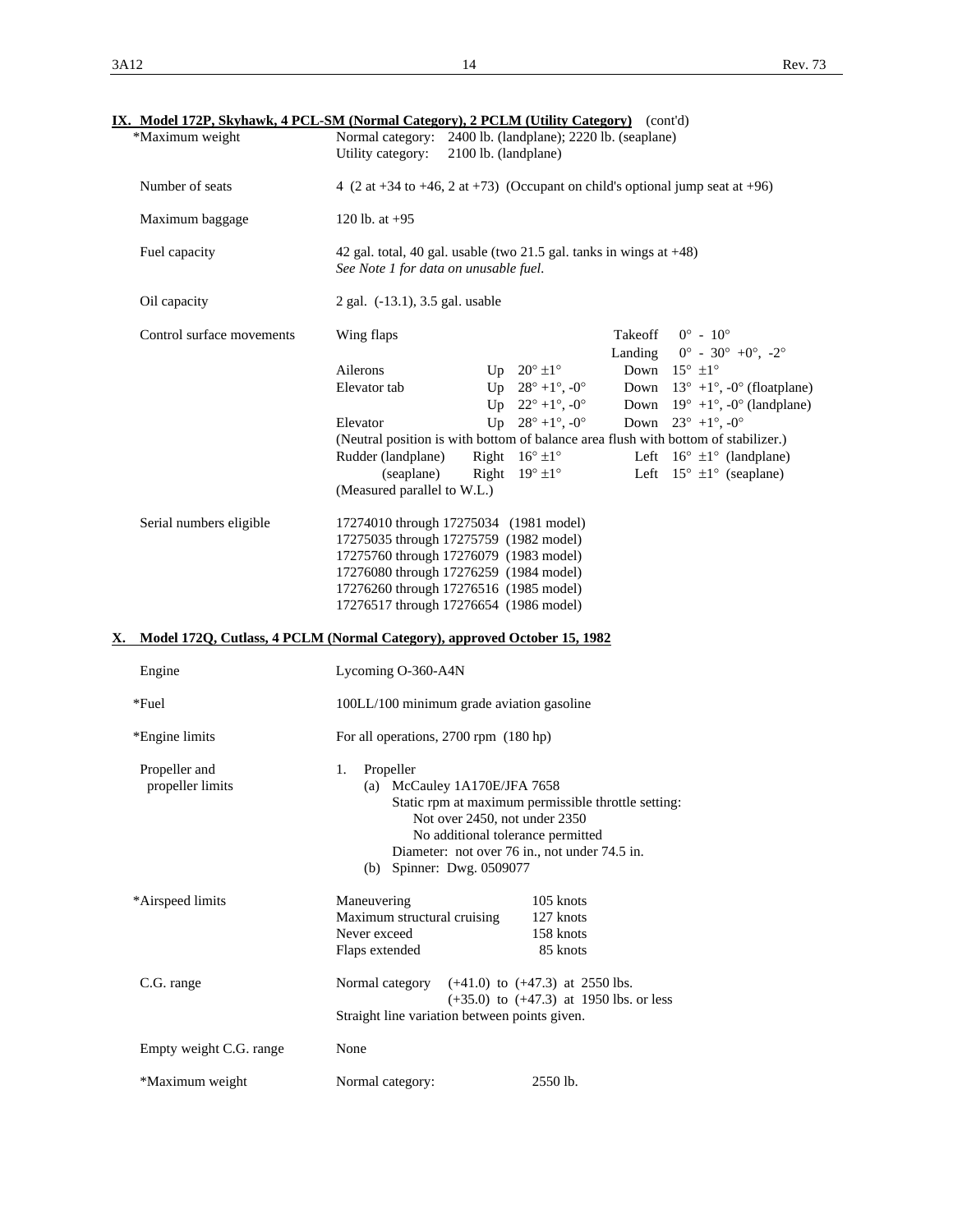| *Maximum weight                   | IX. Model 172P, Skyhawk, 4 PCL-SM (Normal Category), 2 PCLM (Utility Category) (cont'd)<br>Normal category: 2400 lb. (landplane); 2220 lb. (seaplane)                                                                                                                       |
|-----------------------------------|-----------------------------------------------------------------------------------------------------------------------------------------------------------------------------------------------------------------------------------------------------------------------------|
|                                   | Utility category:<br>2100 lb. (landplane)                                                                                                                                                                                                                                   |
| Number of seats                   | 4 (2 at +34 to +46, 2 at +73) (Occupant on child's optional jump seat at +96)                                                                                                                                                                                               |
| Maximum baggage                   | 120 lb. at $+95$                                                                                                                                                                                                                                                            |
| Fuel capacity                     | 42 gal. total, 40 gal. usable (two 21.5 gal. tanks in wings at $+48$ )<br>See Note 1 for data on unusable fuel.                                                                                                                                                             |
| Oil capacity                      | 2 gal. (-13.1), 3.5 gal. usable                                                                                                                                                                                                                                             |
| Control surface movements         | $0^{\circ}$ - $10^{\circ}$<br>Wing flaps<br>Takeoff<br>$0^{\circ}$ - 30° +0°, -2°<br>Landing                                                                                                                                                                                |
|                                   | Down $15^{\circ}$ $\pm 1^{\circ}$<br>Ailerons<br>Up $20^\circ \pm 1^\circ$<br>Elevator tab<br>Up $28^{\circ} + 1^{\circ}$ , $-0^{\circ}$<br>Down $13^{\circ}$ +1°, -0° (floatplane)<br>Up $22^{\circ} + 1^{\circ}$ , $-0^{\circ}$<br>Down $19^{\circ}$ +1°, -0° (landplane) |
|                                   | Up $28^{\circ} + 1^{\circ}$ , $-0^{\circ}$<br>Down $23^{\circ}$ +1°, -0°<br>Elevator                                                                                                                                                                                        |
|                                   | (Neutral position is with bottom of balance area flush with bottom of stabilizer.)<br>Right $16^{\circ} \pm 1^{\circ}$<br>Left $16^{\circ} \pm 1^{\circ}$ (landplane)<br>Rudder (landplane)                                                                                 |
|                                   | Left $15^{\circ} \pm 1^{\circ}$ (seaplane)<br>(seaplane)<br>Right $19^{\circ} \pm 1^{\circ}$                                                                                                                                                                                |
|                                   | (Measured parallel to W.L.)                                                                                                                                                                                                                                                 |
| Serial numbers eligible           | 17274010 through 17275034 (1981 model)<br>17275035 through 17275759 (1982 model)<br>17275760 through 17276079 (1983 model)<br>17276080 through 17276259 (1984 model)<br>17276260 through 17276516 (1985 model)<br>17276517 through 17276654 (1986 model)                    |
| Х.                                | Model 172Q, Cutlass, 4 PCLM (Normal Category), approved October 15, 1982                                                                                                                                                                                                    |
| Engine                            | Lycoming O-360-A4N                                                                                                                                                                                                                                                          |
| *Fuel                             | 100LL/100 minimum grade aviation gasoline                                                                                                                                                                                                                                   |
| *Engine limits                    | For all operations, 2700 rpm (180 hp)                                                                                                                                                                                                                                       |
| Propeller and<br>propeller limits | 1.<br>Propeller<br>(a) McCauley 1A170E/JFA 7658<br>Static rpm at maximum permissible throttle setting:<br>Not over 2450, not under 2350<br>No additional tolerance permitted<br>Diameter: not over 76 in., not under 74.5 in.<br>(b) Spinner: Dwg. 0509077                  |
|                                   |                                                                                                                                                                                                                                                                             |
| *Airspeed limits                  | Maneuvering<br>105 knots<br>127 knots<br>Maximum structural cruising<br>158 knots<br>Never exceed<br>Flaps extended<br>85 knots                                                                                                                                             |
| C.G. range                        | Normal category $(+41.0)$ to $(+47.3)$ at 2550 lbs.<br>$(+35.0)$ to $(+47.3)$ at 1950 lbs. or less<br>Straight line variation between points given.                                                                                                                         |
| Empty weight C.G. range           | None                                                                                                                                                                                                                                                                        |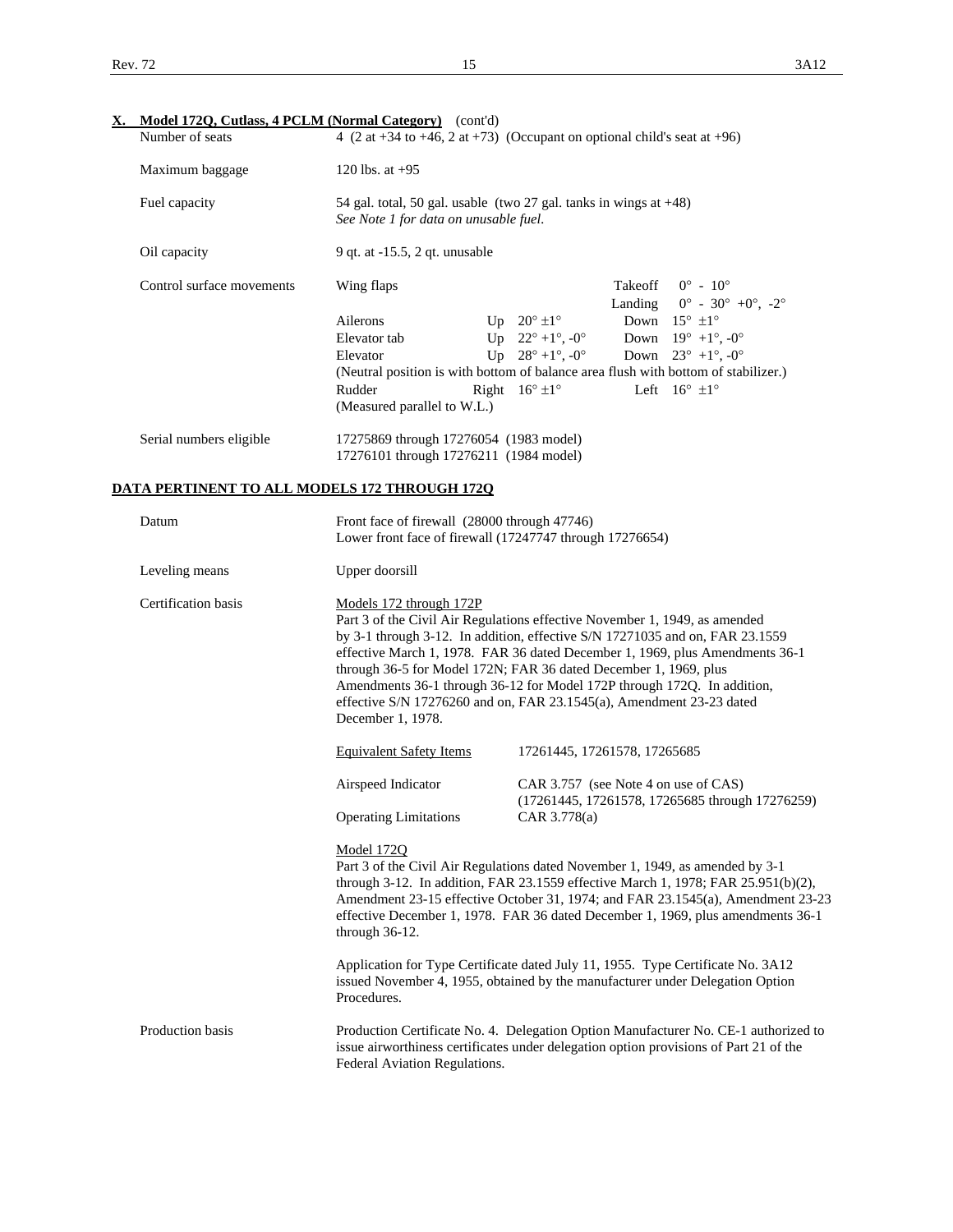| Х.                        | Model 172Q, Cutlass, 4 PCLM (Normal Category) (cont'd)                           |                                                                                                                                                                                                                                                                                                                                                                                                                                                                   |                                                                                                                           |
|---------------------------|----------------------------------------------------------------------------------|-------------------------------------------------------------------------------------------------------------------------------------------------------------------------------------------------------------------------------------------------------------------------------------------------------------------------------------------------------------------------------------------------------------------------------------------------------------------|---------------------------------------------------------------------------------------------------------------------------|
| Number of seats           |                                                                                  | 4 (2 at +34 to +46, 2 at +73) (Occupant on optional child's seat at +96)                                                                                                                                                                                                                                                                                                                                                                                          |                                                                                                                           |
| Maximum baggage           | 120 lbs. at $+95$                                                                |                                                                                                                                                                                                                                                                                                                                                                                                                                                                   |                                                                                                                           |
| Fuel capacity             | See Note 1 for data on unusable fuel.                                            | 54 gal. total, 50 gal. usable (two 27 gal. tanks in wings at +48)                                                                                                                                                                                                                                                                                                                                                                                                 |                                                                                                                           |
| Oil capacity              | 9 qt. at -15.5, 2 qt. unusable                                                   |                                                                                                                                                                                                                                                                                                                                                                                                                                                                   |                                                                                                                           |
| Control surface movements | Wing flaps<br>Ailerons<br>Elevator tab                                           | Takeoff<br>Landing<br>Up $20^{\circ}$ $\pm 1^{\circ}$<br>Up $22^{\circ} + 1^{\circ}$ , $-0^{\circ}$                                                                                                                                                                                                                                                                                                                                                               | $0^{\circ} - 10^{\circ}$<br>$0^{\circ}$ - 30° +0°, -2°<br>Down $15^{\circ}$ $\pm 1^{\circ}$<br>Down $19^{\circ}$ +1°, -0° |
|                           | Elevator<br>Rudder<br>(Measured parallel to W.L.)                                | Up $28^{\circ} + 1^{\circ}$ , $-0^{\circ}$<br>(Neutral position is with bottom of balance area flush with bottom of stabilizer.)<br>Right $16^{\circ} \pm 1^{\circ}$                                                                                                                                                                                                                                                                                              | Down $23^{\circ}$ +1°, -0°<br>Left $16^{\circ}$ $\pm 1^{\circ}$                                                           |
| Serial numbers eligible   | 17275869 through 17276054 (1983 model)<br>17276101 through 17276211 (1984 model) |                                                                                                                                                                                                                                                                                                                                                                                                                                                                   |                                                                                                                           |
|                           | DATA PERTINENT TO ALL MODELS 172 THROUGH 172Q                                    |                                                                                                                                                                                                                                                                                                                                                                                                                                                                   |                                                                                                                           |
| Datum                     | Front face of firewall (28000 through 47746)                                     | Lower front face of firewall (17247747 through 17276654)                                                                                                                                                                                                                                                                                                                                                                                                          |                                                                                                                           |
| Leveling means            | Upper doorsill                                                                   |                                                                                                                                                                                                                                                                                                                                                                                                                                                                   |                                                                                                                           |
| Certification basis       | Models 172 through 172P<br>December 1, 1978.                                     | Part 3 of the Civil Air Regulations effective November 1, 1949, as amended<br>by 3-1 through 3-12. In addition, effective S/N 17271035 and on, FAR 23.1559<br>effective March 1, 1978. FAR 36 dated December 1, 1969, plus Amendments 36-1<br>through 36-5 for Model 172N; FAR 36 dated December 1, 1969, plus<br>Amendments 36-1 through 36-12 for Model 172P through 172Q. In addition,<br>effective S/N 17276260 and on, FAR 23.1545(a), Amendment 23-23 dated |                                                                                                                           |
|                           | <b>Equivalent Safety Items</b>                                                   | 17261445, 17261578, 17265685                                                                                                                                                                                                                                                                                                                                                                                                                                      |                                                                                                                           |
|                           | Airspeed Indicator                                                               | CAR 3.757 (see Note 4 on use of CAS)                                                                                                                                                                                                                                                                                                                                                                                                                              | (17261445, 17261578, 17265685 through 17276259)                                                                           |
|                           | <b>Operating Limitations</b>                                                     | CAR 3.778(a)                                                                                                                                                                                                                                                                                                                                                                                                                                                      |                                                                                                                           |
|                           | <b>Model 172Q</b><br>through $36-12$ .                                           | Part 3 of the Civil Air Regulations dated November 1, 1949, as amended by 3-1<br>through 3-12. In addition, FAR 23.1559 effective March 1, 1978; FAR 25.951(b)(2),<br>effective December 1, 1978. FAR 36 dated December 1, 1969, plus amendments 36-1                                                                                                                                                                                                             | Amendment 23-15 effective October 31, 1974; and FAR 23.1545(a), Amendment 23-23                                           |
|                           | Procedures.                                                                      | Application for Type Certificate dated July 11, 1955. Type Certificate No. 3A12<br>issued November 4, 1955, obtained by the manufacturer under Delegation Option                                                                                                                                                                                                                                                                                                  |                                                                                                                           |
| Production basis          | Federal Aviation Regulations.                                                    | Production Certificate No. 4. Delegation Option Manufacturer No. CE-1 authorized to<br>issue airworthiness certificates under delegation option provisions of Part 21 of the                                                                                                                                                                                                                                                                                      |                                                                                                                           |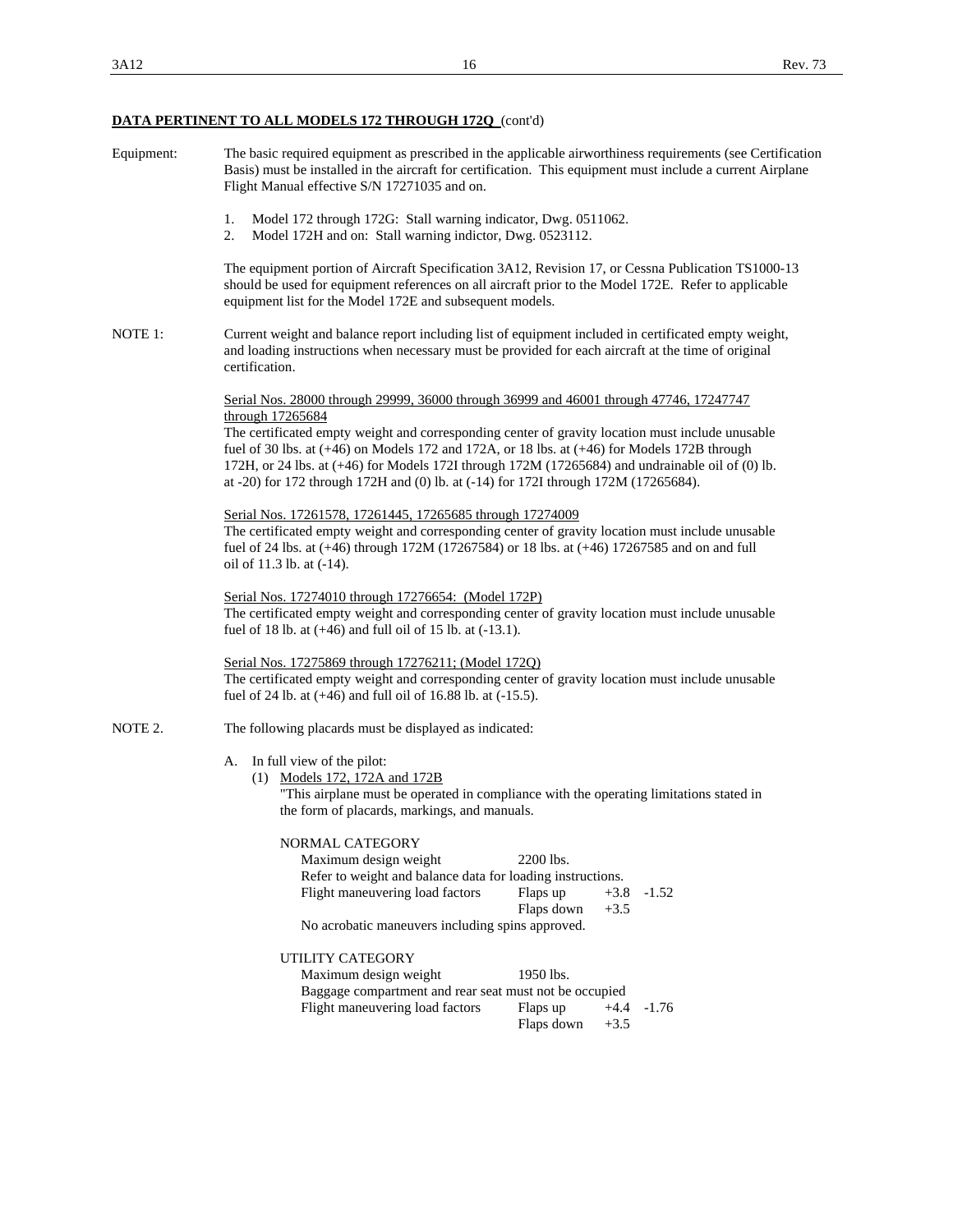| Equipment: | The basic required equipment as prescribed in the applicable airworthiness requirements (see Certification<br>Basis) must be installed in the aircraft for certification. This equipment must include a current Airplane<br>Flight Manual effective S/N 17271035 and on.                                                                                                                                            |
|------------|---------------------------------------------------------------------------------------------------------------------------------------------------------------------------------------------------------------------------------------------------------------------------------------------------------------------------------------------------------------------------------------------------------------------|
|            | Model 172 through 172G: Stall warning indicator, Dwg. 0511062.<br>1.<br>2.<br>Model 172H and on: Stall warning indictor, Dwg. 0523112.                                                                                                                                                                                                                                                                              |
|            | The equipment portion of Aircraft Specification 3A12, Revision 17, or Cessna Publication TS1000-13<br>should be used for equipment references on all aircraft prior to the Model 172E. Refer to applicable<br>equipment list for the Model 172E and subsequent models.                                                                                                                                              |
| NOTE 1:    | Current weight and balance report including list of equipment included in certificated empty weight,<br>and loading instructions when necessary must be provided for each aircraft at the time of original<br>certification.                                                                                                                                                                                        |
|            | Serial Nos. 28000 through 29999, 36000 through 36999 and 46001 through 47746, 17247747                                                                                                                                                                                                                                                                                                                              |
|            | through 17265684<br>The certificated empty weight and corresponding center of gravity location must include unusable<br>fuel of 30 lbs. at $(+46)$ on Models 172 and 172A, or 18 lbs. at $(+46)$ for Models 172B through<br>172H, or 24 lbs. at (+46) for Models 172I through 172M (17265684) and undrainable oil of (0) lb.<br>at -20) for 172 through 172H and (0) lb. at (-14) for 172I through 172M (17265684). |
|            | Serial Nos. 17261578, 17261445, 17265685 through 17274009                                                                                                                                                                                                                                                                                                                                                           |
|            | The certificated empty weight and corresponding center of gravity location must include unusable<br>fuel of 24 lbs. at (+46) through 172M (17267584) or 18 lbs. at (+46) 17267585 and on and full<br>oil of 11.3 lb. at (-14).                                                                                                                                                                                      |
|            | Serial Nos. 17274010 through 17276654: (Model 172P)<br>The certificated empty weight and corresponding center of gravity location must include unusable<br>fuel of 18 lb. at (+46) and full oil of 15 lb. at (-13.1).                                                                                                                                                                                               |
|            | Serial Nos. 17275869 through 17276211; (Model 1720)<br>The certificated empty weight and corresponding center of gravity location must include unusable<br>fuel of 24 lb. at $(+46)$ and full oil of 16.88 lb. at $(-15.5)$ .                                                                                                                                                                                       |
| NOTE 2.    | The following placards must be displayed as indicated:                                                                                                                                                                                                                                                                                                                                                              |
|            | In full view of the pilot:<br>A.<br>(1) Models 172, 172A and 172B<br>"This airplane must be operated in compliance with the operating limitations stated in<br>the form of placards, markings, and manuals.                                                                                                                                                                                                         |
|            | NORMAL CATEGORY                                                                                                                                                                                                                                                                                                                                                                                                     |
|            | Maximum design weight<br>2200 lbs.                                                                                                                                                                                                                                                                                                                                                                                  |
|            | Refer to weight and balance data for loading instructions.                                                                                                                                                                                                                                                                                                                                                          |
|            | Flight maneuvering load factors<br>Flaps up<br>$+3.8$<br>$-1.52$<br>Flaps down<br>$+3.5$                                                                                                                                                                                                                                                                                                                            |
|            | No acrobatic maneuvers including spins approved.                                                                                                                                                                                                                                                                                                                                                                    |
|            | UTILITY CATEGORY                                                                                                                                                                                                                                                                                                                                                                                                    |
|            | 1950 lbs.<br>Maximum design weight                                                                                                                                                                                                                                                                                                                                                                                  |
|            | Baggage compartment and rear seat must not be occupied                                                                                                                                                                                                                                                                                                                                                              |
|            | Flight maneuvering load factors<br>Flaps up<br>$-1.76$<br>$+4.4$<br>$+3.5$<br>Flaps down                                                                                                                                                                                                                                                                                                                            |
|            |                                                                                                                                                                                                                                                                                                                                                                                                                     |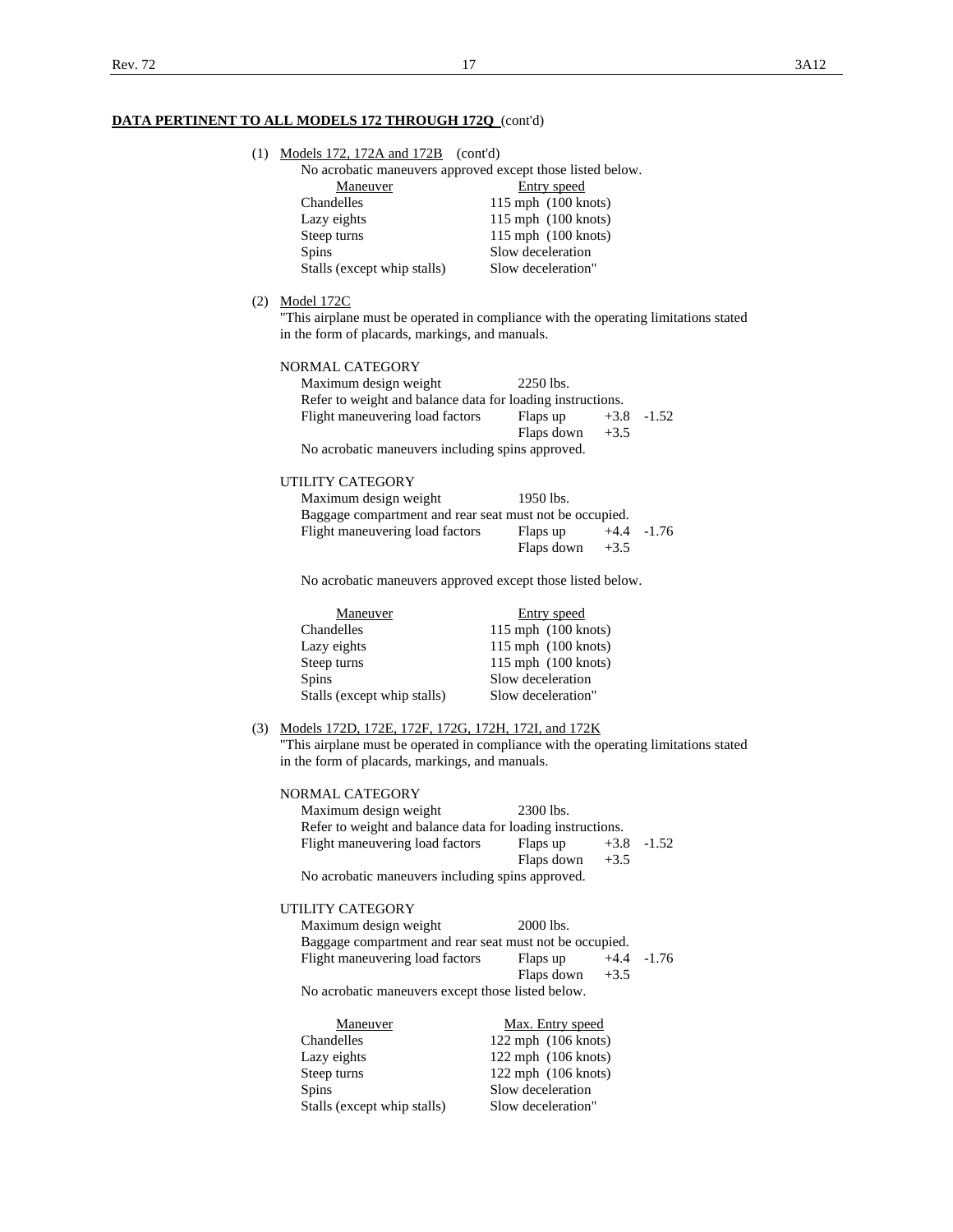| (1) | Models 172, 172A and 172B   | (cont'd)                                                   |
|-----|-----------------------------|------------------------------------------------------------|
|     |                             | No acrobatic maneuvers approved except those listed below. |
|     | Maneuver                    | Entry speed                                                |
|     | Chandelles                  | $115$ mph $(100$ knots)                                    |
|     | Lazy eights                 | $115$ mph $(100$ knots)                                    |
|     | Steep turns                 | $115$ mph $(100$ knots)                                    |
|     | <b>Spins</b>                | Slow deceleration                                          |
|     | Stalls (except whip stalls) | Slow deceleration"                                         |

(2) Model 172C

 "This airplane must be operated in compliance with the operating limitations stated in the form of placards, markings, and manuals.

| NORMAL CATEGORY                                            |            |        |                |
|------------------------------------------------------------|------------|--------|----------------|
| Maximum design weight                                      | 2250 lbs.  |        |                |
| Refer to weight and balance data for loading instructions. |            |        |                |
| Flight maneuvering load factors                            | Flaps up   |        | $+3.8$ $-1.52$ |
|                                                            | Flaps down | $+3.5$ |                |
| No acrobatic maneuvers including spins approved.           |            |        |                |

### UTILITY CATEGORY

| Maximum design weight                                   | $1950$ lbs. |        |                |
|---------------------------------------------------------|-------------|--------|----------------|
| Baggage compartment and rear seat must not be occupied. |             |        |                |
| Flight maneuvering load factors                         | Flaps up    |        | $+4.4$ $-1.76$ |
|                                                         | Flaps down  | $+3.5$ |                |

No acrobatic maneuvers approved except those listed below.

| Maneuver                    | Entry speed             |
|-----------------------------|-------------------------|
| Chandelles                  | $115$ mph $(100$ knots) |
| Lazy eights                 | $115$ mph $(100$ knots) |
| Steep turns                 | $115$ mph $(100$ knots) |
| <b>Spins</b>                | Slow deceleration       |
| Stalls (except whip stalls) | Slow deceleration"      |

# (3) Models 172D, 172E, 172F, 172G, 172H, 172I, and 172K

 "This airplane must be operated in compliance with the operating limitations stated in the form of placards, markings, and manuals.

| NORMAL CATEGORY                                            |            |        |                |
|------------------------------------------------------------|------------|--------|----------------|
| Maximum design weight                                      | 2300 lbs.  |        |                |
| Refer to weight and balance data for loading instructions. |            |        |                |
| Flight maneuvering load factors                            | Flaps up   |        | $+3.8$ $-1.52$ |
|                                                            | Flaps down | $+3.5$ |                |
| No acrobatic maneuvers including spins approved.           |            |        |                |

## UTILITY CATEGORY

| Maximum design weight                                   | 2000 lbs.  |        |                |
|---------------------------------------------------------|------------|--------|----------------|
| Baggage compartment and rear seat must not be occupied. |            |        |                |
| Flight maneuvering load factors                         | Flaps up   |        | $+4.4$ $-1.76$ |
|                                                         | Flaps down | $+3.5$ |                |
| No acrobatic maneuvers except those listed below.       |            |        |                |

|              | Max. Entry speed<br>Maneuver                      |
|--------------|---------------------------------------------------|
| Chandelles   | $122$ mph $(106$ knots)                           |
| Lazy eights  | $122$ mph $(106$ knots)                           |
| Steep turns  | $122$ mph $(106$ knots)                           |
| <b>Spins</b> | Slow deceleration                                 |
|              | Slow deceleration"<br>Stalls (except whip stalls) |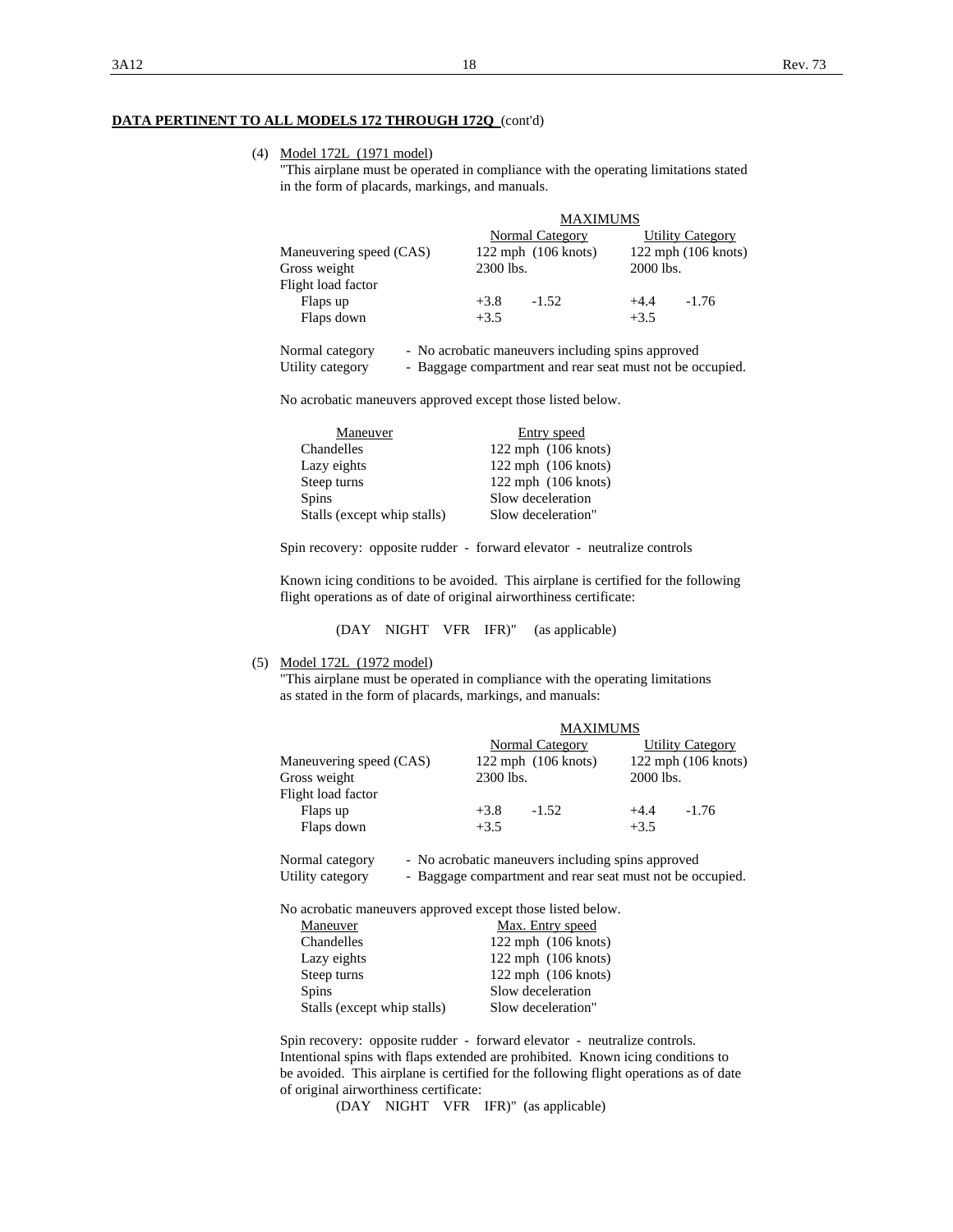### (4) Model 172L (1971 model)

 "This airplane must be operated in compliance with the operating limitations stated in the form of placards, markings, and manuals.

|                         | <b>MAXIMUMS</b>                                           |                         |           |                         |
|-------------------------|-----------------------------------------------------------|-------------------------|-----------|-------------------------|
|                         |                                                           | Normal Category         |           | <b>Utility Category</b> |
| Maneuvering speed (CAS) |                                                           | $122$ mph $(106$ knots) |           | $122$ mph $(106$ knots) |
| Gross weight            | 2300 lbs.                                                 |                         | 2000 lbs. |                         |
| Flight load factor      |                                                           |                         |           |                         |
| Flaps up                | $+3.8$                                                    | $-1.52$                 | $+4.4$    | $-1.76$                 |
| Flaps down              | $+3.5$                                                    |                         | $+3.5$    |                         |
| Normal category         | - No acrobatic maneuvers including spins approved         |                         |           |                         |
| Utility category        | - Baggage compartment and rear seat must not be occupied. |                         |           |                         |

No acrobatic maneuvers approved except those listed below.

| Maneuver                    | Entry speed             |
|-----------------------------|-------------------------|
| Chandelles                  | $122$ mph $(106$ knots) |
| Lazy eights                 | $122$ mph $(106$ knots) |
| Steep turns                 | $122$ mph $(106$ knots) |
| <b>Spins</b>                | Slow deceleration       |
| Stalls (except whip stalls) | Slow deceleration"      |

Spin recovery: opposite rudder - forward elevator - neutralize controls

 Known icing conditions to be avoided. This airplane is certified for the following flight operations as of date of original airworthiness certificate:

### (DAY NIGHT VFR IFR)" (as applicable)

(5) Model 172L (1972 model)

 "This airplane must be operated in compliance with the operating limitations as stated in the form of placards, markings, and manuals:

|                         |                                                   | <b>MAXIMUMS</b>         |  |  |
|-------------------------|---------------------------------------------------|-------------------------|--|--|
|                         | Normal Category                                   | <b>Utility Category</b> |  |  |
| Maneuvering speed (CAS) | $122$ mph $(106$ knots)                           | $122$ mph $(106$ knots) |  |  |
| Gross weight            | 2300 lbs.                                         | 2000 lbs.               |  |  |
| Flight load factor      |                                                   |                         |  |  |
| Flaps up                | $+3.8$<br>$-1.52$                                 | $+4.4$<br>$-1.76$       |  |  |
| Flaps down              | $+3.5$                                            | $+3.5$                  |  |  |
| Normal category         | - No acrobatic maneuvers including spins approved |                         |  |  |

| <b>NOTHER CALCED V</b> | - Two acrobatic maneuvers mendumg spins approved          |
|------------------------|-----------------------------------------------------------|
| Utility category       | - Baggage compartment and rear seat must not be occupied. |

No acrobatic maneuvers approved except those listed below.

| Maneuver                    | Max. Entry speed        |
|-----------------------------|-------------------------|
| Chandelles                  | $122$ mph $(106$ knots) |
| Lazy eights                 | $122$ mph $(106$ knots) |
| Steep turns                 | $122$ mph $(106$ knots) |
| <b>Spins</b>                | Slow deceleration       |
| Stalls (except whip stalls) | Slow deceleration"      |
|                             |                         |

 Spin recovery: opposite rudder - forward elevator - neutralize controls. Intentional spins with flaps extended are prohibited. Known icing conditions to be avoided. This airplane is certified for the following flight operations as of date of original airworthiness certificate:

(DAY NIGHT VFR IFR)" (as applicable)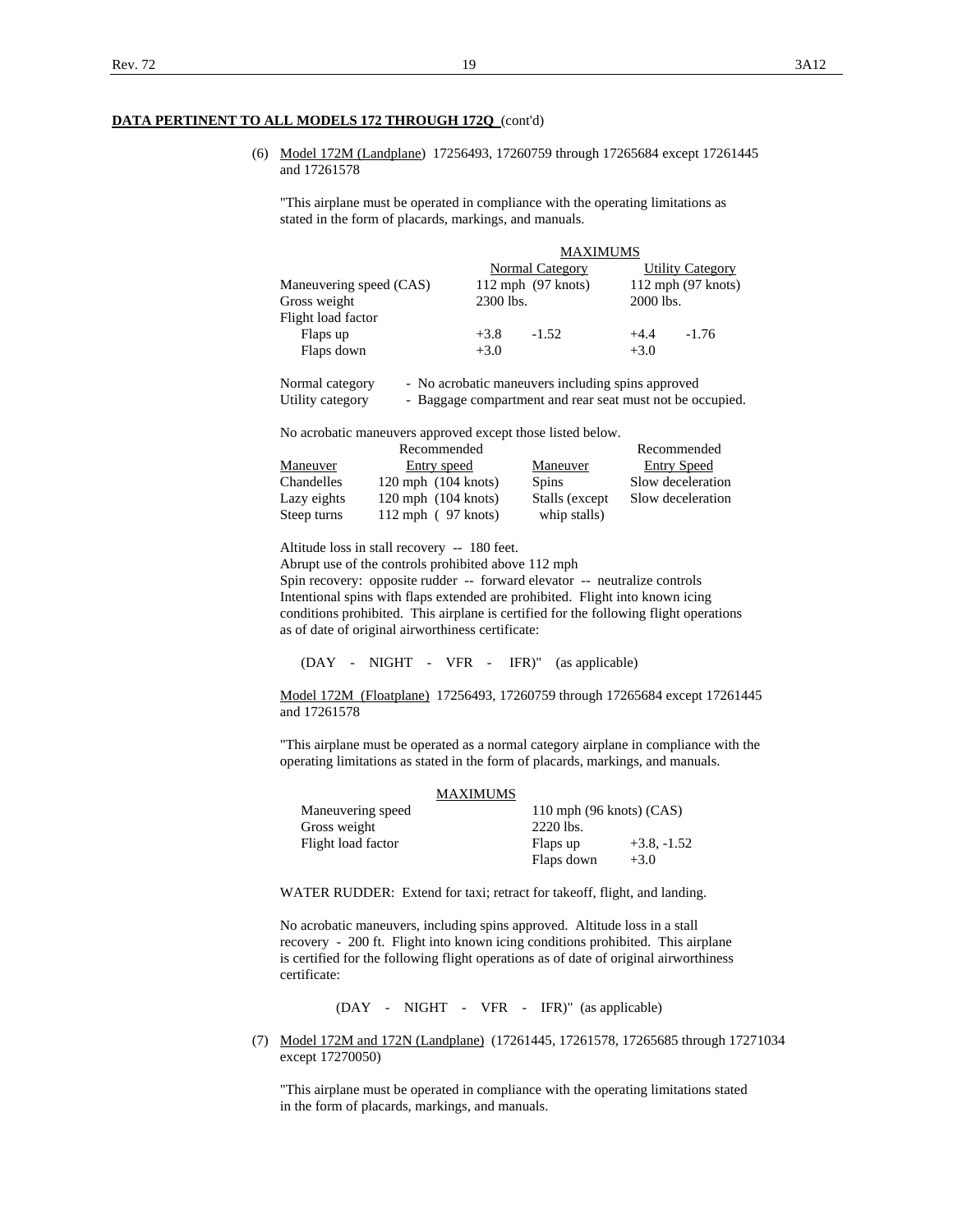(6) Model 172M (Landplane) 17256493, 17260759 through 17265684 except 17261445 and 17261578

 "This airplane must be operated in compliance with the operating limitations as stated in the form of placards, markings, and manuals.

|                         | <b>MAXIMUMS</b> |                        |           |                         |
|-------------------------|-----------------|------------------------|-----------|-------------------------|
|                         |                 | Normal Category        |           | <b>Utility Category</b> |
| Maneuvering speed (CAS) |                 | $112$ mph $(97$ knots) |           | $112$ mph $(97$ knots)  |
| Gross weight            | 2300 lbs.       |                        | 2000 lbs. |                         |
| Flight load factor      |                 |                        |           |                         |
| Flaps up                | $+3.8$          | $-1.52$                | $+4.4$    | $-1.76$                 |
| Flaps down              | $+3.0$          |                        | $+3.0$    |                         |
|                         |                 |                        |           |                         |

| Normal category  | - No acrobatic maneuvers including spins approved         |
|------------------|-----------------------------------------------------------|
| Utility category | - Baggage compartment and rear seat must not be occupied. |

No acrobatic maneuvers approved except those listed below.

|             | Recommended             |                 | Recommended        |
|-------------|-------------------------|-----------------|--------------------|
| Maneuver    | Entry speed             | Maneuver        | <b>Entry Speed</b> |
| Chandelles  | $120$ mph $(104$ knots) | <b>Spins</b>    | Slow deceleration  |
| Lazy eights | $120$ mph $(104$ knots) | Stalls (except) | Slow deceleration  |
| Steep turns | $112$ mph (97 knots)    | whip stalls)    |                    |

Altitude loss in stall recovery -- 180 feet.

Abrupt use of the controls prohibited above 112 mph

 Spin recovery: opposite rudder -- forward elevator -- neutralize controls Intentional spins with flaps extended are prohibited. Flight into known icing conditions prohibited. This airplane is certified for the following flight operations as of date of original airworthiness certificate:

(DAY - NIGHT - VFR - IFR)" (as applicable)

 Model 172M (Floatplane) 17256493, 17260759 through 17265684 except 17261445 and 17261578

 "This airplane must be operated as a normal category airplane in compliance with the operating limitations as stated in the form of placards, markings, and manuals.

|                    | <b>MAXIMUMS</b> |                                    |               |
|--------------------|-----------------|------------------------------------|---------------|
| Maneuvering speed  |                 | 110 mph $(96 \text{ knots})$ (CAS) |               |
| Gross weight       |                 | 2220 lbs.                          |               |
| Flight load factor |                 | Flaps up                           | $+3.8, -1.52$ |
|                    |                 | Flaps down                         | $+3.0$        |

WATER RUDDER: Extend for taxi; retract for takeoff, flight, and landing.

 No acrobatic maneuvers, including spins approved. Altitude loss in a stall recovery - 200 ft. Flight into known icing conditions prohibited. This airplane is certified for the following flight operations as of date of original airworthiness certificate:

(DAY - NIGHT - VFR - IFR)" (as applicable)

 (7) Model 172M and 172N (Landplane) (17261445, 17261578, 17265685 through 17271034 except 17270050)

 "This airplane must be operated in compliance with the operating limitations stated in the form of placards, markings, and manuals.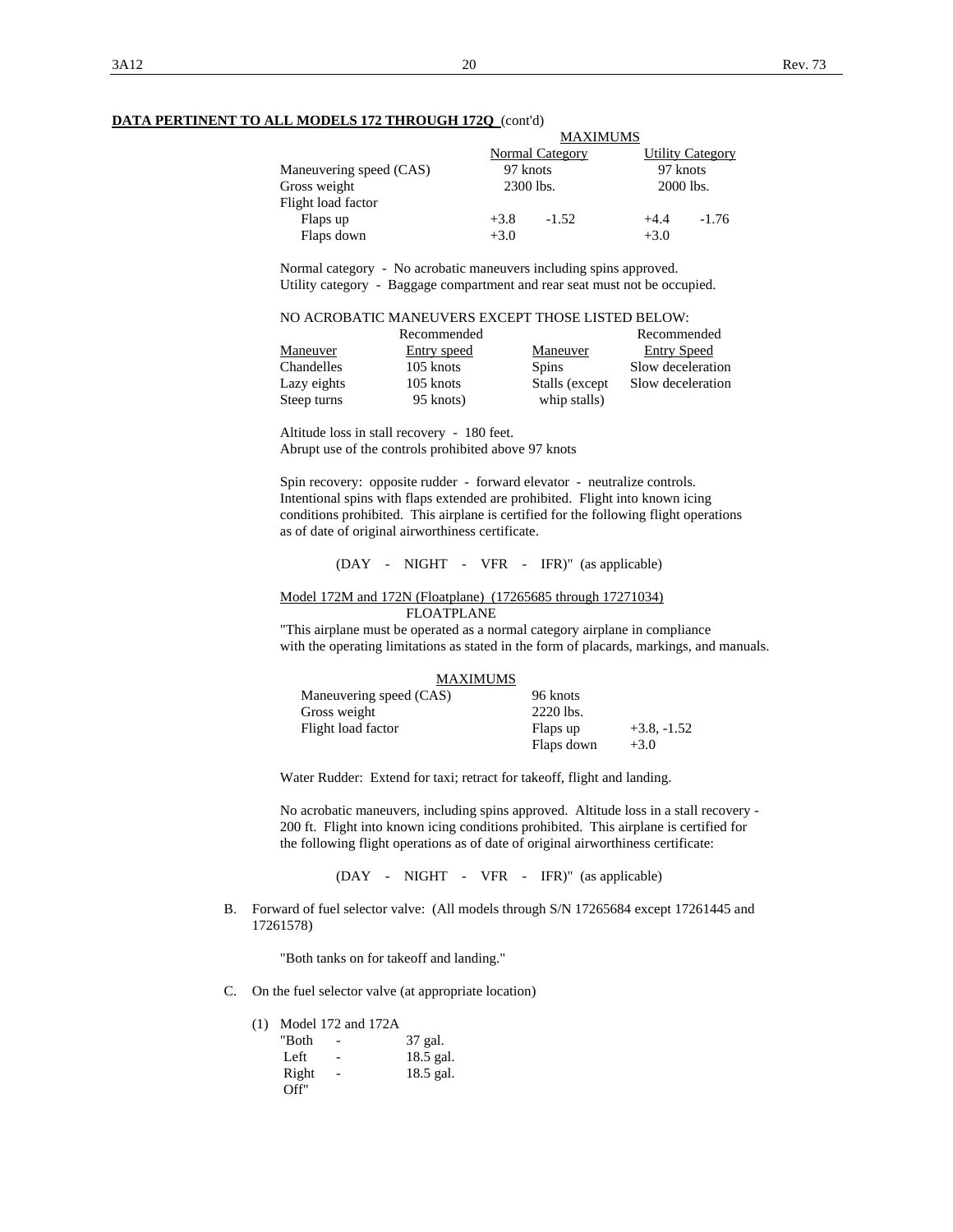|                         |           | <b>MAXIMUMS</b> |           |                         |
|-------------------------|-----------|-----------------|-----------|-------------------------|
|                         |           | Normal Category |           | <b>Utility Category</b> |
| Maneuvering speed (CAS) | 97 knots  |                 | 97 knots  |                         |
| Gross weight            | 2300 lbs. |                 | 2000 lbs. |                         |
| Flight load factor      |           |                 |           |                         |
| Flaps up                | $+3.8$    | $-1.52$         | $+4.4$    | $-1.76$                 |
| Flaps down              | $+3.0$    |                 | $+3.0$    |                         |

 Normal category - No acrobatic maneuvers including spins approved. Utility category - Baggage compartment and rear seat must not be occupied.

| NO ACROBATIC MANEUVERS EXCEPT THOSE LISTED BELOW: |
|---------------------------------------------------|
|---------------------------------------------------|

| Recommended       | Recommended               |                                      |
|-------------------|---------------------------|--------------------------------------|
| Maneuver          | Entry speed               | Entry Speed<br>Maneuver              |
| <b>Chandelles</b> | 105 knots<br><b>Spins</b> | Slow deceleration                    |
| Lazy eights       | 105 knots                 | Slow deceleration<br>Stalls (except) |
| Steep turns       | 95 knots)                 | whip stalls)                         |

 Altitude loss in stall recovery - 180 feet. Abrupt use of the controls prohibited above 97 knots

 Spin recovery: opposite rudder - forward elevator - neutralize controls. Intentional spins with flaps extended are prohibited. Flight into known icing conditions prohibited. This airplane is certified for the following flight operations as of date of original airworthiness certificate.

(DAY - NIGHT - VFR - IFR)" (as applicable)

Model 172M and 172N (Floatplane) (17265685 through 17271034)

FLOATPLANE

 "This airplane must be operated as a normal category airplane in compliance with the operating limitations as stated in the form of placards, markings, and manuals.

|                         | <b>MAXIMUMS</b> |            |               |
|-------------------------|-----------------|------------|---------------|
| Maneuvering speed (CAS) |                 | 96 knots   |               |
| Gross weight            |                 | 2220 lbs.  |               |
| Flight load factor      |                 | Flaps up   | $+3.8, -1.52$ |
|                         |                 | Flaps down | $+3.0$        |

Water Rudder: Extend for taxi; retract for takeoff, flight and landing.

 No acrobatic maneuvers, including spins approved. Altitude loss in a stall recovery - 200 ft. Flight into known icing conditions prohibited. This airplane is certified for the following flight operations as of date of original airworthiness certificate:

(DAY - NIGHT - VFR - IFR)" (as applicable)

 B. Forward of fuel selector valve: (All models through S/N 17265684 except 17261445 and 17261578)

"Both tanks on for takeoff and landing."

C. On the fuel selector valve (at appropriate location)

|       | $(1)$ Model 172 and 172A |             |
|-------|--------------------------|-------------|
| "Both | $\overline{\phantom{a}}$ | 37 gal.     |
| Left  | $\overline{\phantom{a}}$ | $18.5$ gal. |
| Right |                          | $18.5$ gal. |
| Off'' |                          |             |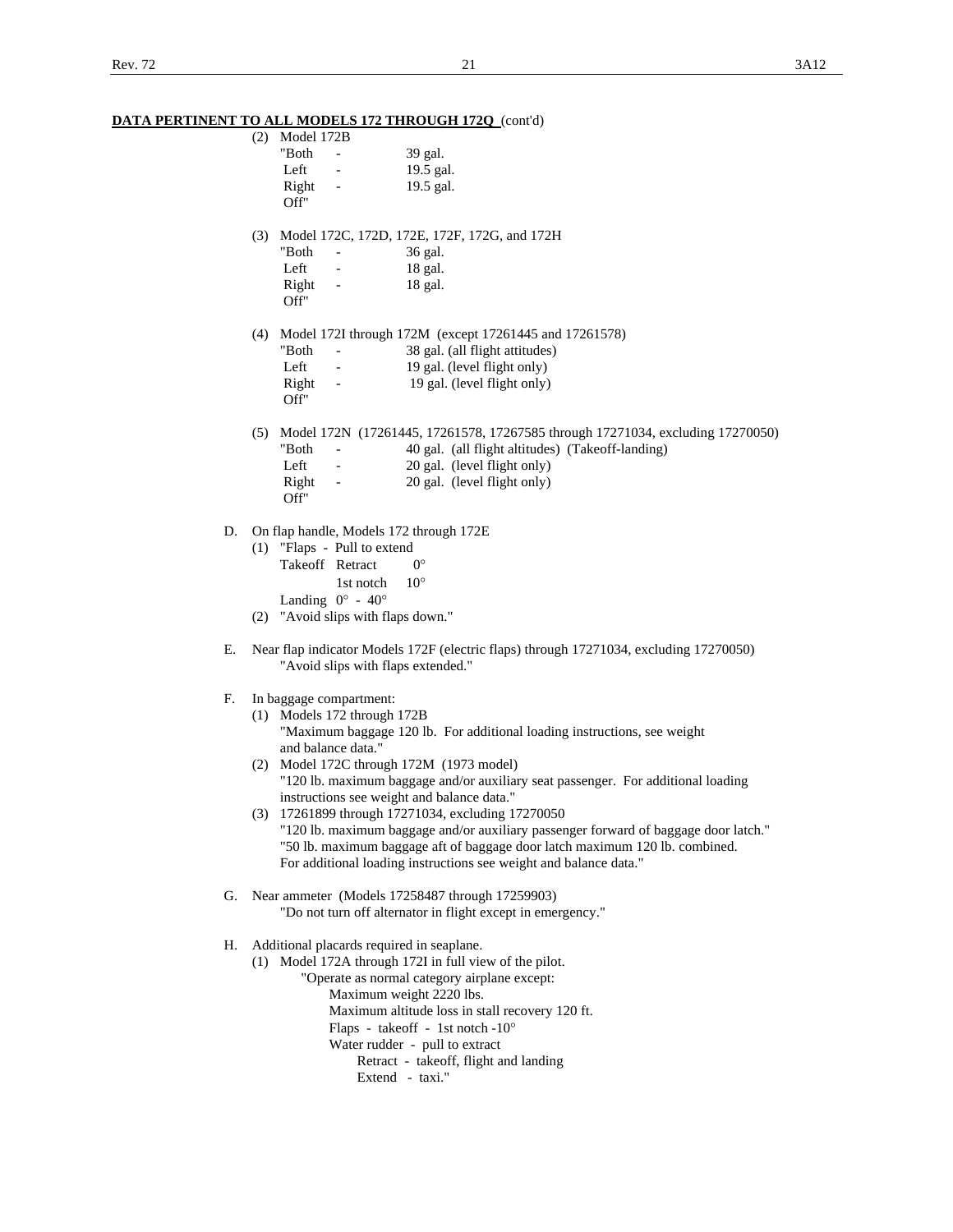|    | <u>DATA PERTINENT TO ALL MODELS 172 THROUGH 1720 (conta)</u>                           |                                                                                                                                        |
|----|----------------------------------------------------------------------------------------|----------------------------------------------------------------------------------------------------------------------------------------|
|    | $(2)$ Model 172B                                                                       |                                                                                                                                        |
|    | "Both<br>$\sim$                                                                        | 39 gal.                                                                                                                                |
|    | Left<br>$\sim 100$                                                                     | 19.5 gal.                                                                                                                              |
|    | Right<br>$\frac{1}{2}$ and $\frac{1}{2}$ and $\frac{1}{2}$                             | 19.5 gal.                                                                                                                              |
|    | Off"                                                                                   |                                                                                                                                        |
|    |                                                                                        |                                                                                                                                        |
|    |                                                                                        | (3) Model 172C, 172D, 172E, 172F, 172G, and 172H                                                                                       |
|    | "Both<br>$\frac{1}{2}$ , $\frac{1}{2}$ , $\frac{1}{2}$ , $\frac{1}{2}$ , $\frac{1}{2}$ | 36 gal.                                                                                                                                |
|    | Left<br>$\sigma_{\rm{max}}$                                                            | 18 gal.                                                                                                                                |
|    | Right -                                                                                | 18 gal.                                                                                                                                |
|    | Off"                                                                                   |                                                                                                                                        |
|    |                                                                                        |                                                                                                                                        |
|    |                                                                                        | (4) Model 172I through 172M (except 17261445 and 17261578)                                                                             |
|    | "Both<br><b>All Contract Contract</b><br>Left -                                        | 38 gal. (all flight attitudes)                                                                                                         |
|    |                                                                                        | 19 gal. (level flight only)                                                                                                            |
|    |                                                                                        | Right - 19 gal. (level flight only)                                                                                                    |
|    | Off"                                                                                   |                                                                                                                                        |
|    |                                                                                        |                                                                                                                                        |
|    | "Both<br>$\Delta \sim 10^{11}$ m $^{-1}$ m $^{-1}$                                     | (5) Model 172N (17261445, 17261578, 17267585 through 17271034, excluding 17270050)<br>40 gal. (all flight altitudes) (Takeoff-landing) |
|    | Left                                                                                   | 20 gal. (level flight only)                                                                                                            |
|    | $\sigma_{\rm{max}}=0.1$                                                                | 20 gal. (level flight only)                                                                                                            |
|    | Right<br>Off"                                                                          |                                                                                                                                        |
|    |                                                                                        |                                                                                                                                        |
| D. | On flap handle, Models 172 through 172E                                                |                                                                                                                                        |
|    | (1) "Flaps - Pull to extend                                                            |                                                                                                                                        |
|    | Takeoff Retract                                                                        | $0^{\circ}$                                                                                                                            |
|    | 1st notch                                                                              | $10^{\circ}$                                                                                                                           |
|    | Landing $0^\circ$ - $40^\circ$                                                         |                                                                                                                                        |
|    | (2) "Avoid slips with flaps down."                                                     |                                                                                                                                        |
|    |                                                                                        |                                                                                                                                        |
| Е. |                                                                                        | Near flap indicator Models 172F (electric flaps) through 17271034, excluding 17270050)                                                 |
|    | "Avoid slips with flaps extended."                                                     |                                                                                                                                        |
|    |                                                                                        |                                                                                                                                        |
| F. | In baggage compartment:                                                                |                                                                                                                                        |
|    | (1) Models 172 through 172B                                                            |                                                                                                                                        |
|    |                                                                                        | "Maximum baggage 120 lb. For additional loading instructions, see weight                                                               |
|    | and balance data."                                                                     |                                                                                                                                        |
|    | (2) Model 172C through 172M (1973 model)                                               |                                                                                                                                        |
|    |                                                                                        | "120 lb. maximum baggage and/or auxiliary seat passenger. For additional loading                                                       |
|    | instructions see weight and balance data."                                             |                                                                                                                                        |
|    |                                                                                        | (3) 17261899 through 17271034, excluding 17270050                                                                                      |
|    |                                                                                        | "120 lb. maximum baggage and/or auxiliary passenger forward of baggage door latch."                                                    |
|    |                                                                                        | "50 lb. maximum baggage aft of baggage door latch maximum 120 lb. combined.                                                            |
|    |                                                                                        | For additional loading instructions see weight and balance data."                                                                      |
|    |                                                                                        |                                                                                                                                        |
|    |                                                                                        | G. Near ammeter (Models 17258487 through 17259903)                                                                                     |
|    |                                                                                        | "Do not turn off alternator in flight except in emergency."                                                                            |
|    |                                                                                        |                                                                                                                                        |
| Н. | Additional placards required in seaplane.                                              |                                                                                                                                        |
|    |                                                                                        | (1) Model 172A through 172I in full view of the pilot.                                                                                 |
|    |                                                                                        | "Operate as normal category airplane except:                                                                                           |
|    |                                                                                        | Maximum weight 2220 lbs.                                                                                                               |
|    |                                                                                        | Maximum altitude loss in stall recovery 120 ft.                                                                                        |
|    |                                                                                        | Flaps - takeoff - 1st notch -10°                                                                                                       |
|    |                                                                                        | Water rudder - pull to extract                                                                                                         |
|    |                                                                                        | Retract - takeoff, flight and landing                                                                                                  |
|    |                                                                                        | Extend - taxi."                                                                                                                        |
|    |                                                                                        |                                                                                                                                        |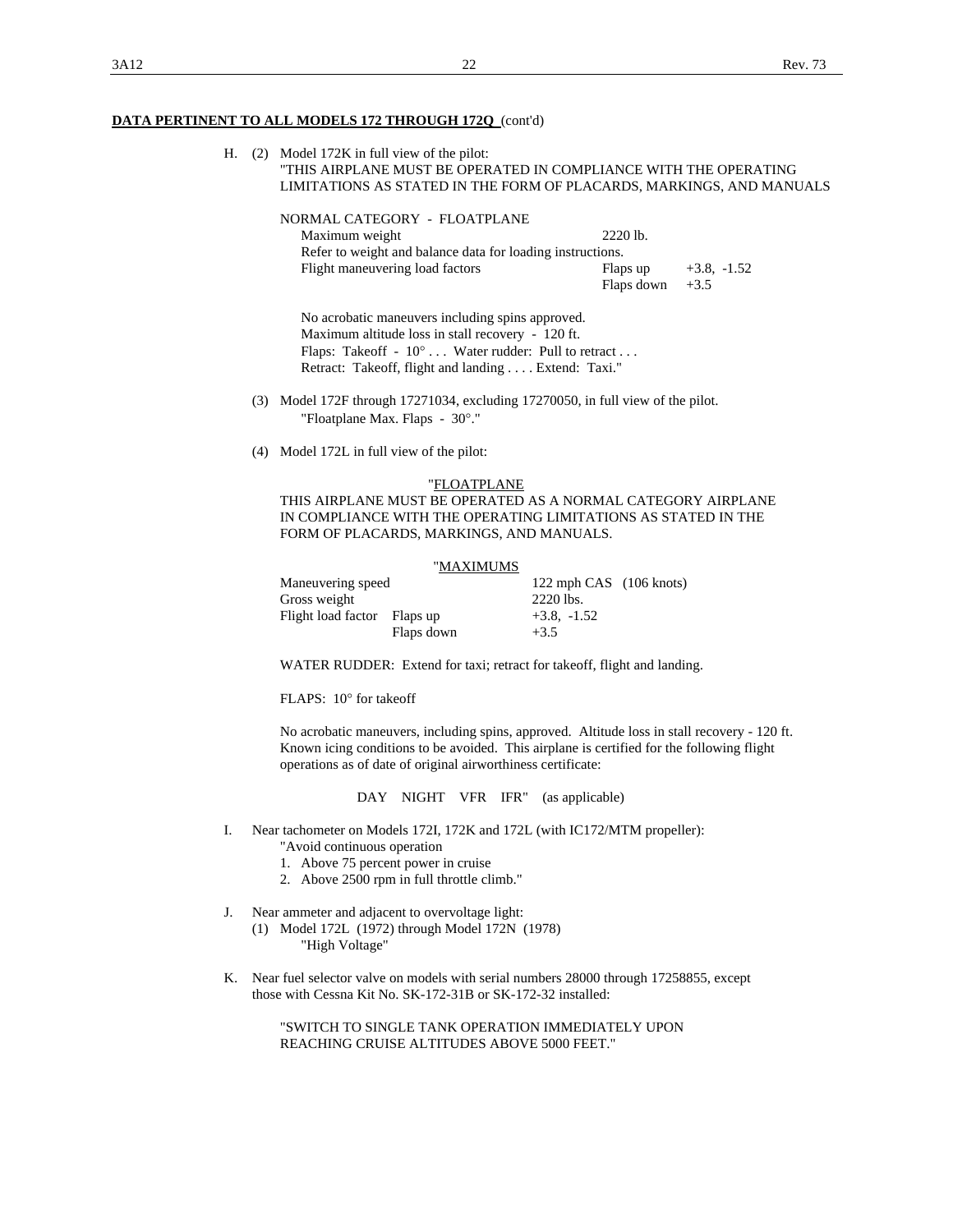H. (2) Model 172K in full view of the pilot: "THIS AIRPLANE MUST BE OPERATED IN COMPLIANCE WITH THE OPERATING LIMITATIONS AS STATED IN THE FORM OF PLACARDS, MARKINGS, AND MANUALS

| NORMAL CATEGORY - FLOATPLANE                               |                   |               |
|------------------------------------------------------------|-------------------|---------------|
| Maximum weight                                             | $2220$ lb.        |               |
| Refer to weight and balance data for loading instructions. |                   |               |
| Flight maneuvering load factors                            | Flaps up          | $+3.8, -1.52$ |
|                                                            | Flaps down $+3.5$ |               |

 No acrobatic maneuvers including spins approved. Maximum altitude loss in stall recovery - 120 ft. Flaps: Takeoff -  $10^{\circ}$  ... Water rudder: Pull to retract ... Retract: Takeoff, flight and landing . . . . Extend: Taxi."

- (3) Model 172F through 17271034, excluding 17270050, in full view of the pilot. "Floatplane Max. Flaps - 30°."
- (4) Model 172L in full view of the pilot:

### "FLOATPLANE THIS AIRPLANE MUST BE OPERATED AS A NORMAL CATEGORY AIRPLANE IN COMPLIANCE WITH THE OPERATING LIMITATIONS AS STATED IN THE FORM OF PLACARDS, MARKINGS, AND MANUALS.

|                             | "MAXIMUMS               |
|-----------------------------|-------------------------|
| Maneuvering speed           | 122 mph CAS (106 knots) |
| Gross weight                | 2220 lbs.               |
| Flight load factor Flaps up | $+3.8, -1.52$           |
| Flaps down                  | $+3.5$                  |

WATER RUDDER: Extend for taxi; retract for takeoff, flight and landing.

FLAPS: 10° for takeoff

 No acrobatic maneuvers, including spins, approved. Altitude loss in stall recovery - 120 ft. Known icing conditions to be avoided. This airplane is certified for the following flight operations as of date of original airworthiness certificate:

DAY NIGHT VFR IFR" (as applicable)

- I. Near tachometer on Models 172I, 172K and 172L (with IC172/MTM propeller):
	- "Avoid continuous operation
	- 1. Above 75 percent power in cruise
	- 2. Above 2500 rpm in full throttle climb."
- J. Near ammeter and adjacent to overvoltage light:
	- (1) Model 172L (1972) through Model 172N (1978) "High Voltage"
- K. Near fuel selector valve on models with serial numbers 28000 through 17258855, except those with Cessna Kit No. SK-172-31B or SK-172-32 installed:

 "SWITCH TO SINGLE TANK OPERATION IMMEDIATELY UPON REACHING CRUISE ALTITUDES ABOVE 5000 FEET."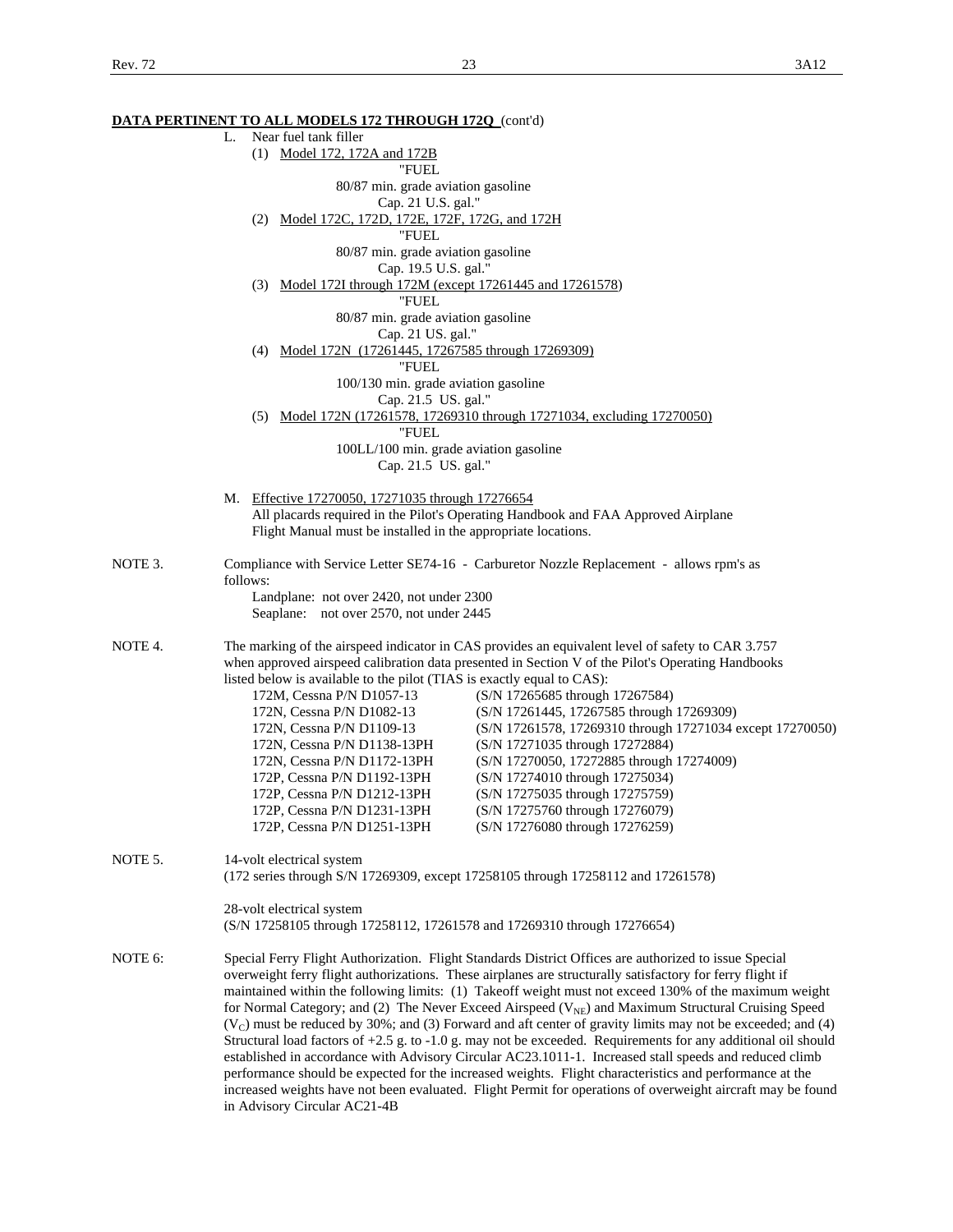|         | <u>DATA PERTINENT TO ALL MODELS 172 THROUGH 1720 (cont'd)</u>                                                           |  |  |  |  |
|---------|-------------------------------------------------------------------------------------------------------------------------|--|--|--|--|
|         | Near fuel tank filler<br>L.                                                                                             |  |  |  |  |
|         | (1) Model 172, 172A and 172B                                                                                            |  |  |  |  |
|         | "FUEL                                                                                                                   |  |  |  |  |
|         | 80/87 min. grade aviation gasoline                                                                                      |  |  |  |  |
|         | Cap. 21 U.S. gal."                                                                                                      |  |  |  |  |
|         | Model 172C, 172D, 172E, 172F, 172G, and 172H<br>(2)                                                                     |  |  |  |  |
|         | "FUEL                                                                                                                   |  |  |  |  |
|         | 80/87 min. grade aviation gasoline                                                                                      |  |  |  |  |
|         | Cap. 19.5 U.S. gal."                                                                                                    |  |  |  |  |
|         | (3) Model 172I through 172M (except 17261445 and 17261578)                                                              |  |  |  |  |
|         | "FUEL                                                                                                                   |  |  |  |  |
|         | 80/87 min. grade aviation gasoline                                                                                      |  |  |  |  |
|         | Cap. 21 US. gal."                                                                                                       |  |  |  |  |
|         | (4) Model 172N (17261445, 17267585 through 17269309)                                                                    |  |  |  |  |
|         | "FUEL                                                                                                                   |  |  |  |  |
|         | 100/130 min. grade aviation gasoline                                                                                    |  |  |  |  |
|         | Cap. 21.5 US. gal."                                                                                                     |  |  |  |  |
|         | (5) Model 172N (17261578, 17269310 through 17271034, excluding 17270050)                                                |  |  |  |  |
|         | "FUEL                                                                                                                   |  |  |  |  |
|         | 100LL/100 min. grade aviation gasoline                                                                                  |  |  |  |  |
|         | Cap. 21.5 US. gal."                                                                                                     |  |  |  |  |
|         |                                                                                                                         |  |  |  |  |
|         | M. Effective 17270050, 17271035 through 17276654                                                                        |  |  |  |  |
|         | All placards required in the Pilot's Operating Handbook and FAA Approved Airplane                                       |  |  |  |  |
|         | Flight Manual must be installed in the appropriate locations.                                                           |  |  |  |  |
|         |                                                                                                                         |  |  |  |  |
| NOTE 3. | Compliance with Service Letter SE74-16 - Carburetor Nozzle Replacement - allows rpm's as                                |  |  |  |  |
|         | follows:                                                                                                                |  |  |  |  |
|         | Landplane: not over 2420, not under 2300<br>Seaplane: not over 2570, not under 2445                                     |  |  |  |  |
|         |                                                                                                                         |  |  |  |  |
| NOTE 4. | The marking of the airspeed indicator in CAS provides an equivalent level of safety to CAR 3.757                        |  |  |  |  |
|         | when approved airspeed calibration data presented in Section V of the Pilot's Operating Handbooks                       |  |  |  |  |
|         | listed below is available to the pilot (TIAS is exactly equal to CAS):                                                  |  |  |  |  |
|         | 172M, Cessna P/N D1057-13<br>(S/N 17265685 through 17267584)                                                            |  |  |  |  |
|         | 172N, Cessna P/N D1082-13<br>(S/N 17261445, 17267585 through 17269309)                                                  |  |  |  |  |
|         | 172N, Cessna P/N D1109-13<br>(S/N 17261578, 17269310 through 17271034 except 17270050)                                  |  |  |  |  |
|         | 172N, Cessna P/N D1138-13PH<br>(S/N 17271035 through 17272884)                                                          |  |  |  |  |
|         | (S/N 17270050, 17272885 through 17274009)<br>172N, Cessna P/N D1172-13PH                                                |  |  |  |  |
|         | (S/N 17274010 through 17275034)<br>172P, Cessna P/N D1192-13PH                                                          |  |  |  |  |
|         | (S/N 17275035 through 17275759)<br>172P, Cessna P/N D1212-13PH                                                          |  |  |  |  |
|         |                                                                                                                         |  |  |  |  |
|         | (S/N 17275760 through 17276079)<br>172P, Cessna P/N D1231-13PH<br>(S/N 17276080 through 17276259)                       |  |  |  |  |
|         | 172P, Cessna P/N D1251-13PH                                                                                             |  |  |  |  |
| NOTE 5. | 14-volt electrical system                                                                                               |  |  |  |  |
|         | (172 series through S/N 17269309, except 17258105 through 17258112 and 17261578)                                        |  |  |  |  |
|         |                                                                                                                         |  |  |  |  |
|         | 28-volt electrical system                                                                                               |  |  |  |  |
|         | (S/N 17258105 through 17258112, 17261578 and 17269310 through 17276654)                                                 |  |  |  |  |
|         |                                                                                                                         |  |  |  |  |
| NOTE 6: | Special Ferry Flight Authorization. Flight Standards District Offices are authorized to issue Special                   |  |  |  |  |
|         | overweight ferry flight authorizations. These airplanes are structurally satisfactory for ferry flight if               |  |  |  |  |
|         | maintained within the following limits: (1) Takeoff weight must not exceed 130% of the maximum weight                   |  |  |  |  |
|         | for Normal Category; and (2) The Never Exceed Airspeed ( $V_{NE}$ ) and Maximum Structural Cruising Speed               |  |  |  |  |
|         | (V <sub>C</sub> ) must be reduced by 30%; and (3) Forward and aft center of gravity limits may not be exceeded; and (4) |  |  |  |  |
|         | Structural load factors of +2.5 g. to -1.0 g. may not be exceeded. Requirements for any additional oil should           |  |  |  |  |
|         | established in accordance with Advisory Circular AC23.1011-1. Increased stall speeds and reduced climb                  |  |  |  |  |
|         | performance should be expected for the increased weights. Flight characteristics and performance at the                 |  |  |  |  |
|         | increased weights have not been evaluated. Flight Permit for operations of overweight aircraft may be found             |  |  |  |  |
|         | in Advisory Circular AC21-4B                                                                                            |  |  |  |  |
|         |                                                                                                                         |  |  |  |  |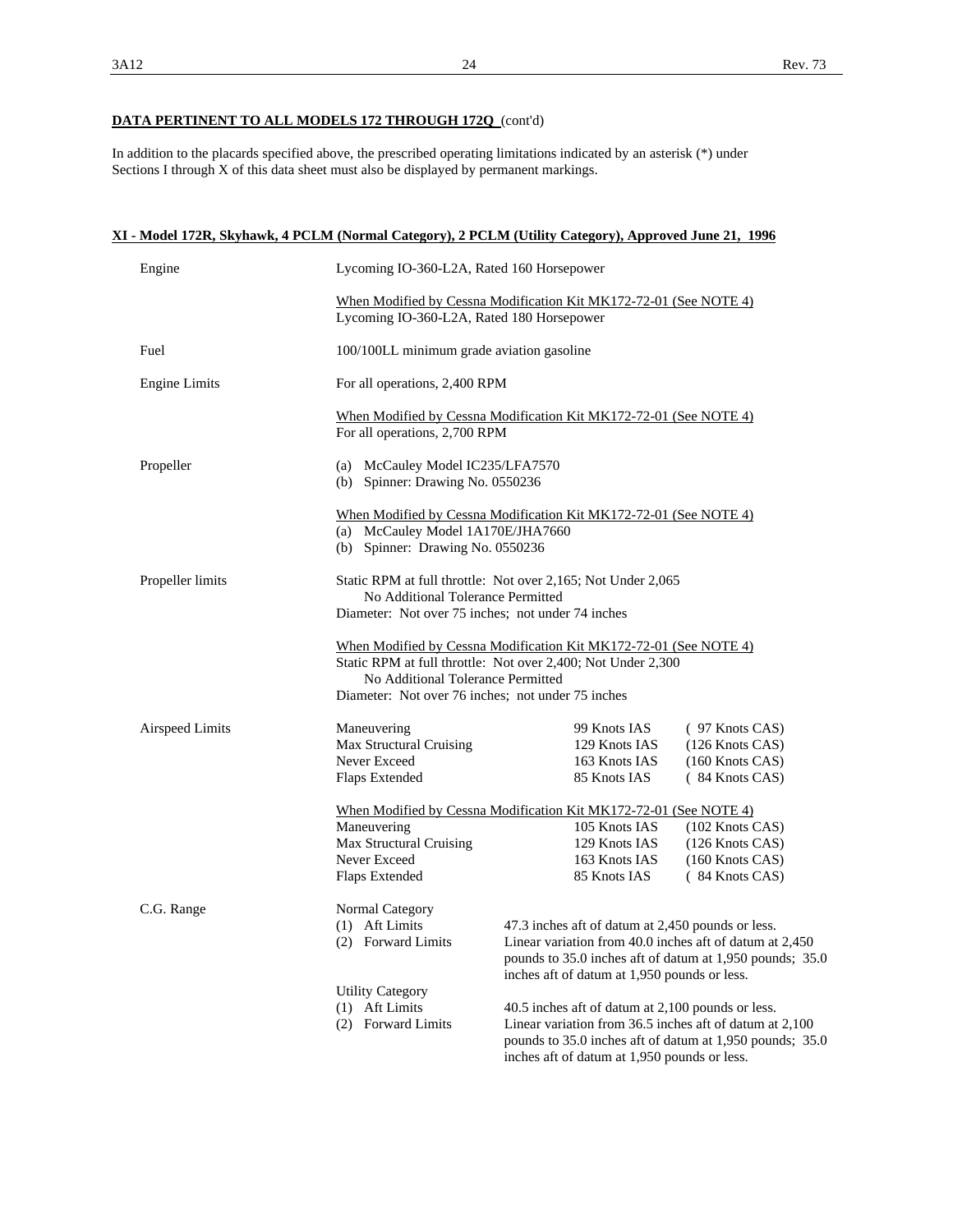In addition to the placards specified above, the prescribed operating limitations indicated by an asterisk (\*) under Sections I through X of this data sheet must also be displayed by permanent markings.

|                      | XI - Model 172R, Skyhawk, 4 PCLM (Normal Category), 2 PCLM (Utility Category), Approved June 21, 1996 |                                                                                                                                                                                                                          |                                                                            |  |
|----------------------|-------------------------------------------------------------------------------------------------------|--------------------------------------------------------------------------------------------------------------------------------------------------------------------------------------------------------------------------|----------------------------------------------------------------------------|--|
| Engine               | Lycoming IO-360-L2A, Rated 160 Horsepower                                                             |                                                                                                                                                                                                                          |                                                                            |  |
|                      | Lycoming IO-360-L2A, Rated 180 Horsepower                                                             | When Modified by Cessna Modification Kit MK172-72-01 (See NOTE 4)                                                                                                                                                        |                                                                            |  |
| Fuel                 | 100/100LL minimum grade aviation gasoline                                                             |                                                                                                                                                                                                                          |                                                                            |  |
| <b>Engine Limits</b> |                                                                                                       | For all operations, 2,400 RPM                                                                                                                                                                                            |                                                                            |  |
|                      | For all operations, 2,700 RPM                                                                         | When Modified by Cessna Modification Kit MK172-72-01 (See NOTE 4)                                                                                                                                                        |                                                                            |  |
| Propeller            | (a) McCauley Model IC235/LFA7570<br>(b) Spinner: Drawing No. 0550236                                  |                                                                                                                                                                                                                          |                                                                            |  |
|                      | (a) McCauley Model 1A170E/JHA7660<br>(b) Spinner: Drawing No. 0550236                                 | When Modified by Cessna Modification Kit MK172-72-01 (See NOTE 4)                                                                                                                                                        |                                                                            |  |
| Propeller limits     |                                                                                                       | Static RPM at full throttle: Not over 2,165; Not Under 2,065<br>No Additional Tolerance Permitted<br>Diameter: Not over 75 inches; not under 74 inches                                                                   |                                                                            |  |
|                      | No Additional Tolerance Permitted<br>Diameter: Not over 76 inches; not under 75 inches                | When Modified by Cessna Modification Kit MK172-72-01 (See NOTE 4)<br>Static RPM at full throttle: Not over 2,400; Not Under 2,300                                                                                        |                                                                            |  |
| Airspeed Limits      | Maneuvering<br>Max Structural Cruising<br>Never Exceed<br>Flaps Extended                              | 99 Knots IAS<br>129 Knots IAS<br>163 Knots IAS<br>85 Knots IAS                                                                                                                                                           | $(97$ Knots CAS)<br>(126 Knots CAS)<br>$(160$ Knots CAS)<br>(84 Knots CAS) |  |
|                      | Maneuvering<br><b>Max Structural Cruising</b><br>Never Exceed<br>Flaps Extended                       | When Modified by Cessna Modification Kit MK172-72-01 (See NOTE 4)<br>105 Knots IAS<br>129 Knots IAS<br>163 Knots IAS<br>85 Knots IAS                                                                                     | (102 Knots CAS)<br>(126 Knots CAS)<br>$(160$ Knots CAS)<br>(84 Knots CAS)  |  |
| C.G. Range           | Normal Category<br>(1) Aft Limits<br><b>Forward Limits</b><br>(2)                                     | 47.3 inches aft of datum at 2,450 pounds or less.<br>Linear variation from 40.0 inches aft of datum at 2,450<br>pounds to 35.0 inches aft of datum at 1,950 pounds; 35.0<br>inches aft of datum at 1,950 pounds or less. |                                                                            |  |
|                      | <b>Utility Category</b><br>(1) Aft Limits<br>(2) Forward Limits                                       | 40.5 inches aft of datum at 2,100 pounds or less.<br>Linear variation from 36.5 inches aft of datum at 2,100<br>pounds to 35.0 inches aft of datum at 1,950 pounds; 35.0<br>inches aft of datum at 1,950 pounds or less. |                                                                            |  |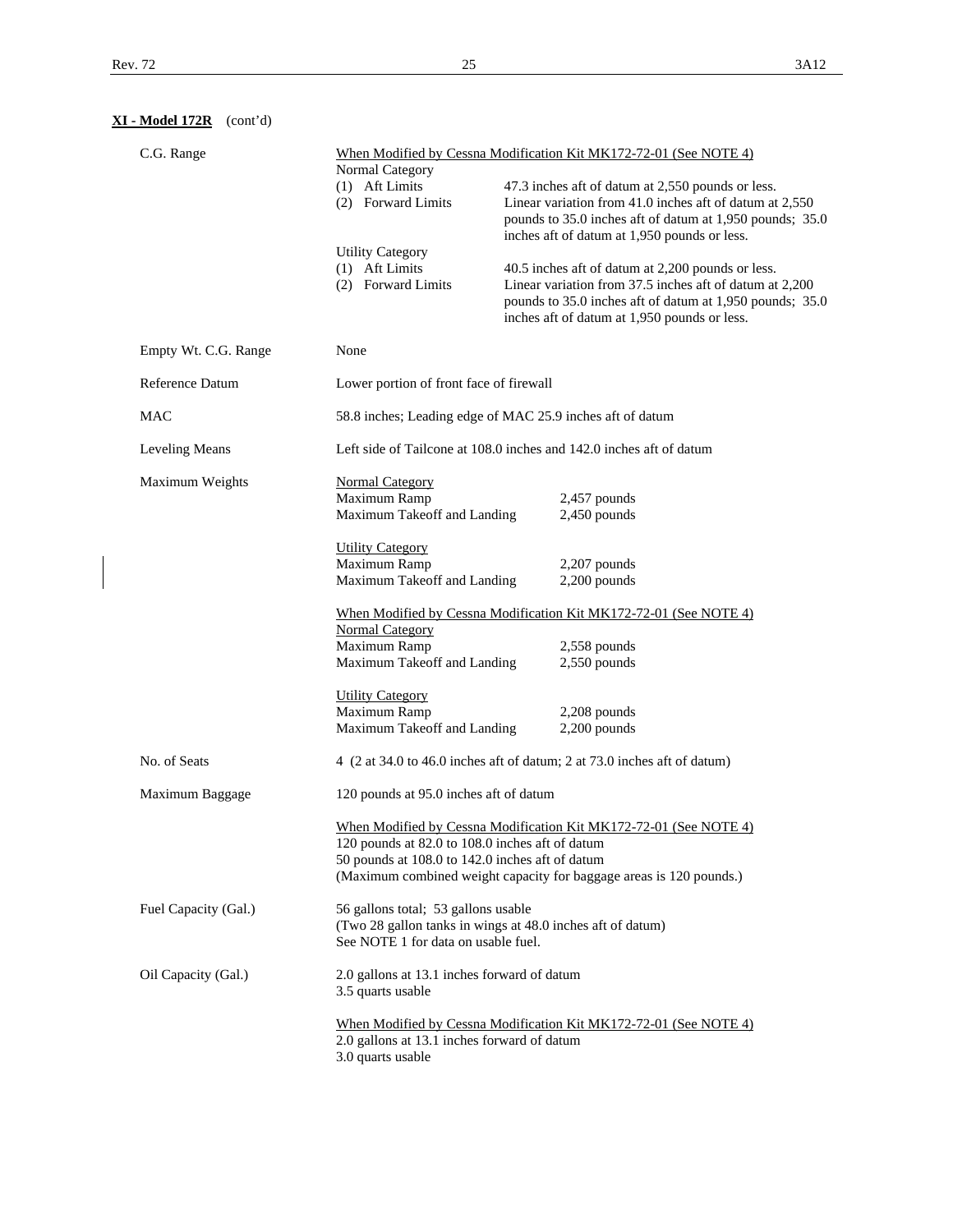**XI - Model 172R** (cont'd)

|                   | C.G. Range                                                         |                                                                   |  | When Modified by Cessna Modification Kit MK172-72-01 (See NOTE 4)                                            |
|-------------------|--------------------------------------------------------------------|-------------------------------------------------------------------|--|--------------------------------------------------------------------------------------------------------------|
|                   |                                                                    | Normal Category                                                   |  |                                                                                                              |
|                   |                                                                    | (1) Aft Limits<br>(2) Forward Limits                              |  | 47.3 inches aft of datum at 2,550 pounds or less.<br>Linear variation from 41.0 inches aft of datum at 2,550 |
|                   |                                                                    |                                                                   |  | pounds to 35.0 inches aft of datum at 1,950 pounds; 35.0                                                     |
|                   |                                                                    |                                                                   |  | inches aft of datum at 1,950 pounds or less.                                                                 |
|                   |                                                                    | <b>Utility Category</b><br>(1) Aft Limits                         |  | 40.5 inches aft of datum at 2,200 pounds or less.                                                            |
|                   |                                                                    | (2) Forward Limits                                                |  | Linear variation from 37.5 inches aft of datum at 2,200                                                      |
|                   |                                                                    |                                                                   |  | pounds to 35.0 inches aft of datum at 1,950 pounds; 35.0                                                     |
|                   |                                                                    |                                                                   |  | inches aft of datum at 1,950 pounds or less.                                                                 |
|                   | Empty Wt. C.G. Range                                               | None                                                              |  |                                                                                                              |
|                   | Reference Datum                                                    | Lower portion of front face of firewall                           |  |                                                                                                              |
|                   | <b>MAC</b>                                                         | 58.8 inches; Leading edge of MAC 25.9 inches aft of datum         |  |                                                                                                              |
|                   | Leveling Means                                                     |                                                                   |  | Left side of Tailcone at 108.0 inches and 142.0 inches aft of datum                                          |
|                   | Maximum Weights                                                    | <b>Normal Category</b>                                            |  |                                                                                                              |
|                   |                                                                    | Maximum Ramp                                                      |  | 2,457 pounds                                                                                                 |
|                   |                                                                    | Maximum Takeoff and Landing                                       |  | $2,450$ pounds                                                                                               |
|                   |                                                                    | <b>Utility Category</b>                                           |  |                                                                                                              |
|                   |                                                                    | Maximum Ramp                                                      |  | $2,207$ pounds                                                                                               |
|                   |                                                                    | Maximum Takeoff and Landing                                       |  | $2,200$ pounds                                                                                               |
|                   |                                                                    | When Modified by Cessna Modification Kit MK172-72-01 (See NOTE 4) |  |                                                                                                              |
|                   |                                                                    | <b>Normal Category</b><br>Maximum Ramp                            |  | 2,558 pounds                                                                                                 |
|                   |                                                                    | Maximum Takeoff and Landing                                       |  | $2,550$ pounds                                                                                               |
|                   |                                                                    |                                                                   |  |                                                                                                              |
|                   |                                                                    | <b>Utility Category</b><br>Maximum Ramp                           |  |                                                                                                              |
|                   |                                                                    | Maximum Takeoff and Landing                                       |  | 2,208 pounds<br>$2,200$ pounds                                                                               |
|                   |                                                                    |                                                                   |  |                                                                                                              |
|                   | No. of Seats                                                       |                                                                   |  | 4 (2 at 34.0 to 46.0 inches aft of datum; 2 at 73.0 inches aft of datum)                                     |
|                   | Maximum Baggage                                                    | 120 pounds at 95.0 inches aft of datum                            |  |                                                                                                              |
|                   |                                                                    |                                                                   |  | When Modified by Cessna Modification Kit MK172-72-01 (See NOTE 4)                                            |
|                   |                                                                    | 120 pounds at 82.0 to 108.0 inches aft of datum                   |  |                                                                                                              |
|                   |                                                                    | 50 pounds at 108.0 to 142.0 inches aft of datum                   |  | (Maximum combined weight capacity for baggage areas is 120 pounds.)                                          |
|                   |                                                                    |                                                                   |  |                                                                                                              |
|                   | Fuel Capacity (Gal.)                                               | 56 gallons total; 53 gallons usable                               |  |                                                                                                              |
|                   |                                                                    | (Two 28 gallon tanks in wings at 48.0 inches aft of datum)        |  |                                                                                                              |
|                   |                                                                    | See NOTE 1 for data on usable fuel.                               |  |                                                                                                              |
|                   | Oil Capacity (Gal.)<br>2.0 gallons at 13.1 inches forward of datum |                                                                   |  |                                                                                                              |
| 3.5 quarts usable |                                                                    |                                                                   |  |                                                                                                              |
|                   |                                                                    |                                                                   |  | When Modified by Cessna Modification Kit MK172-72-01 (See NOTE 4)                                            |
|                   |                                                                    | 2.0 gallons at 13.1 inches forward of datum                       |  |                                                                                                              |
|                   |                                                                    | 3.0 quarts usable                                                 |  |                                                                                                              |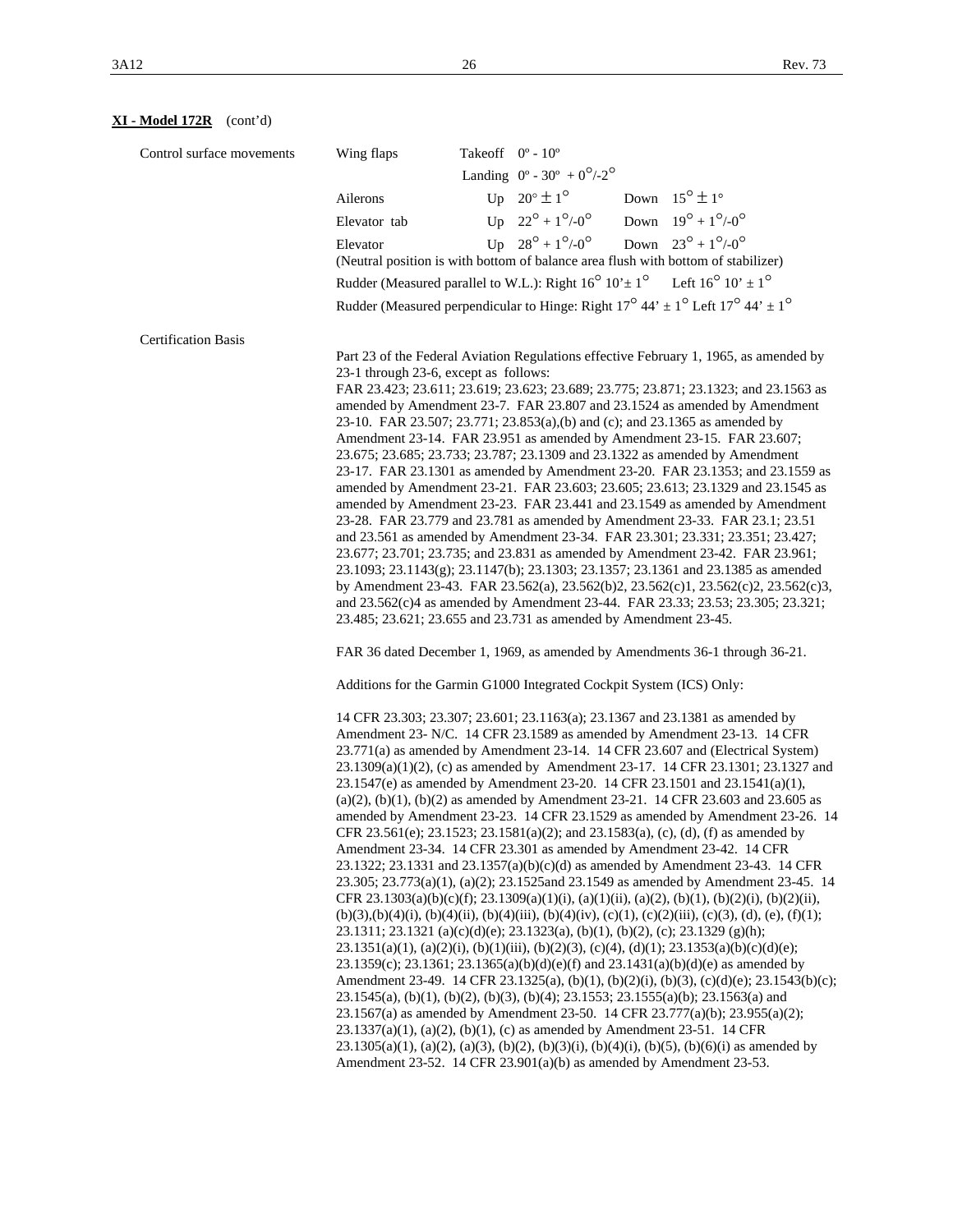# **XI - Model 172R** (cont'd)

| Control surface movements  | Wing flaps   | Takeoff $0^\circ$ - $10^\circ$                                                                                                                                                  |  |
|----------------------------|--------------|---------------------------------------------------------------------------------------------------------------------------------------------------------------------------------|--|
|                            |              | Landing $0^{\circ}$ - 30° + $0^{\circ}/2^{\circ}$                                                                                                                               |  |
|                            | Ailerons     | Up $20^\circ \pm 1^\circ$<br>Down $15^{\circ} \pm 1^{\circ}$                                                                                                                    |  |
|                            | Elevator tab | Up $22^{\circ} + 1^{\circ}/0^{\circ}$<br>Down $19^{\circ} + 1^{\circ}/0^{\circ}$                                                                                                |  |
|                            | Elevator     | Up $28^{\circ} + 1^{\circ}/0^{\circ}$<br>Down $23^{\circ} + 1^{\circ}/0^{\circ}$                                                                                                |  |
|                            |              | (Neutral position is with bottom of balance area flush with bottom of stabilizer)                                                                                               |  |
|                            |              | Rudder (Measured parallel to W.L.): Right $16^{\circ} 10^{\circ} \pm 1^{\circ}$ Left $16^{\circ} 10^{\circ} \pm 1^{\circ}$                                                      |  |
|                            |              | Rudder (Measured perpendicular to Hinge: Right $17^{\circ}$ 44' $\pm$ 1 <sup>o</sup> Left $17^{\circ}$ 44' $\pm$ 1 <sup>o</sup>                                                 |  |
|                            |              |                                                                                                                                                                                 |  |
| <b>Certification Basis</b> |              | Part 23 of the Federal Aviation Regulations effective February 1, 1965, as amended by                                                                                           |  |
|                            |              | 23-1 through 23-6, except as follows:                                                                                                                                           |  |
|                            |              | FAR 23.423; 23.611; 23.619; 23.623; 23.689; 23.775; 23.871; 23.1323; and 23.1563 as                                                                                             |  |
|                            |              | amended by Amendment 23-7. FAR 23.807 and 23.1524 as amended by Amendment                                                                                                       |  |
|                            |              | 23-10. FAR 23.507; 23.771; 23.853(a),(b) and (c); and 23.1365 as amended by                                                                                                     |  |
|                            |              | Amendment 23-14. FAR 23.951 as amended by Amendment 23-15. FAR 23.607;<br>23.675; 23.685; 23.733; 23.787; 23.1309 and 23.1322 as amended by Amendment                           |  |
|                            |              | 23-17. FAR 23.1301 as amended by Amendment 23-20. FAR 23.1353; and 23.1559 as                                                                                                   |  |
|                            |              | amended by Amendment 23-21. FAR 23.603; 23.605; 23.613; 23.1329 and 23.1545 as                                                                                                  |  |
|                            |              | amended by Amendment 23-23. FAR 23.441 and 23.1549 as amended by Amendment                                                                                                      |  |
|                            |              | 23-28. FAR 23.779 and 23.781 as amended by Amendment 23-33. FAR 23.1; 23.51<br>and 23.561 as amended by Amendment 23-34. FAR 23.301; 23.331; 23.351; 23.427;                    |  |
|                            |              | 23.677; 23.701; 23.735; and 23.831 as amended by Amendment 23-42. FAR 23.961;                                                                                                   |  |
|                            |              | 23.1093; 23.1143(g); 23.1147(b); 23.1303; 23.1357; 23.1361 and 23.1385 as amended                                                                                               |  |
|                            |              | by Amendment 23-43. FAR 23.562(a), 23.562(b)2, 23.562(c)1, 23.562(c)2, 23.562(c)3,                                                                                              |  |
|                            |              | and 23.562(c)4 as amended by Amendment 23-44. FAR 23.33; 23.53; 23.305; 23.321;                                                                                                 |  |
|                            |              | 23.485; 23.621; 23.655 and 23.731 as amended by Amendment 23-45.                                                                                                                |  |
|                            |              | FAR 36 dated December 1, 1969, as amended by Amendments 36-1 through 36-21.                                                                                                     |  |
|                            |              | Additions for the Garmin G1000 Integrated Cockpit System (ICS) Only:                                                                                                            |  |
|                            |              | 14 CFR 23.303; 23.307; 23.601; 23.1163(a); 23.1367 and 23.1381 as amended by                                                                                                    |  |
|                            |              | Amendment 23- N/C. 14 CFR 23.1589 as amended by Amendment 23-13. 14 CFR                                                                                                         |  |
|                            |              | 23.771(a) as amended by Amendment 23-14. 14 CFR 23.607 and (Electrical System)                                                                                                  |  |
|                            |              | 23.1309(a)(1)(2), (c) as amended by Amendment 23-17. 14 CFR 23.1301; 23.1327 and<br>23.1547(e) as amended by Amendment 23-20. 14 CFR 23.1501 and 23.1541(a)(1),                 |  |
|                            |              | $(a)(2)$ , $(b)(1)$ , $(b)(2)$ as amended by Amendment 23-21. 14 CFR 23.603 and 23.605 as                                                                                       |  |
|                            |              | amended by Amendment 23-23. 14 CFR 23.1529 as amended by Amendment 23-26. 14                                                                                                    |  |
|                            |              | CFR 23.561(e); 23.1523; 23.1581(a)(2); and 23.1583(a), (c), (d), (f) as amended by                                                                                              |  |
|                            |              | Amendment 23-34. 14 CFR 23.301 as amended by Amendment 23-42. 14 CFR<br>23.1322; 23.1331 and 23.1357(a)(b)(c)(d) as amended by Amendment 23-43. 14 CFR                          |  |
|                            |              | 23.305; 23.773(a)(1), (a)(2); 23.1525and 23.1549 as amended by Amendment 23-45. 14                                                                                              |  |
|                            |              | CFR 23.1303(a)(b)(c)(f); 23.1309(a)(1)(i), (a)(1)(ii), (a)(2), (b)(1), (b)(2)(i), (b)(2)(ii),                                                                                   |  |
|                            |              | $(b)(3),(b)(4)(i), (b)(4)(ii), (b)(4)(iii), (b)(4)(iv), (c)(1), (c)(2)(iii), (c)(3), (d), (e), (f)(1);$                                                                         |  |
|                            |              | 23.1311; 23.1321 (a)(c)(d)(e); 23.1323(a), (b)(1), (b)(2), (c); 23.1329 (g)(h);<br>$23.1351(a)(1)$ , (a)(2)(i), (b)(1)(iii), (b)(2)(3), (c)(4), (d)(1); 23.1353(a)(b)(c)(d)(e); |  |
|                            |              | 23.1359(c); 23.1361; 23.1365(a)(b)(d)(e)(f) and 23.1431(a)(b)(d)(e) as amended by                                                                                               |  |
|                            |              | Amendment 23-49. 14 CFR 23.1325(a), (b)(1), (b)(2)(i), (b)(3), (c)(d)(e); 23.1543(b)(c);                                                                                        |  |
|                            |              | 23.1545(a), (b)(1), (b)(2), (b)(3), (b)(4); 23.1553; 23.1555(a)(b); 23.1563(a) and                                                                                              |  |
|                            |              | 23.1567(a) as amended by Amendment 23-50. 14 CFR 23.777(a)(b); 23.955(a)(2);                                                                                                    |  |
|                            |              | $23.1337(a)(1)$ , (a)(2), (b)(1), (c) as amended by Amendment 23-51. 14 CFR<br>$23.1305(a)(1)$ , (a)(2), (a)(3), (b)(2), (b)(3)(i), (b)(4)(i), (b)(5), (b)(6)(i) as amended by  |  |
|                            |              | Amendment 23-52. 14 CFR $23.901(a)(b)$ as amended by Amendment 23-53.                                                                                                           |  |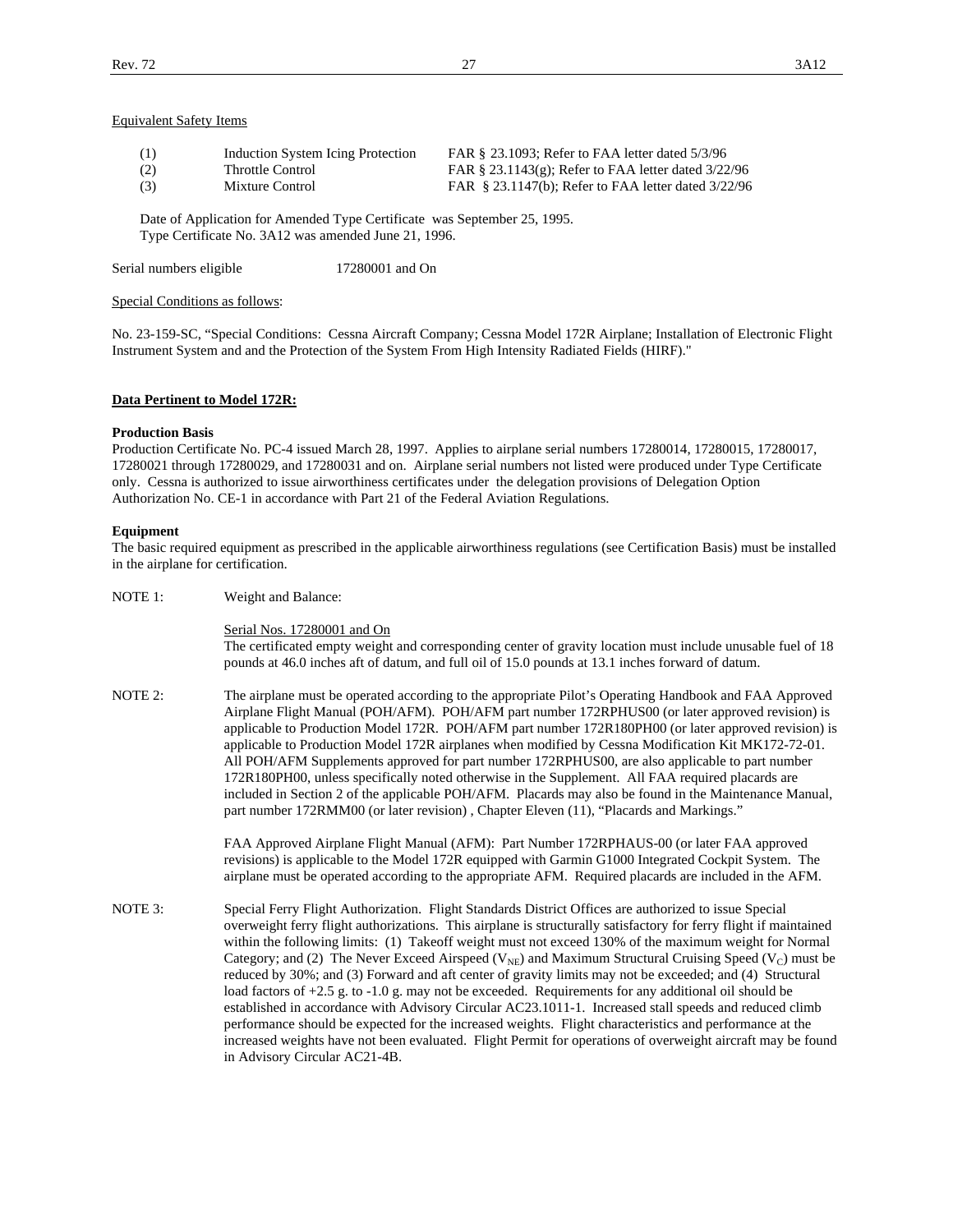### Equivalent Safety Items

| (1) | Induction System Icing Protection | FAR § 23.1093; Refer to FAA letter dated 5/3/96          |
|-----|-----------------------------------|----------------------------------------------------------|
| (2) | Throttle Control                  | FAR § 23.1143(g); Refer to FAA letter dated $3/22/96$    |
| (3) | Mixture Control                   | FAR $\S$ 23.1147(b); Refer to FAA letter dated $3/22/96$ |

 Date of Application for Amended Type Certificate was September 25, 1995. Type Certificate No. 3A12 was amended June 21, 1996.

Serial numbers eligible 17280001 and On

Special Conditions as follows:

No. 23-159-SC, "Special Conditions: Cessna Aircraft Company; Cessna Model 172R Airplane; Installation of Electronic Flight Instrument System and and the Protection of the System From High Intensity Radiated Fields (HIRF)."

### **Data Pertinent to Model 172R:**

### **Production Basis**

Production Certificate No. PC-4 issued March 28, 1997. Applies to airplane serial numbers 17280014, 17280015, 17280017, 17280021 through 17280029, and 17280031 and on. Airplane serial numbers not listed were produced under Type Certificate only. Cessna is authorized to issue airworthiness certificates under the delegation provisions of Delegation Option Authorization No. CE-1 in accordance with Part 21 of the Federal Aviation Regulations.

### **Equipment**

The basic required equipment as prescribed in the applicable airworthiness regulations (see Certification Basis) must be installed in the airplane for certification.

NOTE 1: Weight and Balance:

Serial Nos. 17280001 and On

 The certificated empty weight and corresponding center of gravity location must include unusable fuel of 18 pounds at 46.0 inches aft of datum, and full oil of 15.0 pounds at 13.1 inches forward of datum.

NOTE 2: The airplane must be operated according to the appropriate Pilot's Operating Handbook and FAA Approved Airplane Flight Manual (POH/AFM). POH/AFM part number 172RPHUS00 (or later approved revision) is applicable to Production Model 172R. POH/AFM part number 172R180PH00 (or later approved revision) is applicable to Production Model 172R airplanes when modified by Cessna Modification Kit MK172-72-01. All POH/AFM Supplements approved for part number 172RPHUS00, are also applicable to part number 172R180PH00, unless specifically noted otherwise in the Supplement. All FAA required placards are included in Section 2 of the applicable POH/AFM. Placards may also be found in the Maintenance Manual, part number 172RMM00 (or later revision) , Chapter Eleven (11), "Placards and Markings."

> FAA Approved Airplane Flight Manual (AFM): Part Number 172RPHAUS-00 (or later FAA approved revisions) is applicable to the Model 172R equipped with Garmin G1000 Integrated Cockpit System. The airplane must be operated according to the appropriate AFM. Required placards are included in the AFM.

NOTE 3: Special Ferry Flight Authorization. Flight Standards District Offices are authorized to issue Special overweight ferry flight authorizations. This airplane is structurally satisfactory for ferry flight if maintained within the following limits: (1) Takeoff weight must not exceed 130% of the maximum weight for Normal Category; and (2) The Never Exceed Airspeed ( $V_{NE}$ ) and Maximum Structural Cruising Speed ( $V_C$ ) must be reduced by 30%; and (3) Forward and aft center of gravity limits may not be exceeded; and (4) Structural load factors of +2.5 g. to -1.0 g. may not be exceeded. Requirements for any additional oil should be established in accordance with Advisory Circular AC23.1011-1. Increased stall speeds and reduced climb performance should be expected for the increased weights. Flight characteristics and performance at the increased weights have not been evaluated. Flight Permit for operations of overweight aircraft may be found in Advisory Circular AC21-4B.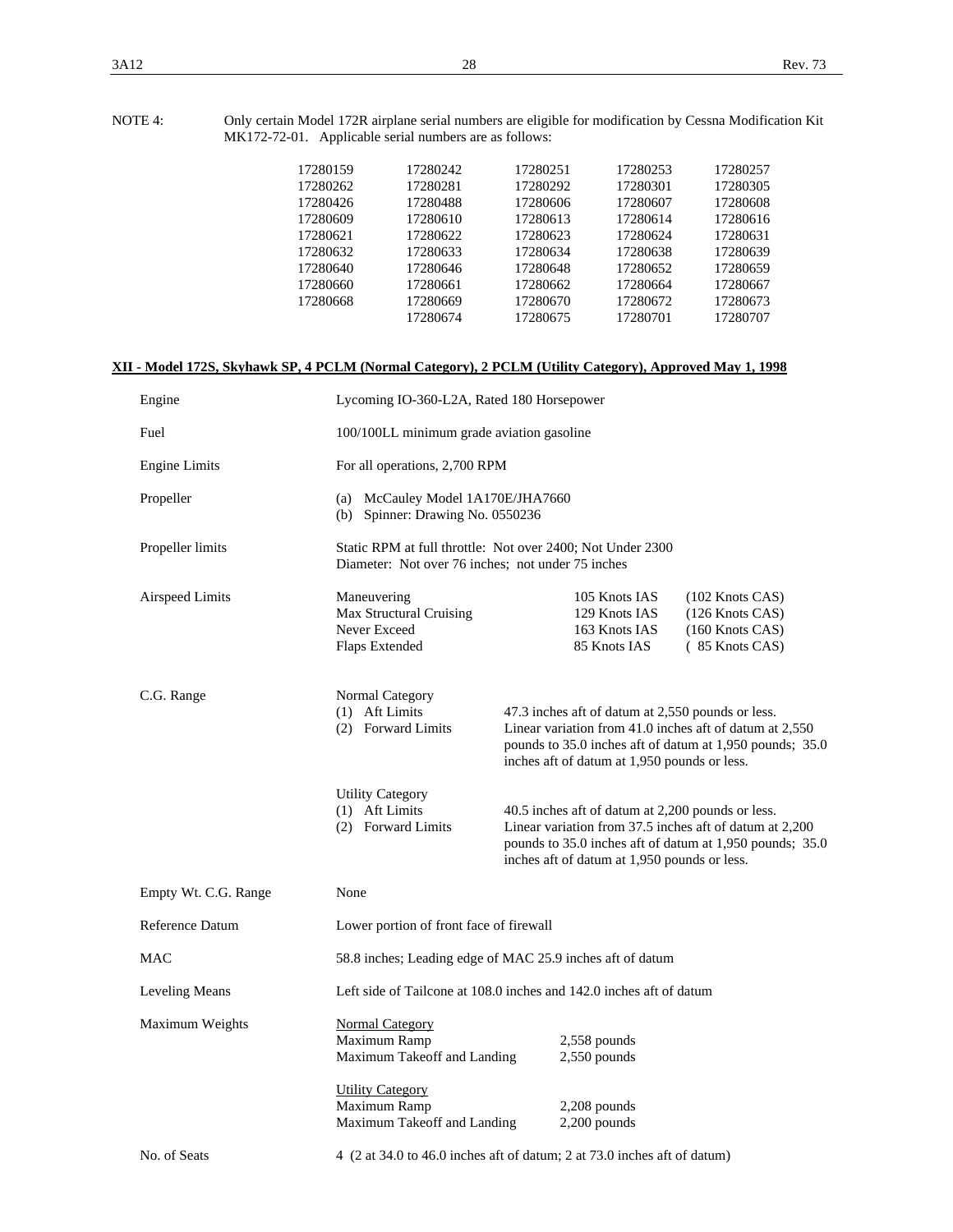| 17280159 | 17280242 | 17280251 | 17280253 | 17280257 |
|----------|----------|----------|----------|----------|
| 17280262 | 17280281 | 17280292 | 17280301 | 17280305 |
| 17280426 | 17280488 | 17280606 | 17280607 | 17280608 |
| 17280609 | 17280610 | 17280613 | 17280614 | 17280616 |
| 17280621 | 17280622 | 17280623 | 17280624 | 17280631 |
| 17280632 | 17280633 | 17280634 | 17280638 | 17280639 |
| 17280640 | 17280646 | 17280648 | 17280652 | 17280659 |
| 17280660 | 17280661 | 17280662 | 17280664 | 17280667 |
| 17280668 | 17280669 | 17280670 | 17280672 | 17280673 |
|          | 17280674 | 17280675 | 17280701 | 17280707 |
|          |          |          |          |          |

# **XII - Model 172S, Skyhawk SP, 4 PCLM (Normal Category), 2 PCLM (Utility Category), Approved May 1, 1998**

| Engine               | Lycoming IO-360-L2A, Rated 180 Horsepower                                                                                        |  |                                                                                                   |                                                                                                                     |
|----------------------|----------------------------------------------------------------------------------------------------------------------------------|--|---------------------------------------------------------------------------------------------------|---------------------------------------------------------------------------------------------------------------------|
| Fuel                 | 100/100LL minimum grade aviation gasoline                                                                                        |  |                                                                                                   |                                                                                                                     |
| <b>Engine Limits</b> | For all operations, 2,700 RPM                                                                                                    |  |                                                                                                   |                                                                                                                     |
| Propeller            | (a) McCauley Model 1A170E/JHA7660<br>(b) Spinner: Drawing No. 0550236                                                            |  |                                                                                                   |                                                                                                                     |
| Propeller limits     | Static RPM at full throttle: Not over 2400; Not Under 2300<br>Diameter: Not over 76 inches; not under 75 inches                  |  |                                                                                                   |                                                                                                                     |
| Airspeed Limits      | Maneuvering<br>Max Structural Cruising<br>Never Exceed<br>Flaps Extended                                                         |  | 105 Knots IAS<br>129 Knots IAS<br>163 Knots IAS<br>85 Knots IAS                                   | $(102$ Knots CAS)<br>(126 Knots CAS)<br>$(160$ Knots CAS)<br>(85 Knots CAS)                                         |
| C.G. Range           | Normal Category<br>(1) Aft Limits<br>(2) Forward Limits                                                                          |  | 47.3 inches aft of datum at 2,550 pounds or less.<br>inches aft of datum at 1,950 pounds or less. | Linear variation from 41.0 inches aft of datum at 2,550<br>pounds to 35.0 inches aft of datum at 1,950 pounds; 35.0 |
|                      | <b>Utility Category</b><br>(1) Aft Limits<br>(2) Forward Limits                                                                  |  | 40.5 inches aft of datum at 2,200 pounds or less.<br>inches aft of datum at 1,950 pounds or less. | Linear variation from 37.5 inches aft of datum at 2,200<br>pounds to 35.0 inches aft of datum at 1,950 pounds; 35.0 |
| Empty Wt. C.G. Range | None                                                                                                                             |  |                                                                                                   |                                                                                                                     |
| Reference Datum      | Lower portion of front face of firewall                                                                                          |  |                                                                                                   |                                                                                                                     |
| <b>MAC</b>           | 58.8 inches; Leading edge of MAC 25.9 inches aft of datum<br>Left side of Tailcone at 108.0 inches and 142.0 inches aft of datum |  |                                                                                                   |                                                                                                                     |
| Leveling Means       |                                                                                                                                  |  |                                                                                                   |                                                                                                                     |
| Maximum Weights      | <b>Normal Category</b><br>Maximum Ramp<br>$2,558$ pounds<br>Maximum Takeoff and Landing<br>$2,550$ pounds                        |  |                                                                                                   |                                                                                                                     |
|                      | <b>Utility Category</b><br>Maximum Ramp<br>Maximum Takeoff and Landing                                                           |  | $2,208$ pounds<br>$2,200$ pounds                                                                  |                                                                                                                     |
| No. of Seats         | 4 (2 at 34.0 to 46.0 inches aft of datum; 2 at 73.0 inches aft of datum)                                                         |  |                                                                                                   |                                                                                                                     |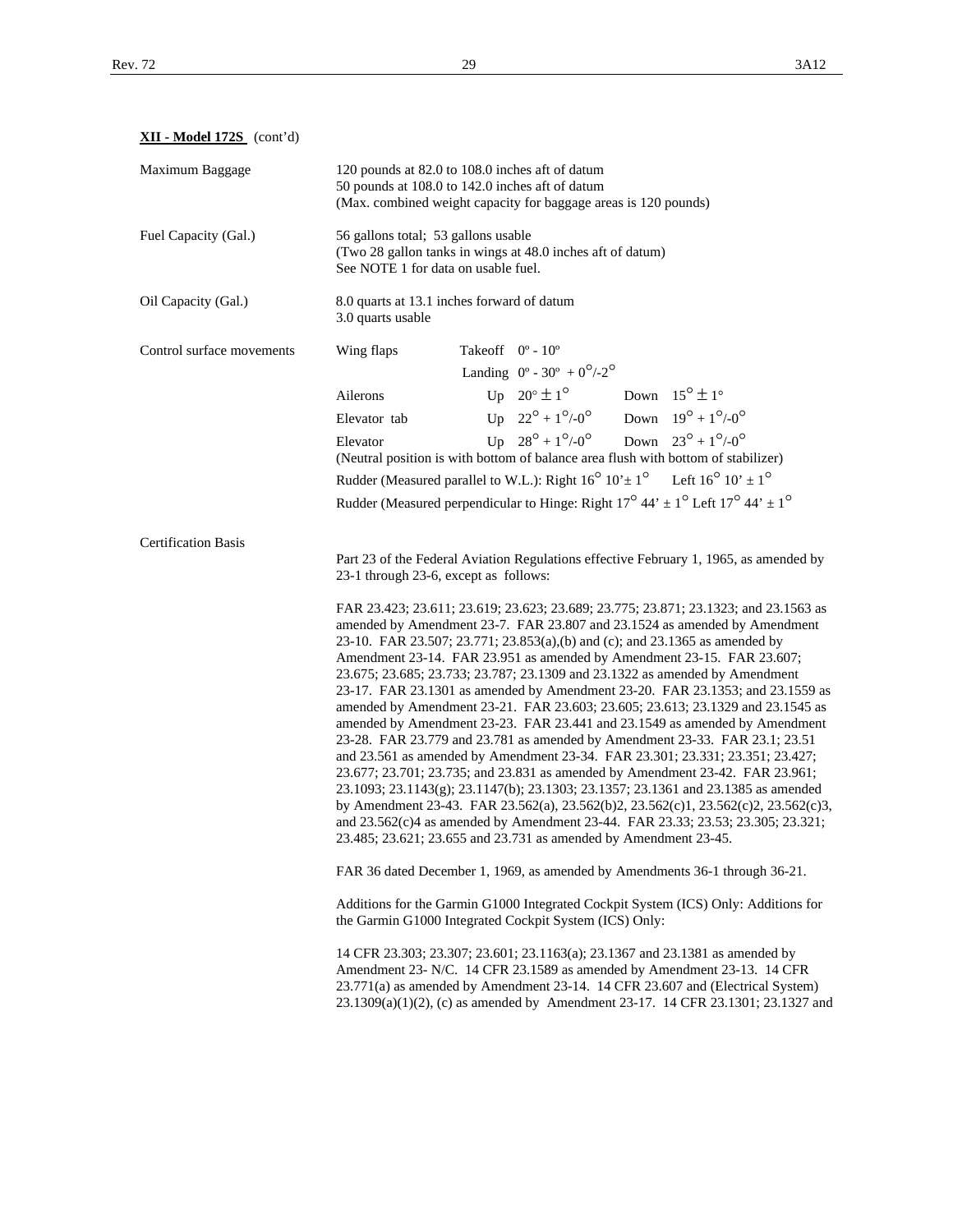**XII - Model 172S** (cont'd)

| Maximum Baggage            | 120 pounds at 82.0 to 108.0 inches aft of datum<br>50 pounds at 108.0 to 142.0 inches aft of datum<br>(Max. combined weight capacity for baggage areas is 120 pounds)                                                                                                                                                                                                                                                                                                                                                                                                                                                                                                                                                                                                                                                                                                                                                                                                                                                                                                                                                                                                                                                                        |  |  |
|----------------------------|----------------------------------------------------------------------------------------------------------------------------------------------------------------------------------------------------------------------------------------------------------------------------------------------------------------------------------------------------------------------------------------------------------------------------------------------------------------------------------------------------------------------------------------------------------------------------------------------------------------------------------------------------------------------------------------------------------------------------------------------------------------------------------------------------------------------------------------------------------------------------------------------------------------------------------------------------------------------------------------------------------------------------------------------------------------------------------------------------------------------------------------------------------------------------------------------------------------------------------------------|--|--|
| Fuel Capacity (Gal.)       | 56 gallons total; 53 gallons usable<br>(Two 28 gallon tanks in wings at 48.0 inches aft of datum)<br>See NOTE 1 for data on usable fuel.                                                                                                                                                                                                                                                                                                                                                                                                                                                                                                                                                                                                                                                                                                                                                                                                                                                                                                                                                                                                                                                                                                     |  |  |
| Oil Capacity (Gal.)        | 8.0 quarts at 13.1 inches forward of datum<br>3.0 quarts usable                                                                                                                                                                                                                                                                                                                                                                                                                                                                                                                                                                                                                                                                                                                                                                                                                                                                                                                                                                                                                                                                                                                                                                              |  |  |
| Control surface movements  | Takeoff $0^\circ$ - $10^\circ$<br>Wing flaps<br>Landing $0^{\circ}$ - 30° + $0^{\circ}/2^{\circ}$                                                                                                                                                                                                                                                                                                                                                                                                                                                                                                                                                                                                                                                                                                                                                                                                                                                                                                                                                                                                                                                                                                                                            |  |  |
|                            | Up $20^\circ \pm 1^\circ$<br>Down $15^{\circ} \pm 1^{\circ}$<br>Ailerons                                                                                                                                                                                                                                                                                                                                                                                                                                                                                                                                                                                                                                                                                                                                                                                                                                                                                                                                                                                                                                                                                                                                                                     |  |  |
|                            | Up $22^{\circ} + 1^{\circ}/0^{\circ}$<br>Down $19^{\circ} + 1^{\circ}/0^{\circ}$<br>Elevator tab                                                                                                                                                                                                                                                                                                                                                                                                                                                                                                                                                                                                                                                                                                                                                                                                                                                                                                                                                                                                                                                                                                                                             |  |  |
|                            | Up $28^{\circ} + 1^{\circ}/0^{\circ}$<br>Down $23^{\circ} + 1^{\circ}/0^{\circ}$<br>Elevator<br>(Neutral position is with bottom of balance area flush with bottom of stabilizer)                                                                                                                                                                                                                                                                                                                                                                                                                                                                                                                                                                                                                                                                                                                                                                                                                                                                                                                                                                                                                                                            |  |  |
|                            | Rudder (Measured parallel to W.L.): Right $16^{\circ} 10^{\circ} \pm 1^{\circ}$ Left $16^{\circ} 10^{\circ} \pm 1^{\circ}$                                                                                                                                                                                                                                                                                                                                                                                                                                                                                                                                                                                                                                                                                                                                                                                                                                                                                                                                                                                                                                                                                                                   |  |  |
|                            | Rudder (Measured perpendicular to Hinge: Right $17^{\circ}$ 44' $\pm$ 1 <sup>o</sup> Left $17^{\circ}$ 44' $\pm$ 1 <sup>o</sup>                                                                                                                                                                                                                                                                                                                                                                                                                                                                                                                                                                                                                                                                                                                                                                                                                                                                                                                                                                                                                                                                                                              |  |  |
| <b>Certification Basis</b> |                                                                                                                                                                                                                                                                                                                                                                                                                                                                                                                                                                                                                                                                                                                                                                                                                                                                                                                                                                                                                                                                                                                                                                                                                                              |  |  |
|                            | Part 23 of the Federal Aviation Regulations effective February 1, 1965, as amended by<br>23-1 through 23-6, except as follows:                                                                                                                                                                                                                                                                                                                                                                                                                                                                                                                                                                                                                                                                                                                                                                                                                                                                                                                                                                                                                                                                                                               |  |  |
|                            | FAR 23.423; 23.611; 23.619; 23.623; 23.689; 23.775; 23.871; 23.1323; and 23.1563 as<br>amended by Amendment 23-7. FAR 23.807 and 23.1524 as amended by Amendment<br>23-10. FAR 23.507; 23.771; 23.853(a),(b) and (c); and 23.1365 as amended by<br>Amendment 23-14. FAR 23.951 as amended by Amendment 23-15. FAR 23.607;<br>23.675; 23.685; 23.733; 23.787; 23.1309 and 23.1322 as amended by Amendment<br>23-17. FAR 23.1301 as amended by Amendment 23-20. FAR 23.1353; and 23.1559 as<br>amended by Amendment 23-21. FAR 23.603; 23.605; 23.613; 23.1329 and 23.1545 as<br>amended by Amendment 23-23. FAR 23.441 and 23.1549 as amended by Amendment<br>23-28. FAR 23.779 and 23.781 as amended by Amendment 23-33. FAR 23.1; 23.51<br>and 23.561 as amended by Amendment 23-34. FAR 23.301; 23.331; 23.351; 23.427;<br>23.677; 23.701; 23.735; and 23.831 as amended by Amendment 23-42. FAR 23.961;<br>23.1093; 23.1143(g); 23.1147(b); 23.1303; 23.1357; 23.1361 and 23.1385 as amended<br>by Amendment 23-43. FAR 23.562(a), 23.562(b)2, 23.562(c)1, 23.562(c)2, 23.562(c)3,<br>and 23.562(c)4 as amended by Amendment 23-44. FAR 23.33; 23.53; 23.305; 23.321;<br>23.485; 23.621; 23.655 and 23.731 as amended by Amendment 23-45. |  |  |
|                            | FAR 36 dated December 1, 1969, as amended by Amendments 36-1 through 36-21.                                                                                                                                                                                                                                                                                                                                                                                                                                                                                                                                                                                                                                                                                                                                                                                                                                                                                                                                                                                                                                                                                                                                                                  |  |  |
|                            | Additions for the Garmin G1000 Integrated Cockpit System (ICS) Only: Additions for<br>the Garmin G1000 Integrated Cockpit System (ICS) Only:                                                                                                                                                                                                                                                                                                                                                                                                                                                                                                                                                                                                                                                                                                                                                                                                                                                                                                                                                                                                                                                                                                 |  |  |
|                            | 14 CFR 23.303; 23.307; 23.601; 23.1163(a); 23.1367 and 23.1381 as amended by<br>Amendment 23- N/C. 14 CFR 23.1589 as amended by Amendment 23-13. 14 CFR<br>23.771(a) as amended by Amendment 23-14. 14 CFR 23.607 and (Electrical System)<br>23.1309(a)(1)(2), (c) as amended by Amendment 23-17. 14 CFR 23.1301; 23.1327 and                                                                                                                                                                                                                                                                                                                                                                                                                                                                                                                                                                                                                                                                                                                                                                                                                                                                                                                |  |  |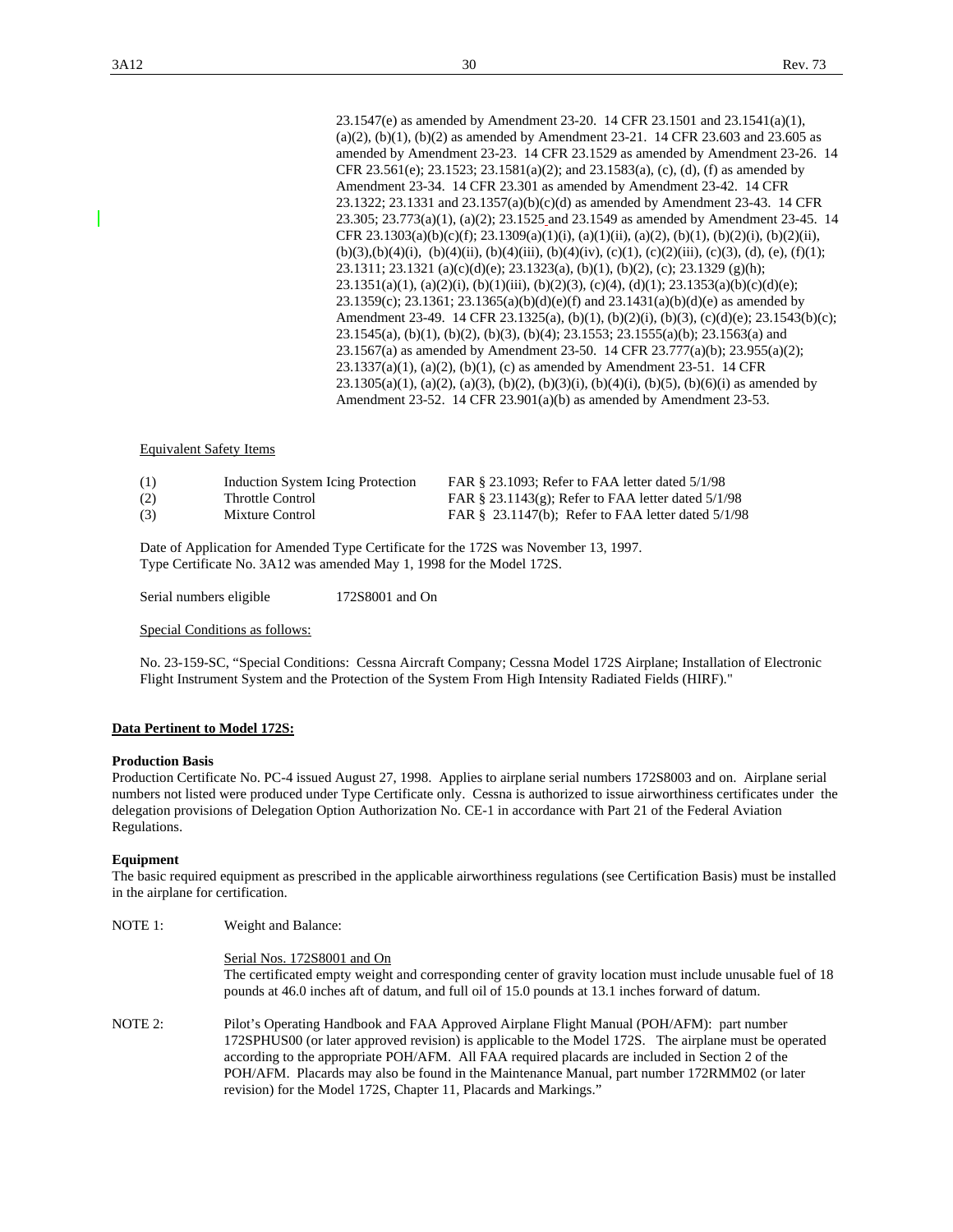23.1547(e) as amended by Amendment 23-20. 14 CFR 23.1501 and 23.1541(a)(1),  $(a)(2)$ ,  $(b)(1)$ ,  $(b)(2)$  as amended by Amendment 23-21. 14 CFR 23.603 and 23.605 as amended by Amendment 23-23. 14 CFR 23.1529 as amended by Amendment 23-26. 14 CFR 23.561(e); 23.1523; 23.1581(a)(2); and 23.1583(a), (c), (d), (f) as amended by Amendment 23-34. 14 CFR 23.301 as amended by Amendment 23-42. 14 CFR 23.1322; 23.1331 and 23.1357(a)(b)(c)(d) as amended by Amendment 23-43. 14 CFR 23.305; 23.773(a)(1), (a)(2); 23.1525 and 23.1549 as amended by Amendment 23-45. 14 CFR 23.1303(a)(b)(c)(f); 23.1309(a)(1)(i), (a)(1)(ii), (a)(2), (b)(1), (b)(2)(i), (b)(2)(ii),  $(b)(3),(b)(4)(i)$ ,  $(b)(4)(ii)$ ,  $(b)(4)(iii)$ ,  $(b)(4)(iv)$ ,  $(c)(1)$ ,  $(c)(2)(iii)$ ,  $(c)(3)$ ,  $(d)$ ,  $(e)$ ,  $(f)(1)$ ; 23.1311; 23.1321 (a)(c)(d)(e); 23.1323(a), (b)(1), (b)(2), (c); 23.1329 (g)(h);  $23.1351(a)(1)$ ,  $(a)(2)(i)$ ,  $(b)(1)(iii)$ ,  $(b)(2)(3)$ ,  $(c)(4)$ ,  $(d)(1)$ ;  $23.1353(a)(b)(c)(d)(e)$ ; 23.1359(c); 23.1361; 23.1365(a)(b)(d)(e)(f) and 23.1431(a)(b)(d)(e) as amended by Amendment 23-49. 14 CFR 23.1325(a), (b)(1), (b)(2)(i), (b)(3), (c)(d)(e); 23.1543(b)(c); 23.1545(a), (b)(1), (b)(2), (b)(3), (b)(4); 23.1553; 23.1555(a)(b); 23.1563(a) and 23.1567(a) as amended by Amendment 23-50. 14 CFR 23.777(a)(b); 23.955(a)(2); 23.1337(a)(1), (a)(2), (b)(1), (c) as amended by Amendment 23-51. 14 CFR 23.1305(a)(1), (a)(2), (a)(3), (b)(2), (b)(3)(i), (b)(4)(i), (b)(5), (b)(6)(i) as amended by Amendment 23-52. 14 CFR 23.901(a)(b) as amended by Amendment 23-53.

### Equivalent Safety Items

| (1) | Induction System Icing Protection | FAR § 23.1093: Refer to FAA letter dated 5/1/98         |
|-----|-----------------------------------|---------------------------------------------------------|
| (2) | Throttle Control                  | FAR $\S$ 23.1143(g); Refer to FAA letter dated 5/1/98   |
| (3) | Mixture Control                   | FAR $\S$ 23.1147(b); Refer to FAA letter dated $5/1/98$ |

 Date of Application for Amended Type Certificate for the 172S was November 13, 1997. Type Certificate No. 3A12 was amended May 1, 1998 for the Model 172S.

Serial numbers eligible 172S8001 and On

Special Conditions as follows:

No. 23-159-SC, "Special Conditions: Cessna Aircraft Company; Cessna Model 172S Airplane; Installation of Electronic Flight Instrument System and the Protection of the System From High Intensity Radiated Fields (HIRF)."

### **Data Pertinent to Model 172S:**

#### **Production Basis**

Production Certificate No. PC-4 issued August 27, 1998. Applies to airplane serial numbers 172S8003 and on. Airplane serial numbers not listed were produced under Type Certificate only. Cessna is authorized to issue airworthiness certificates under the delegation provisions of Delegation Option Authorization No. CE-1 in accordance with Part 21 of the Federal Aviation Regulations.

### **Equipment**

The basic required equipment as prescribed in the applicable airworthiness regulations (see Certification Basis) must be installed in the airplane for certification.

| NOTE 1: | Weight and Balance:                                                                                                                                                                                                                                                                                                                                                                                                                                                           |  |  |
|---------|-------------------------------------------------------------------------------------------------------------------------------------------------------------------------------------------------------------------------------------------------------------------------------------------------------------------------------------------------------------------------------------------------------------------------------------------------------------------------------|--|--|
|         | Serial Nos. 172S8001 and On<br>The certificated empty weight and corresponding center of gravity location must include unusable fuel of 18<br>pounds at 46.0 inches aft of datum, and full oil of 15.0 pounds at 13.1 inches forward of datum.                                                                                                                                                                                                                                |  |  |
| NOTE 2: | Pilot's Operating Handbook and FAA Approved Airplane Flight Manual (POH/AFM): part number<br>172SPHUS00 (or later approved revision) is applicable to the Model 172S. The airplane must be operated<br>according to the appropriate POH/AFM. All FAA required placards are included in Section 2 of the<br>POH/AFM. Placards may also be found in the Maintenance Manual, part number 172RMM02 (or later<br>revision) for the Model 172S, Chapter 11, Placards and Markings." |  |  |